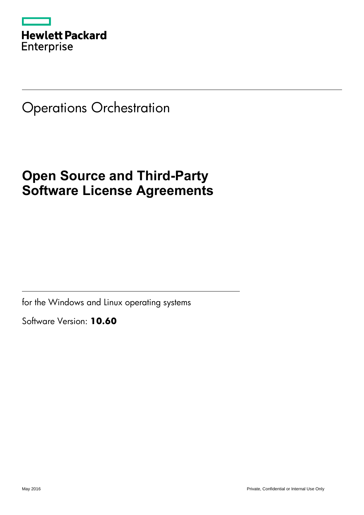

# Operations Orchestration

# **Open Source and Third-Party Software License Agreements**

for the Windows and Linux operating systems

Software Version: **10.60**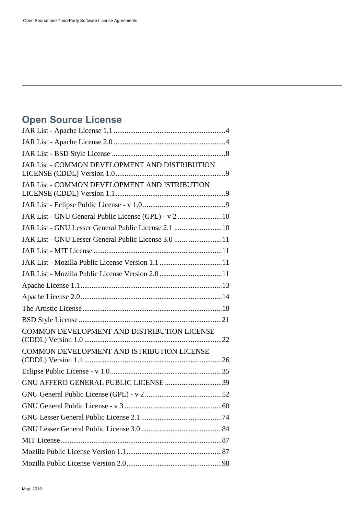# **Open Source License**

| JAR List - COMMON DEVELOPMENT AND DISTRIBUTION       |
|------------------------------------------------------|
| JAR List - COMMON DEVELOPMENT AND ISTRIBUTION        |
|                                                      |
| JAR List - GNU General Public License (GPL) - v 2 10 |
| JAR List - GNU Lesser General Public License 2.1 10  |
| JAR List - GNU Lesser General Public License 3.0 11  |
|                                                      |
|                                                      |
|                                                      |
|                                                      |
|                                                      |
|                                                      |
|                                                      |
| COMMON DEVELOPMENT AND DISTRIBUTION LICENSE          |
| COMMON DEVELOPMENT AND ISTRIBUTION LICENSE           |
|                                                      |
| GNU AFFERO GENERAL PUBLIC LICENSE 39                 |
|                                                      |
|                                                      |
|                                                      |
|                                                      |
|                                                      |
|                                                      |
|                                                      |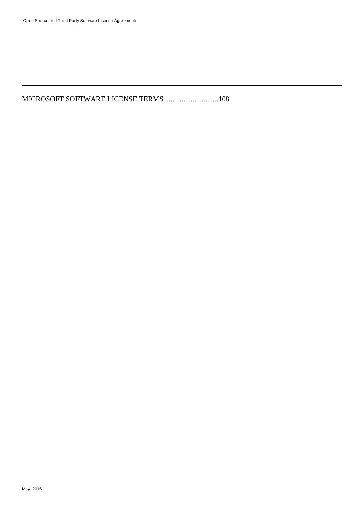### [MICROSOFT SOFTWARE LICENSE TERMS](#page-107-0) .............................108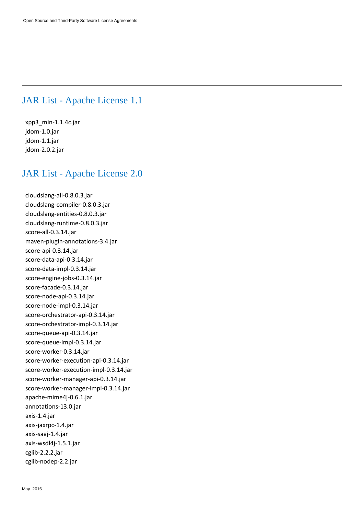### <span id="page-3-0"></span>JAR List - Apache License 1.1

xpp3\_min-1.1.4c.jar jdom-1.0.jar jdom-1.1.jar jdom-2.0.2.jar

### <span id="page-3-1"></span>JAR List - Apache License 2.0

cloudslang-all-0.8.0.3.jar cloudslang-compiler-0.8.0.3.jar cloudslang-entities-0.8.0.3.jar cloudslang-runtime-0.8.0.3.jar score-all-0.3.14.jar maven-plugin-annotations-3.4.jar score-api-0.3.14.jar score-data-api-0.3.14.jar score-data-impl-0.3.14.jar score-engine-jobs-0.3.14.jar score-facade-0.3.14.jar score-node-api-0.3.14.jar score-node-impl-0.3.14.jar score-orchestrator-api-0.3.14.jar score-orchestrator-impl-0.3.14.jar score-queue-api-0.3.14.jar score-queue-impl-0.3.14.jar score-worker-0.3.14.jar score-worker-execution-api-0.3.14.jar score-worker-execution-impl-0.3.14.jar score-worker-manager-api-0.3.14.jar score-worker-manager-impl-0.3.14.jar apache-mime4j-0.6.1.jar annotations-13.0.jar axis-1.4.jar axis-jaxrpc-1.4.jar axis-saaj-1.4.jar axis-wsdl4j-1.5.1.jar cglib-2.2.2.jar cglib-nodep-2.2.jar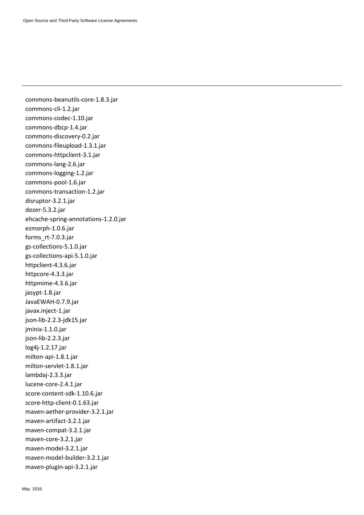commons-beanutils-core-1.8.3.jar commons-cli-1.2.jar commons-codec-1.10.jar commons-dbcp-1.4.jar commons-discovery-0.2.jar commons-fileupload-1.3.1.jar commons-httpclient-3.1.jar commons-lang-2.6.jar commons-logging-1.2.jar commons-pool-1.6.jar commons-transaction-1.2.jar disruptor-3.2.1.jar dozer-5.3.2.jar ehcache-spring-annotations-1.2.0.jar ezmorph-1.0.6.jar forms\_rt-7.0.3.jar gs-collections-5.1.0.jar gs-collections-api-5.1.0.jar httpclient-4.3.6.jar httpcore-4.3.3.jar httpmime-4.3.6.jar jasypt-1.8.jar JavaEWAH-0.7.9.jar javax.inject-1.jar json-lib-2.2.3-jdk15.jar jminix-1.1.0.jar json-lib-2.2.3.jar log4j-1.2.17.jar milton-api-1.8.1.jar milton-servlet-1.8.1.jar lambdaj-2.3.3.jar lucene-core-2.4.1.jar score-content-sdk-1.10.6.jar score-http-client-0.1.63.jar maven-aether-provider-3.2.1.jar maven-artifact-3.2.1.jar maven-compat-3.2.1.jar maven-core-3.2.1.jar maven-model-3.2.1.jar maven-model-builder-3.2.1.jar maven-plugin-api-3.2.1.jar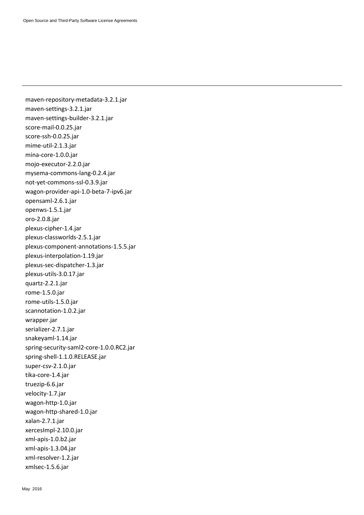maven-repository-metadata-3.2.1.jar maven-settings-3.2.1.jar maven-settings-builder-3.2.1.jar score-mail-0.0.25.jar score-ssh-0.0.25.jar mime-util-2.1.3.jar mina-core-1.0.0.jar mojo-executor-2.2.0.jar mysema-commons-lang-0.2.4.jar not-yet-commons-ssl-0.3.9.jar wagon-provider-api-1.0-beta-7-ipv6.jar opensaml-2.6.1.jar openws-1.5.1.jar oro-2.0.8.jar plexus-cipher-1.4.jar plexus-classworlds-2.5.1.jar plexus-component-annotations-1.5.5.jar plexus-interpolation-1.19.jar plexus-sec-dispatcher-1.3.jar plexus-utils-3.0.17.jar quartz-2.2.1.jar rome-1.5.0.jar rome-utils-1.5.0.jar scannotation-1.0.2.jar wrapper.jar serializer-2.7.1.jar snakeyaml-1.14.jar spring-security-saml2-core-1.0.0.RC2.jar spring-shell-1.1.0.RELEASE.jar super-csv-2.1.0.jar tika-core-1.4.jar truezip-6.6.jar velocity-1.7.jar wagon-http-1.0.jar wagon-http-shared-1.0.jar xalan-2.7.1.jar xercesImpl-2.10.0.jar xml-apis-1.0.b2.jar xml-apis-1.3.04.jar xml-resolver-1.2.jar xmlsec-1.5.6.jar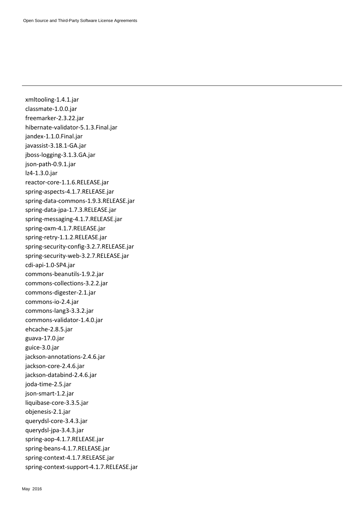xmltooling-1.4.1.jar classmate-1.0.0.jar freemarker-2.3.22.jar hibernate-validator-5.1.3.Final.jar jandex-1.1.0.Final.jar javassist-3.18.1-GA.jar jboss-logging-3.1.3.GA.jar json-path-0.9.1.jar lz4-1.3.0.jar reactor-core-1.1.6.RELEASE.jar spring-aspects-4.1.7.RELEASE.jar spring-data-commons-1.9.3.RELEASE.jar spring-data-jpa-1.7.3.RELEASE.jar spring-messaging-4.1.7.RELEASE.jar spring-oxm-4.1.7.RELEASE.jar spring-retry-1.1.2.RELEASE.jar spring-security-config-3.2.7.RELEASE.jar spring-security-web-3.2.7.RELEASE.jar cdi-api-1.0-SP4.jar commons-beanutils-1.9.2.jar commons-collections-3.2.2.jar commons-digester-2.1.jar commons-io-2.4.jar commons-lang3-3.3.2.jar commons-validator-1.4.0.jar ehcache-2.8.5.jar guava-17.0.jar guice-3.0.jar jackson-annotations-2.4.6.jar jackson-core-2.4.6.jar jackson-databind-2.4.6.jar joda-time-2.5.jar json-smart-1.2.jar liquibase-core-3.3.5.jar objenesis-2.1.jar querydsl-core-3.4.3.jar querydsl-jpa-3.4.3.jar spring-aop-4.1.7.RELEASE.jar spring-beans-4.1.7.RELEASE.jar spring-context-4.1.7.RELEASE.jar spring-context-support-4.1.7.RELEASE.jar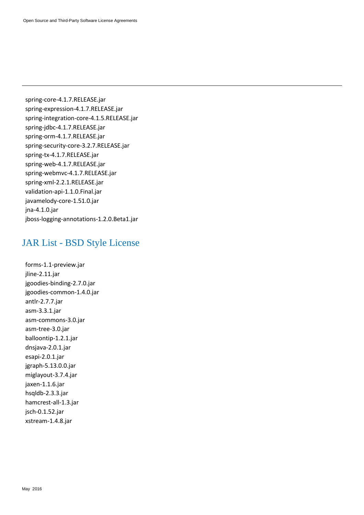spring-core-4.1.7.RELEASE.jar spring-expression-4.1.7.RELEASE.jar spring-integration-core-4.1.5.RELEASE.jar spring-jdbc-4.1.7.RELEASE.jar spring-orm-4.1.7.RELEASE.jar spring-security-core-3.2.7.RELEASE.jar spring-tx-4.1.7.RELEASE.jar spring-web-4.1.7.RELEASE.jar spring-webmvc-4.1.7.RELEASE.jar spring-xml-2.2.1.RELEASE.jar validation-api-1.1.0.Final.jar javamelody-core-1.51.0.jar jna-4.1.0.jar jboss-logging-annotations-1.2.0.Beta1.jar

### <span id="page-7-0"></span>JAR List - BSD Style License

forms-1.1-preview.jar jline-2.11.jar jgoodies-binding-2.7.0.jar jgoodies-common-1.4.0.jar antlr-2.7.7.jar asm-3.3.1.jar asm-commons-3.0.jar asm-tree-3.0.jar balloontip-1.2.1.jar dnsjava-2.0.1.jar esapi-2.0.1.jar jgraph-5.13.0.0.jar miglayout-3.7.4.jar jaxen-1.1.6.jar hsqldb-2.3.3.jar hamcrest-all-1.3.jar jsch-0.1.52.jar xstream-1.4.8.jar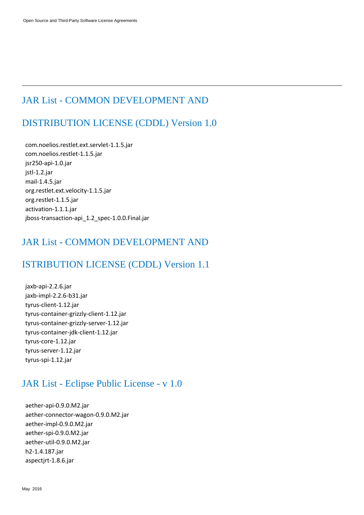### <span id="page-8-0"></span>JAR List - COMMON DEVELOPMENT AND

### DISTRIBUTION LICENSE (CDDL) Version 1.0

com.noelios.restlet.ext.servlet-1.1.5.jar com.noelios.restlet-1.1.5.jar jsr250-api-1.0.jar jstl-1.2.jar mail-1.4.5.jar org.restlet.ext.velocity-1.1.5.jar org.restlet-1.1.5.jar activation-1.1.1.jar jboss-transaction-api\_1.2\_spec-1.0.0.Final.jar

### <span id="page-8-1"></span>JAR List - COMMON DEVELOPMENT AND

### ISTRIBUTION LICENSE (CDDL) Version 1.1

jaxb-api-2.2.6.jar jaxb-impl-2.2.6-b31.jar tyrus-client-1.12.jar tyrus-container-grizzly-client-1.12.jar tyrus-container-grizzly-server-1.12.jar tyrus-container-jdk-client-1.12.jar tyrus-core-1.12.jar tyrus-server-1.12.jar tyrus-spi-1.12.jar

### <span id="page-8-2"></span>JAR List - Eclipse Public License - v 1.0

aether-api-0.9.0.M2.jar aether-connector-wagon-0.9.0.M2.jar aether-impl-0.9.0.M2.jar aether-spi-0.9.0.M2.jar aether-util-0.9.0.M2.jar h2-1.4.187.jar aspectjrt-1.8.6.jar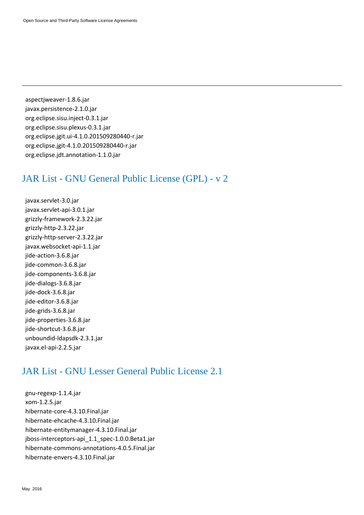aspectjweaver-1.8.6.jar javax.persistence-2.1.0.jar org.eclipse.sisu.inject-0.3.1.jar org.eclipse.sisu.plexus-0.3.1.jar org.eclipse.jgit.ui-4.1.0.201509280440-r.jar org.eclipse.jgit-4.1.0.201509280440-r.jar org.eclipse.jdt.annotation-1.1.0.jar

# <span id="page-9-0"></span>JAR List - GNU General Public License (GPL) - v 2

javax.servlet-3.0.jar javax.servlet-api-3.0.1.jar grizzly-framework-2.3.22.jar grizzly-http-2.3.22.jar grizzly-http-server-2.3.22.jar javax.websocket-api-1.1.jar jide-action-3.6.8.jar jide-common-3.6.8.jar jide-components-3.6.8.jar jide-dialogs-3.6.8.jar jide-dock-3.6.8.jar jide-editor-3.6.8.jar jide-grids-3.6.8.jar jide-properties-3.6.8.jar jide-shortcut-3.6.8.jar unboundid-ldapsdk-2.3.1.jar javax.el-api-2.2.5.jar

### <span id="page-9-1"></span>JAR List - GNU Lesser General Public License 2.1

gnu-regexp-1.1.4.jar xom-1.2.5.jar hibernate-core-4.3.10.Final.jar hibernate-ehcache-4.3.10.Final.jar hibernate-entitymanager-4.3.10.Final.jar jboss-interceptors-api\_1.1\_spec-1.0.0.Beta1.jar hibernate-commons-annotations-4.0.5.Final.jar hibernate-envers-4.3.10.Final.jar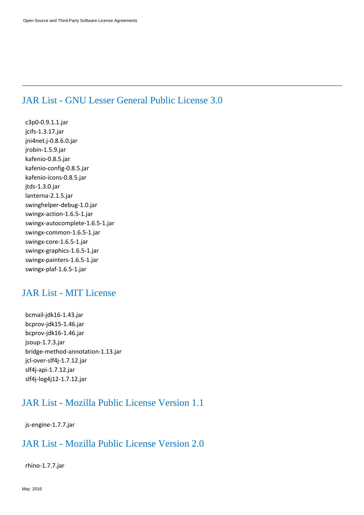### <span id="page-10-0"></span>JAR List - GNU Lesser General Public License 3.0

c3p0-0.9.1.1.jar jcifs-1.3.17.jar jni4net.j-0.8.6.0.jar jrobin-1.5.9.jar kafenio-0.8.5.jar kafenio-config-0.8.5.jar kafenio-icons-0.8.5.jar jtds-1.3.0.jar lanterna-2.1.5.jar swinghelper-debug-1.0.jar swingx-action-1.6.5-1.jar swingx-autocomplete-1.6.5-1.jar swingx-common-1.6.5-1.jar swingx-core-1.6.5-1.jar swingx-graphics-1.6.5-1.jar swingx-painters-1.6.5-1.jar swingx-plaf-1.6.5-1.jar

### <span id="page-10-1"></span>JAR List - MIT License

bcmail-jdk16-1.43.jar bcprov-jdk15-1.46.jar bcprov-jdk16-1.46.jar jsoup-1.7.3.jar bridge-method-annotation-1.13.jar jcl-over-slf4j-1.7.12.jar slf4j-api-1.7.12.jar slf4j-log4j12-1.7.12.jar

## <span id="page-10-2"></span>JAR List - Mozilla Public License Version 1.1

js-engine-1.7.7.jar

# <span id="page-10-3"></span>JAR List - Mozilla Public License Version 2.0

rhino-1.7.7.jar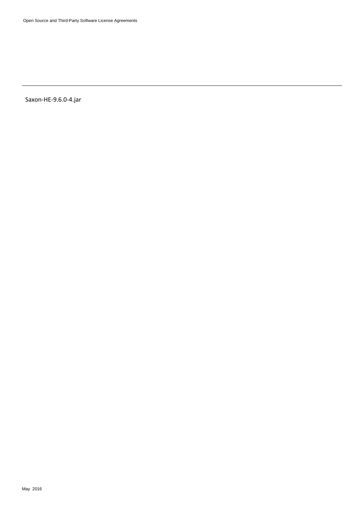Saxon-HE-9.6.0-4.jar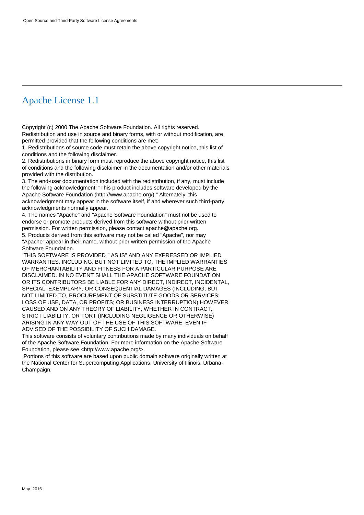# <span id="page-12-0"></span>Apache License 1.1

Copyright (c) 2000 The Apache Software Foundation. All rights reserved. Redistribution and use in source and binary forms, with or without modification, are permitted provided that the following conditions are met:

1. Redistributions of source code must retain the above copyright notice, this list of conditions and the following disclaimer.

2. Redistributions in binary form must reproduce the above copyright notice, this list of conditions and the following disclaimer in the documentation and/or other materials provided with the distribution.

3. The end-user documentation included with the redistribution, if any, must include the following acknowledgment: "This product includes software developed by the Apache Software Foundation (http://www.apache.org/)." Alternately, this acknowledgment may appear in the software itself, if and wherever such third-party acknowledgments normally appear.

4. The names "Apache" and "Apache Software Foundation" must not be used to endorse or promote products derived from this software without prior written permission. For written permission, please contact apache@apache.org. 5. Products derived from this software may not be called "Apache", nor may

"Apache" appear in their name, without prior written permission of the Apache Software Foundation.

THIS SOFTWARE IS PROVIDED ``AS IS'' AND ANY EXPRESSED OR IMPLIED WARRANTIES, INCLUDING, BUT NOT LIMITED TO, THE IMPLIED WARRANTIES OF MERCHANTABILITY AND FITNESS FOR A PARTICULAR PURPOSE ARE DISCLAIMED. IN NO EVENT SHALL THE APACHE SOFTWARE FOUNDATION OR ITS CONTRIBUTORS BE LIABLE FOR ANY DIRECT, INDIRECT, INCIDENTAL, SPECIAL, EXEMPLARY, OR CONSEQUENTIAL DAMAGES (INCLUDING, BUT NOT LIMITED TO, PROCUREMENT OF SUBSTITUTE GOODS OR SERVICES; LOSS OF USE, DATA, OR PROFITS; OR BUSINESS INTERRUPTION) HOWEVER CAUSED AND ON ANY THEORY OF LIABILITY, WHETHER IN CONTRACT, STRICT LIABILITY, OR TORT (INCLUDING NEGLIGENCE OR OTHERWISE) ARISING IN ANY WAY OUT OF THE USE OF THIS SOFTWARE, EVEN IF ADVISED OF THE POSSIBILITY OF SUCH DAMAGE.

This software consists of voluntary contributions made by many individuals on behalf of the Apache Software Foundation. For more information on the Apache Software Foundation, please see <http://www.apache.org/>.

Portions of this software are based upon public domain software originally written at the National Center for Supercomputing Applications, University of Illinois, Urbana-Champaign.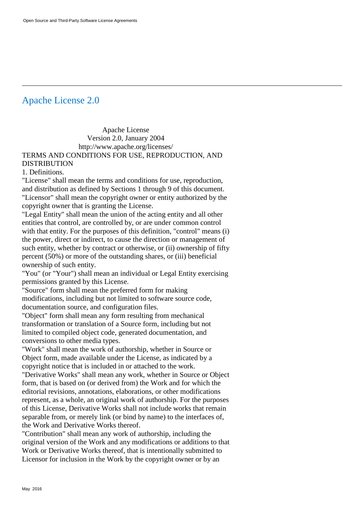# <span id="page-13-0"></span>Apache License 2.0

### Apache License Version 2.0, January 2004 http://www.apache.org/licenses/ TERMS AND CONDITIONS FOR USE, REPRODUCTION, AND **DISTRIBUTION**

#### 1. Definitions.

"License" shall mean the terms and conditions for use, reproduction, and distribution as defined by Sections 1 through 9 of this document. "Licensor" shall mean the copyright owner or entity authorized by the copyright owner that is granting the License.

"Legal Entity" shall mean the union of the acting entity and all other entities that control, are controlled by, or are under common control with that entity. For the purposes of this definition, "control" means (i) the power, direct or indirect, to cause the direction or management of such entity, whether by contract or otherwise, or (ii) ownership of fifty percent (50%) or more of the outstanding shares, or (iii) beneficial ownership of such entity.

"You" (or "Your") shall mean an individual or Legal Entity exercising permissions granted by this License.

"Source" form shall mean the preferred form for making modifications, including but not limited to software source code, documentation source, and configuration files.

"Object" form shall mean any form resulting from mechanical transformation or translation of a Source form, including but not limited to compiled object code, generated documentation, and conversions to other media types.

"Work" shall mean the work of authorship, whether in Source or Object form, made available under the License, as indicated by a copyright notice that is included in or attached to the work.

"Derivative Works" shall mean any work, whether in Source or Object form, that is based on (or derived from) the Work and for which the editorial revisions, annotations, elaborations, or other modifications represent, as a whole, an original work of authorship. For the purposes of this License, Derivative Works shall not include works that remain separable from, or merely link (or bind by name) to the interfaces of, the Work and Derivative Works thereof.

"Contribution" shall mean any work of authorship, including the original version of the Work and any modifications or additions to that Work or Derivative Works thereof, that is intentionally submitted to Licensor for inclusion in the Work by the copyright owner or by an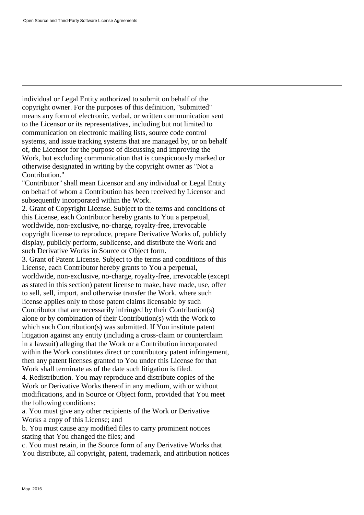individual or Legal Entity authorized to submit on behalf of the copyright owner. For the purposes of this definition, "submitted" means any form of electronic, verbal, or written communication sent to the Licensor or its representatives, including but not limited to communication on electronic mailing lists, source code control systems, and issue tracking systems that are managed by, or on behalf of, the Licensor for the purpose of discussing and improving the Work, but excluding communication that is conspicuously marked or otherwise designated in writing by the copyright owner as "Not a Contribution."

"Contributor" shall mean Licensor and any individual or Legal Entity on behalf of whom a Contribution has been received by Licensor and subsequently incorporated within the Work.

2. Grant of Copyright License. Subject to the terms and conditions of this License, each Contributor hereby grants to You a perpetual, worldwide, non-exclusive, no-charge, royalty-free, irrevocable copyright license to reproduce, prepare Derivative Works of, publicly display, publicly perform, sublicense, and distribute the Work and such Derivative Works in Source or Object form.

3. Grant of Patent License. Subject to the terms and conditions of this License, each Contributor hereby grants to You a perpetual, worldwide, non-exclusive, no-charge, royalty-free, irrevocable (except as stated in this section) patent license to make, have made, use, offer to sell, sell, import, and otherwise transfer the Work, where such license applies only to those patent claims licensable by such Contributor that are necessarily infringed by their Contribution(s) alone or by combination of their Contribution(s) with the Work to which such Contribution(s) was submitted. If You institute patent litigation against any entity (including a cross-claim or counterclaim in a lawsuit) alleging that the Work or a Contribution incorporated within the Work constitutes direct or contributory patent infringement, then any patent licenses granted to You under this License for that Work shall terminate as of the date such litigation is filed.

4. Redistribution. You may reproduce and distribute copies of the Work or Derivative Works thereof in any medium, with or without modifications, and in Source or Object form, provided that You meet the following conditions:

a. You must give any other recipients of the Work or Derivative Works a copy of this License; and

b. You must cause any modified files to carry prominent notices stating that You changed the files; and

c. You must retain, in the Source form of any Derivative Works that You distribute, all copyright, patent, trademark, and attribution notices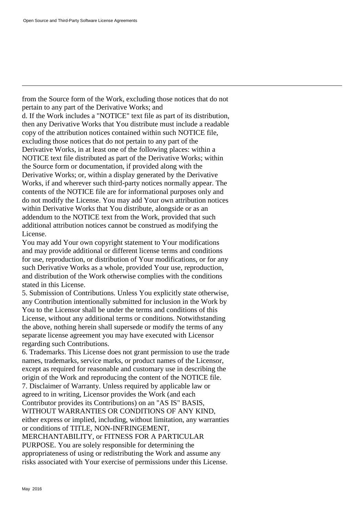from the Source form of the Work, excluding those notices that do not pertain to any part of the Derivative Works; and d. If the Work includes a "NOTICE" text file as part of its distribution, then any Derivative Works that You distribute must include a readable copy of the attribution notices contained within such NOTICE file, excluding those notices that do not pertain to any part of the Derivative Works, in at least one of the following places: within a NOTICE text file distributed as part of the Derivative Works; within the Source form or documentation, if provided along with the Derivative Works; or, within a display generated by the Derivative Works, if and wherever such third-party notices normally appear. The contents of the NOTICE file are for informational purposes only and do not modify the License. You may add Your own attribution notices within Derivative Works that You distribute, alongside or as an addendum to the NOTICE text from the Work, provided that such additional attribution notices cannot be construed as modifying the License.

You may add Your own copyright statement to Your modifications and may provide additional or different license terms and conditions for use, reproduction, or distribution of Your modifications, or for any such Derivative Works as a whole, provided Your use, reproduction, and distribution of the Work otherwise complies with the conditions stated in this License.

5. Submission of Contributions. Unless You explicitly state otherwise, any Contribution intentionally submitted for inclusion in the Work by You to the Licensor shall be under the terms and conditions of this License, without any additional terms or conditions. Notwithstanding the above, nothing herein shall supersede or modify the terms of any separate license agreement you may have executed with Licensor regarding such Contributions.

6. Trademarks. This License does not grant permission to use the trade names, trademarks, service marks, or product names of the Licensor, except as required for reasonable and customary use in describing the origin of the Work and reproducing the content of the NOTICE file. 7. Disclaimer of Warranty. Unless required by applicable law or agreed to in writing, Licensor provides the Work (and each Contributor provides its Contributions) on an "AS IS" BASIS, WITHOUT WARRANTIES OR CONDITIONS OF ANY KIND, either express or implied, including, without limitation, any warranties or conditions of TITLE, NON-INFRINGEMENT, MERCHANTABILITY, or FITNESS FOR A PARTICULAR PURPOSE. You are solely responsible for determining the appropriateness of using or redistributing the Work and assume any risks associated with Your exercise of permissions under this License.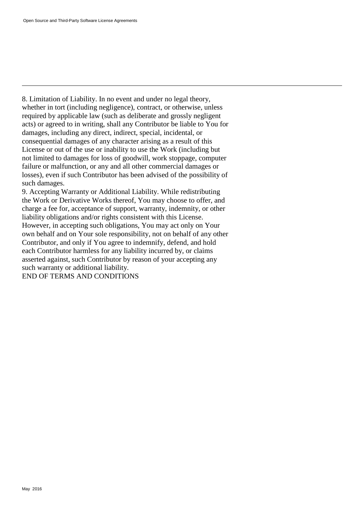8. Limitation of Liability. In no event and under no legal theory, whether in tort (including negligence), contract, or otherwise, unless required by applicable law (such as deliberate and grossly negligent acts) or agreed to in writing, shall any Contributor be liable to You for damages, including any direct, indirect, special, incidental, or consequential damages of any character arising as a result of this License or out of the use or inability to use the Work (including but not limited to damages for loss of goodwill, work stoppage, computer failure or malfunction, or any and all other commercial damages or losses), even if such Contributor has been advised of the possibility of such damages.

9. Accepting Warranty or Additional Liability. While redistributing the Work or Derivative Works thereof, You may choose to offer, and charge a fee for, acceptance of support, warranty, indemnity, or other liability obligations and/or rights consistent with this License. However, in accepting such obligations, You may act only on Your own behalf and on Your sole responsibility, not on behalf of any other Contributor, and only if You agree to indemnify, defend, and hold each Contributor harmless for any liability incurred by, or claims asserted against, such Contributor by reason of your accepting any such warranty or additional liability.

END OF TERMS AND CONDITIONS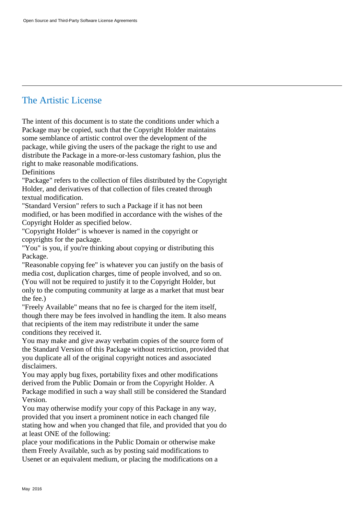# <span id="page-17-0"></span>The Artistic License

The intent of this document is to state the conditions under which a Package may be copied, such that the Copyright Holder maintains some semblance of artistic control over the development of the package, while giving the users of the package the right to use and distribute the Package in a more-or-less customary fashion, plus the right to make reasonable modifications.

**Definitions** 

"Package" refers to the collection of files distributed by the Copyright Holder, and derivatives of that collection of files created through textual modification.

"Standard Version" refers to such a Package if it has not been modified, or has been modified in accordance with the wishes of the Copyright Holder as specified below.

"Copyright Holder" is whoever is named in the copyright or copyrights for the package.

"You" is you, if you're thinking about copying or distributing this Package.

"Reasonable copying fee" is whatever you can justify on the basis of media cost, duplication charges, time of people involved, and so on. (You will not be required to justify it to the Copyright Holder, but only to the computing community at large as a market that must bear the fee.)

"Freely Available" means that no fee is charged for the item itself, though there may be fees involved in handling the item. It also means that recipients of the item may redistribute it under the same conditions they received it.

You may make and give away verbatim copies of the source form of the Standard Version of this Package without restriction, provided that you duplicate all of the original copyright notices and associated disclaimers.

You may apply bug fixes, portability fixes and other modifications derived from the Public Domain or from the Copyright Holder. A Package modified in such a way shall still be considered the Standard Version.

You may otherwise modify your copy of this Package in any way, provided that you insert a prominent notice in each changed file stating how and when you changed that file, and provided that you do at least ONE of the following:

place your modifications in the Public Domain or otherwise make them Freely Available, such as by posting said modifications to Usenet or an equivalent medium, or placing the modifications on a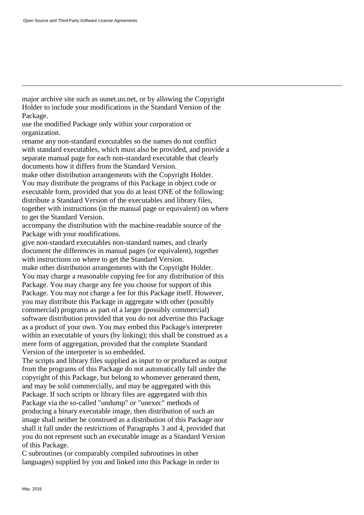major archive site such as uunet.uu.net, or by allowing the Copyright Holder to include your modifications in the Standard Version of the Package.

use the modified Package only within your corporation or organization.

rename any non-standard executables so the names do not conflict with standard executables, which must also be provided, and provide a separate manual page for each non-standard executable that clearly documents how it differs from the Standard Version.

make other distribution arrangements with the Copyright Holder. You may distribute the programs of this Package in object code or executable form, provided that you do at least ONE of the following: distribute a Standard Version of the executables and library files, together with instructions (in the manual page or equivalent) on where to get the Standard Version.

accompany the distribution with the machine-readable source of the Package with your modifications.

give non-standard executables non-standard names, and clearly document the differences in manual pages (or equivalent), together with instructions on where to get the Standard Version.

make other distribution arrangements with the Copyright Holder. You may charge a reasonable copying fee for any distribution of this Package. You may charge any fee you choose for support of this Package. You may not charge a fee for this Package itself. However, you may distribute this Package in aggregate with other (possibly commercial) programs as part of a larger (possibly commercial) software distribution provided that you do not advertise this Package as a product of your own. You may embed this Package's interpreter within an executable of yours (by linking); this shall be construed as a mere form of aggregation, provided that the complete Standard Version of the interpreter is so embedded.

The scripts and library files supplied as input to or produced as output from the programs of this Package do not automatically fall under the copyright of this Package, but belong to whomever generated them, and may be sold commercially, and may be aggregated with this Package. If such scripts or library files are aggregated with this Package via the so-called "undump" or "unexec" methods of producing a binary executable image, then distribution of such an image shall neither be construed as a distribution of this Package nor shall it fall under the restrictions of Paragraphs 3 and 4, provided that you do not represent such an executable image as a Standard Version of this Package.

C subroutines (or comparably compiled subroutines in other languages) supplied by you and linked into this Package in order to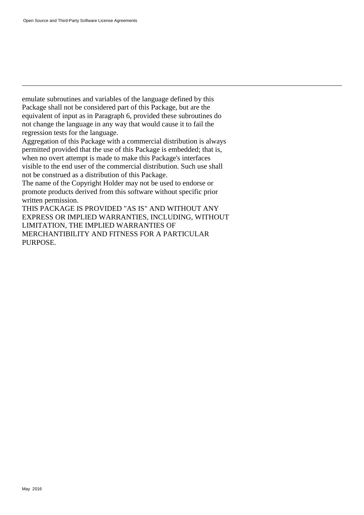emulate subroutines and variables of the language defined by this Package shall not be considered part of this Package, but are the equivalent of input as in Paragraph 6, provided these subroutines do not change the language in any way that would cause it to fail the regression tests for the language.

Aggregation of this Package with a commercial distribution is always permitted provided that the use of this Package is embedded; that is, when no overt attempt is made to make this Package's interfaces visible to the end user of the commercial distribution. Such use shall not be construed as a distribution of this Package.

The name of the Copyright Holder may not be used to endorse or promote products derived from this software without specific prior written permission.

THIS PACKAGE IS PROVIDED "AS IS" AND WITHOUT ANY EXPRESS OR IMPLIED WARRANTIES, INCLUDING, WITHOUT LIMITATION, THE IMPLIED WARRANTIES OF MERCHANTIBILITY AND FITNESS FOR A PARTICULAR PURPOSE.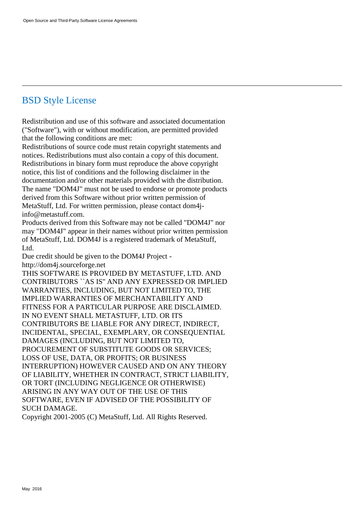# <span id="page-20-0"></span>BSD Style License

Redistribution and use of this software and associated documentation ("Software"), with or without modification, are permitted provided that the following conditions are met:

Redistributions of source code must retain copyright statements and notices. Redistributions must also contain a copy of this document. Redistributions in binary form must reproduce the above copyright notice, this list of conditions and the following disclaimer in the documentation and/or other materials provided with the distribution. The name "DOM4J" must not be used to endorse or promote products derived from this Software without prior written permission of MetaStuff, Ltd. For written permission, please contact dom4jinfo@metastuff.com.

Products derived from this Software may not be called "DOM4J" nor may "DOM4J" appear in their names without prior written permission of MetaStuff, Ltd. DOM4J is a registered trademark of MetaStuff, Ltd.

Due credit should be given to the DOM4J Project -

http://dom4j.sourceforge.net

THIS SOFTWARE IS PROVIDED BY METASTUFF, LTD. AND CONTRIBUTORS ``AS IS'' AND ANY EXPRESSED OR IMPLIED WARRANTIES, INCLUDING, BUT NOT LIMITED TO, THE IMPLIED WARRANTIES OF MERCHANTABILITY AND FITNESS FOR A PARTICULAR PURPOSE ARE DISCLAIMED. IN NO EVENT SHALL METASTUFF, LTD. OR ITS CONTRIBUTORS BE LIABLE FOR ANY DIRECT, INDIRECT, INCIDENTAL, SPECIAL, EXEMPLARY, OR CONSEQUENTIAL DAMAGES (INCLUDING, BUT NOT LIMITED TO, PROCUREMENT OF SUBSTITUTE GOODS OR SERVICES; LOSS OF USE, DATA, OR PROFITS; OR BUSINESS INTERRUPTION) HOWEVER CAUSED AND ON ANY THEORY OF LIABILITY, WHETHER IN CONTRACT, STRICT LIABILITY, OR TORT (INCLUDING NEGLIGENCE OR OTHERWISE) ARISING IN ANY WAY OUT OF THE USE OF THIS SOFTWARE, EVEN IF ADVISED OF THE POSSIBILITY OF SUCH DAMAGE.

Copyright 2001-2005 (C) MetaStuff, Ltd. All Rights Reserved.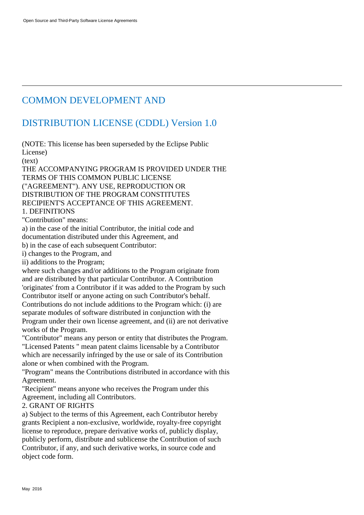# <span id="page-21-0"></span>COMMON DEVELOPMENT AND

# DISTRIBUTION LICENSE (CDDL) Version 1.0

(NOTE: This license has been superseded by the Eclipse Public License)

THE ACCOMPANYING PROGRAM IS PROVIDED UNDER THE

(text)

TERMS OF THIS COMMON PUBLIC LICENSE ("AGREEMENT"). ANY USE, REPRODUCTION OR DISTRIBUTION OF THE PROGRAM CONSTITUTES RECIPIENT'S ACCEPTANCE OF THIS AGREEMENT. 1. DEFINITIONS "Contribution" means: a) in the case of the initial Contributor, the initial code and documentation distributed under this Agreement, and b) in the case of each subsequent Contributor: i) changes to the Program, and ii) additions to the Program; where such changes and/or additions to the Program originate from and are distributed by that particular Contributor. A Contribution 'originates' from a Contributor if it was added to the Program by such Contributor itself or anyone acting on such Contributor's behalf. Contributions do not include additions to the Program which: (i) are separate modules of software distributed in conjunction with the Program under their own license agreement, and (ii) are not derivative works of the Program. "Contributor" means any person or entity that distributes the Program. "Licensed Patents " mean patent claims licensable by a Contributor which are necessarily infringed by the use or sale of its Contribution alone or when combined with the Program. "Program" means the Contributions distributed in accordance with this

Agreement.

"Recipient" means anyone who receives the Program under this Agreement, including all Contributors.

2. GRANT OF RIGHTS

a) Subject to the terms of this Agreement, each Contributor hereby grants Recipient a non-exclusive, worldwide, royalty-free copyright license to reproduce, prepare derivative works of, publicly display, publicly perform, distribute and sublicense the Contribution of such Contributor, if any, and such derivative works, in source code and object code form.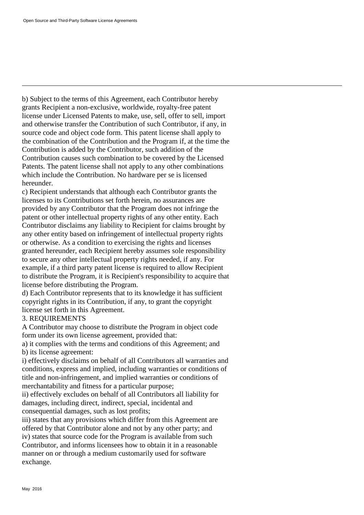b) Subject to the terms of this Agreement, each Contributor hereby grants Recipient a non-exclusive, worldwide, royalty-free patent license under Licensed Patents to make, use, sell, offer to sell, import and otherwise transfer the Contribution of such Contributor, if any, in source code and object code form. This patent license shall apply to the combination of the Contribution and the Program if, at the time the Contribution is added by the Contributor, such addition of the Contribution causes such combination to be covered by the Licensed Patents. The patent license shall not apply to any other combinations which include the Contribution. No hardware per se is licensed hereunder.

c) Recipient understands that although each Contributor grants the licenses to its Contributions set forth herein, no assurances are provided by any Contributor that the Program does not infringe the patent or other intellectual property rights of any other entity. Each Contributor disclaims any liability to Recipient for claims brought by any other entity based on infringement of intellectual property rights or otherwise. As a condition to exercising the rights and licenses granted hereunder, each Recipient hereby assumes sole responsibility to secure any other intellectual property rights needed, if any. For example, if a third party patent license is required to allow Recipient to distribute the Program, it is Recipient's responsibility to acquire that license before distributing the Program.

d) Each Contributor represents that to its knowledge it has sufficient copyright rights in its Contribution, if any, to grant the copyright license set forth in this Agreement.

### 3. REQUIREMENTS

A Contributor may choose to distribute the Program in object code form under its own license agreement, provided that:

a) it complies with the terms and conditions of this Agreement; and b) its license agreement:

i) effectively disclaims on behalf of all Contributors all warranties and conditions, express and implied, including warranties or conditions of title and non-infringement, and implied warranties or conditions of merchantability and fitness for a particular purpose;

ii) effectively excludes on behalf of all Contributors all liability for damages, including direct, indirect, special, incidental and consequential damages, such as lost profits;

iii) states that any provisions which differ from this Agreement are offered by that Contributor alone and not by any other party; and iv) states that source code for the Program is available from such Contributor, and informs licensees how to obtain it in a reasonable manner on or through a medium customarily used for software exchange.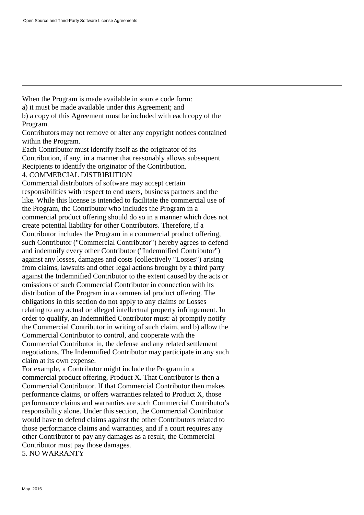When the Program is made available in source code form:

a) it must be made available under this Agreement; and b) a copy of this Agreement must be included with each copy of the Program. Contributors may not remove or alter any copyright notices contained within the Program. Each Contributor must identify itself as the originator of its Contribution, if any, in a manner that reasonably allows subsequent Recipients to identify the originator of the Contribution. 4. COMMERCIAL DISTRIBUTION Commercial distributors of software may accept certain responsibilities with respect to end users, business partners and the like. While this license is intended to facilitate the commercial use of the Program, the Contributor who includes the Program in a commercial product offering should do so in a manner which does not create potential liability for other Contributors. Therefore, if a Contributor includes the Program in a commercial product offering, such Contributor ("Commercial Contributor") hereby agrees to defend and indemnify every other Contributor ("Indemnified Contributor") against any losses, damages and costs (collectively "Losses") arising from claims, lawsuits and other legal actions brought by a third party against the Indemnified Contributor to the extent caused by the acts or omissions of such Commercial Contributor in connection with its distribution of the Program in a commercial product offering. The obligations in this section do not apply to any claims or Losses relating to any actual or alleged intellectual property infringement. In order to qualify, an Indemnified Contributor must: a) promptly notify the Commercial Contributor in writing of such claim, and b) allow the Commercial Contributor to control, and cooperate with the Commercial Contributor in, the defense and any related settlement negotiations. The Indemnified Contributor may participate in any such claim at its own expense.

For example, a Contributor might include the Program in a commercial product offering, Product X. That Contributor is then a Commercial Contributor. If that Commercial Contributor then makes performance claims, or offers warranties related to Product X, those performance claims and warranties are such Commercial Contributor's responsibility alone. Under this section, the Commercial Contributor would have to defend claims against the other Contributors related to those performance claims and warranties, and if a court requires any other Contributor to pay any damages as a result, the Commercial Contributor must pay those damages.

5. NO WARRANTY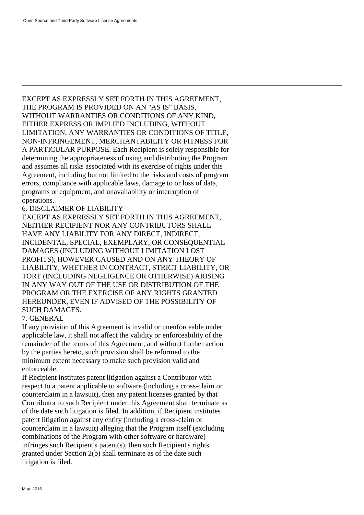EXCEPT AS EXPRESSLY SET FORTH IN THIS AGREEMENT, THE PROGRAM IS PROVIDED ON AN "AS IS" BASIS, WITHOUT WARRANTIES OR CONDITIONS OF ANY KIND, EITHER EXPRESS OR IMPLIED INCLUDING, WITHOUT LIMITATION, ANY WARRANTIES OR CONDITIONS OF TITLE, NON-INFRINGEMENT, MERCHANTABILITY OR FITNESS FOR A PARTICULAR PURPOSE. Each Recipient is solely responsible for determining the appropriateness of using and distributing the Program and assumes all risks associated with its exercise of rights under this Agreement, including but not limited to the risks and costs of program errors, compliance with applicable laws, damage to or loss of data, programs or equipment, and unavailability or interruption of operations.

#### 6. DISCLAIMER OF LIABILITY

EXCEPT AS EXPRESSLY SET FORTH IN THIS AGREEMENT, NEITHER RECIPIENT NOR ANY CONTRIBUTORS SHALL HAVE ANY LIABILITY FOR ANY DIRECT, INDIRECT, INCIDENTAL, SPECIAL, EXEMPLARY, OR CONSEQUENTIAL DAMAGES (INCLUDING WITHOUT LIMITATION LOST PROFITS), HOWEVER CAUSED AND ON ANY THEORY OF LIABILITY, WHETHER IN CONTRACT, STRICT LIABILITY, OR TORT (INCLUDING NEGLIGENCE OR OTHERWISE) ARISING IN ANY WAY OUT OF THE USE OR DISTRIBUTION OF THE PROGRAM OR THE EXERCISE OF ANY RIGHTS GRANTED HEREUNDER, EVEN IF ADVISED OF THE POSSIBILITY OF SUCH DAMAGES.

### 7. GENERAL

If any provision of this Agreement is invalid or unenforceable under applicable law, it shall not affect the validity or enforceability of the remainder of the terms of this Agreement, and without further action by the parties hereto, such provision shall be reformed to the minimum extent necessary to make such provision valid and enforceable.

If Recipient institutes patent litigation against a Contributor with respect to a patent applicable to software (including a cross-claim or counterclaim in a lawsuit), then any patent licenses granted by that Contributor to such Recipient under this Agreement shall terminate as of the date such litigation is filed. In addition, if Recipient institutes patent litigation against any entity (including a cross-claim or counterclaim in a lawsuit) alleging that the Program itself (excluding combinations of the Program with other software or hardware) infringes such Recipient's patent(s), then such Recipient's rights granted under Section 2(b) shall terminate as of the date such litigation is filed.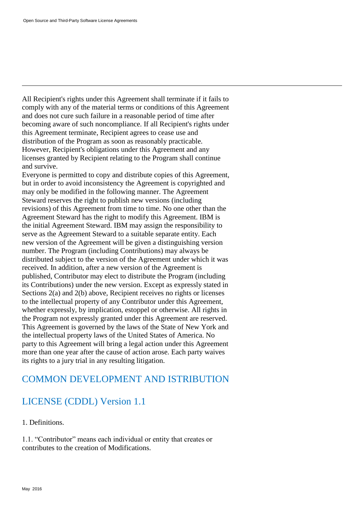All Recipient's rights under this Agreement shall terminate if it fails to comply with any of the material terms or conditions of this Agreement and does not cure such failure in a reasonable period of time after becoming aware of such noncompliance. If all Recipient's rights under this Agreement terminate, Recipient agrees to cease use and distribution of the Program as soon as reasonably practicable. However, Recipient's obligations under this Agreement and any licenses granted by Recipient relating to the Program shall continue and survive.

Everyone is permitted to copy and distribute copies of this Agreement, but in order to avoid inconsistency the Agreement is copyrighted and may only be modified in the following manner. The Agreement Steward reserves the right to publish new versions (including revisions) of this Agreement from time to time. No one other than the Agreement Steward has the right to modify this Agreement. IBM is the initial Agreement Steward. IBM may assign the responsibility to serve as the Agreement Steward to a suitable separate entity. Each new version of the Agreement will be given a distinguishing version number. The Program (including Contributions) may always be distributed subject to the version of the Agreement under which it was received. In addition, after a new version of the Agreement is published, Contributor may elect to distribute the Program (including its Contributions) under the new version. Except as expressly stated in Sections 2(a) and 2(b) above, Recipient receives no rights or licenses to the intellectual property of any Contributor under this Agreement, whether expressly, by implication, estoppel or otherwise. All rights in the Program not expressly granted under this Agreement are reserved. This Agreement is governed by the laws of the State of New York and the intellectual property laws of the United States of America. No party to this Agreement will bring a legal action under this Agreement more than one year after the cause of action arose. Each party waives its rights to a jury trial in any resulting litigation.

### <span id="page-25-0"></span>COMMON DEVELOPMENT AND ISTRIBUTION

### LICENSE (CDDL) Version 1.1

1. Definitions.

1.1. "Contributor" means each individual or entity that creates or contributes to the creation of Modifications.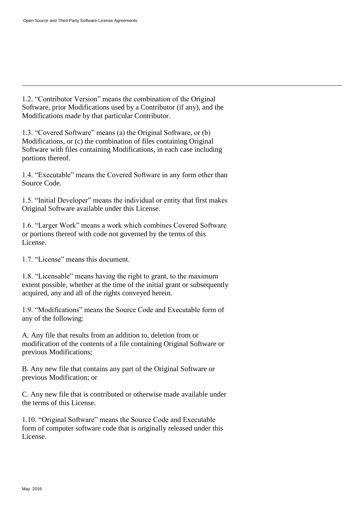1.2. "Contributor Version" means the combination of the Original Software, prior Modifications used by a Contributor (if any), and the Modifications made by that particular Contributor.

1.3. "Covered Software" means (a) the Original Software, or (b) Modifications, or (c) the combination of files containing Original Software with files containing Modifications, in each case including portions thereof.

1.4. "Executable" means the Covered Software in any form other than Source Code.

1.5. "Initial Developer" means the individual or entity that first makes Original Software available under this License.

1.6. "Larger Work" means a work which combines Covered Software or portions thereof with code not governed by the terms of this License.

1.7. "License" means this document.

1.8. "Licensable" means having the right to grant, to the maximum extent possible, whether at the time of the initial grant or subsequently acquired, any and all of the rights conveyed herein.

1.9. "Modifications" means the Source Code and Executable form of any of the following:

A. Any file that results from an addition to, deletion from or modification of the contents of a file containing Original Software or previous Modifications;

B. Any new file that contains any part of the Original Software or previous Modification; or

C. Any new file that is contributed or otherwise made available under the terms of this License.

1.10. "Original Software" means the Source Code and Executable form of computer software code that is originally released under this License.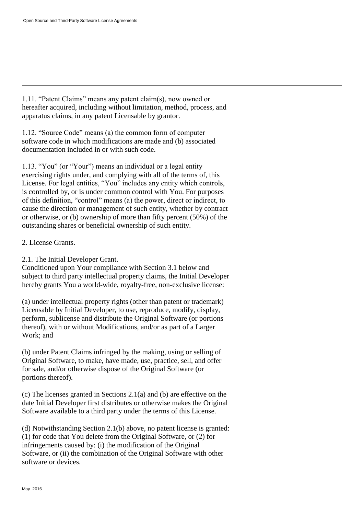1.11. "Patent Claims" means any patent claim(s), now owned or hereafter acquired, including without limitation, method, process, and apparatus claims, in any patent Licensable by grantor.

1.12. "Source Code" means (a) the common form of computer software code in which modifications are made and (b) associated documentation included in or with such code.

1.13. "You" (or "Your") means an individual or a legal entity exercising rights under, and complying with all of the terms of, this License. For legal entities, "You" includes any entity which controls, is controlled by, or is under common control with You. For purposes of this definition, "control" means (a) the power, direct or indirect, to cause the direction or management of such entity, whether by contract or otherwise, or (b) ownership of more than fifty percent (50%) of the outstanding shares or beneficial ownership of such entity.

### 2. License Grants.

2.1. The Initial Developer Grant.

Conditioned upon Your compliance with Section 3.1 below and subject to third party intellectual property claims, the Initial Developer hereby grants You a world-wide, royalty-free, non-exclusive license:

(a) under intellectual property rights (other than patent or trademark) Licensable by Initial Developer, to use, reproduce, modify, display, perform, sublicense and distribute the Original Software (or portions thereof), with or without Modifications, and/or as part of a Larger Work; and

(b) under Patent Claims infringed by the making, using or selling of Original Software, to make, have made, use, practice, sell, and offer for sale, and/or otherwise dispose of the Original Software (or portions thereof).

(c) The licenses granted in Sections 2.1(a) and (b) are effective on the date Initial Developer first distributes or otherwise makes the Original Software available to a third party under the terms of this License.

(d) Notwithstanding Section 2.1(b) above, no patent license is granted: (1) for code that You delete from the Original Software, or (2) for infringements caused by: (i) the modification of the Original Software, or (ii) the combination of the Original Software with other software or devices.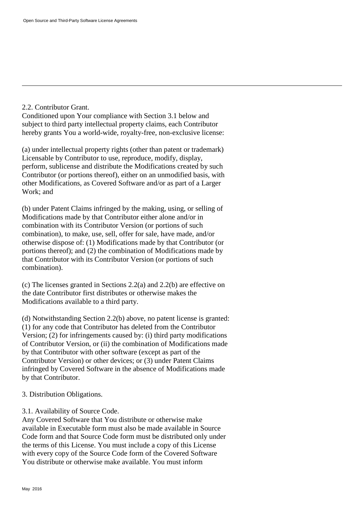### 2.2. Contributor Grant.

Conditioned upon Your compliance with Section 3.1 below and subject to third party intellectual property claims, each Contributor hereby grants You a world-wide, royalty-free, non-exclusive license:

(a) under intellectual property rights (other than patent or trademark) Licensable by Contributor to use, reproduce, modify, display, perform, sublicense and distribute the Modifications created by such Contributor (or portions thereof), either on an unmodified basis, with other Modifications, as Covered Software and/or as part of a Larger Work; and

(b) under Patent Claims infringed by the making, using, or selling of Modifications made by that Contributor either alone and/or in combination with its Contributor Version (or portions of such combination), to make, use, sell, offer for sale, have made, and/or otherwise dispose of: (1) Modifications made by that Contributor (or portions thereof); and (2) the combination of Modifications made by that Contributor with its Contributor Version (or portions of such combination).

(c) The licenses granted in Sections 2.2(a) and 2.2(b) are effective on the date Contributor first distributes or otherwise makes the Modifications available to a third party.

(d) Notwithstanding Section 2.2(b) above, no patent license is granted: (1) for any code that Contributor has deleted from the Contributor Version; (2) for infringements caused by: (i) third party modifications of Contributor Version, or (ii) the combination of Modifications made by that Contributor with other software (except as part of the Contributor Version) or other devices; or (3) under Patent Claims infringed by Covered Software in the absence of Modifications made by that Contributor.

### 3. Distribution Obligations.

### 3.1. Availability of Source Code.

Any Covered Software that You distribute or otherwise make available in Executable form must also be made available in Source Code form and that Source Code form must be distributed only under the terms of this License. You must include a copy of this License with every copy of the Source Code form of the Covered Software You distribute or otherwise make available. You must inform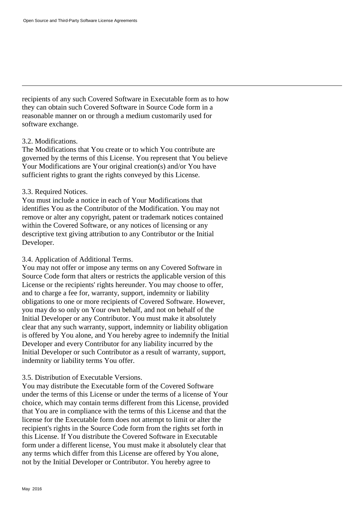recipients of any such Covered Software in Executable form as to how they can obtain such Covered Software in Source Code form in a reasonable manner on or through a medium customarily used for software exchange.

#### 3.2. Modifications.

The Modifications that You create or to which You contribute are governed by the terms of this License. You represent that You believe Your Modifications are Your original creation(s) and/or You have sufficient rights to grant the rights conveyed by this License.

#### 3.3. Required Notices.

You must include a notice in each of Your Modifications that identifies You as the Contributor of the Modification. You may not remove or alter any copyright, patent or trademark notices contained within the Covered Software, or any notices of licensing or any descriptive text giving attribution to any Contributor or the Initial Developer.

#### 3.4. Application of Additional Terms.

You may not offer or impose any terms on any Covered Software in Source Code form that alters or restricts the applicable version of this License or the recipients' rights hereunder. You may choose to offer, and to charge a fee for, warranty, support, indemnity or liability obligations to one or more recipients of Covered Software. However, you may do so only on Your own behalf, and not on behalf of the Initial Developer or any Contributor. You must make it absolutely clear that any such warranty, support, indemnity or liability obligation is offered by You alone, and You hereby agree to indemnify the Initial Developer and every Contributor for any liability incurred by the Initial Developer or such Contributor as a result of warranty, support, indemnity or liability terms You offer.

#### 3.5. Distribution of Executable Versions.

You may distribute the Executable form of the Covered Software under the terms of this License or under the terms of a license of Your choice, which may contain terms different from this License, provided that You are in compliance with the terms of this License and that the license for the Executable form does not attempt to limit or alter the recipient's rights in the Source Code form from the rights set forth in this License. If You distribute the Covered Software in Executable form under a different license, You must make it absolutely clear that any terms which differ from this License are offered by You alone, not by the Initial Developer or Contributor. You hereby agree to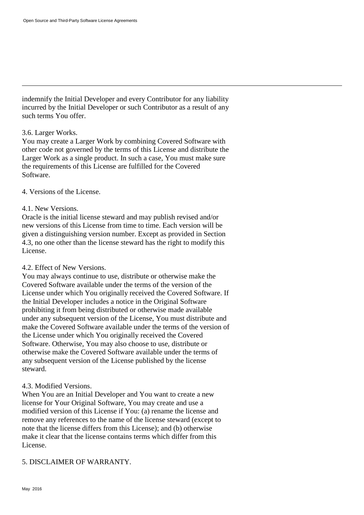indemnify the Initial Developer and every Contributor for any liability incurred by the Initial Developer or such Contributor as a result of any such terms You offer.

#### 3.6. Larger Works.

You may create a Larger Work by combining Covered Software with other code not governed by the terms of this License and distribute the Larger Work as a single product. In such a case, You must make sure the requirements of this License are fulfilled for the Covered Software.

4. Versions of the License.

### 4.1. New Versions.

Oracle is the initial license steward and may publish revised and/or new versions of this License from time to time. Each version will be given a distinguishing version number. Except as provided in Section 4.3, no one other than the license steward has the right to modify this License.

### 4.2. Effect of New Versions.

You may always continue to use, distribute or otherwise make the Covered Software available under the terms of the version of the License under which You originally received the Covered Software. If the Initial Developer includes a notice in the Original Software prohibiting it from being distributed or otherwise made available under any subsequent version of the License, You must distribute and make the Covered Software available under the terms of the version of the License under which You originally received the Covered Software. Otherwise, You may also choose to use, distribute or otherwise make the Covered Software available under the terms of any subsequent version of the License published by the license steward.

### 4.3. Modified Versions.

When You are an Initial Developer and You want to create a new license for Your Original Software, You may create and use a modified version of this License if You: (a) rename the license and remove any references to the name of the license steward (except to note that the license differs from this License); and (b) otherwise make it clear that the license contains terms which differ from this License.

### 5. DISCLAIMER OF WARRANTY.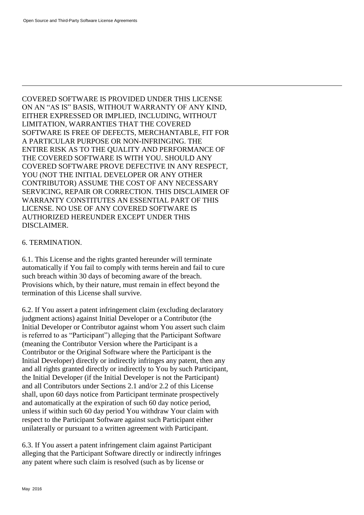COVERED SOFTWARE IS PROVIDED UNDER THIS LICENSE ON AN "AS IS" BASIS, WITHOUT WARRANTY OF ANY KIND, EITHER EXPRESSED OR IMPLIED, INCLUDING, WITHOUT LIMITATION, WARRANTIES THAT THE COVERED SOFTWARE IS FREE OF DEFECTS, MERCHANTABLE, FIT FOR A PARTICULAR PURPOSE OR NON-INFRINGING. THE ENTIRE RISK AS TO THE QUALITY AND PERFORMANCE OF THE COVERED SOFTWARE IS WITH YOU. SHOULD ANY COVERED SOFTWARE PROVE DEFECTIVE IN ANY RESPECT, YOU (NOT THE INITIAL DEVELOPER OR ANY OTHER CONTRIBUTOR) ASSUME THE COST OF ANY NECESSARY SERVICING, REPAIR OR CORRECTION. THIS DISCLAIMER OF WARRANTY CONSTITUTES AN ESSENTIAL PART OF THIS LICENSE. NO USE OF ANY COVERED SOFTWARE IS AUTHORIZED HEREUNDER EXCEPT UNDER THIS DISCLAIMER.

#### 6. TERMINATION.

6.1. This License and the rights granted hereunder will terminate automatically if You fail to comply with terms herein and fail to cure such breach within 30 days of becoming aware of the breach. Provisions which, by their nature, must remain in effect beyond the termination of this License shall survive.

6.2. If You assert a patent infringement claim (excluding declaratory judgment actions) against Initial Developer or a Contributor (the Initial Developer or Contributor against whom You assert such claim is referred to as "Participant") alleging that the Participant Software (meaning the Contributor Version where the Participant is a Contributor or the Original Software where the Participant is the Initial Developer) directly or indirectly infringes any patent, then any and all rights granted directly or indirectly to You by such Participant, the Initial Developer (if the Initial Developer is not the Participant) and all Contributors under Sections 2.1 and/or 2.2 of this License shall, upon 60 days notice from Participant terminate prospectively and automatically at the expiration of such 60 day notice period, unless if within such 60 day period You withdraw Your claim with respect to the Participant Software against such Participant either unilaterally or pursuant to a written agreement with Participant.

6.3. If You assert a patent infringement claim against Participant alleging that the Participant Software directly or indirectly infringes any patent where such claim is resolved (such as by license or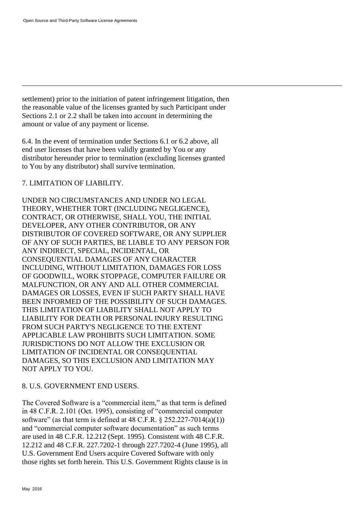settlement) prior to the initiation of patent infringement litigation, then the reasonable value of the licenses granted by such Participant under Sections 2.1 or 2.2 shall be taken into account in determining the amount or value of any payment or license.

6.4. In the event of termination under Sections 6.1 or 6.2 above, all end user licenses that have been validly granted by You or any distributor hereunder prior to termination (excluding licenses granted to You by any distributor) shall survive termination.

### 7. LIMITATION OF LIABILITY.

UNDER NO CIRCUMSTANCES AND UNDER NO LEGAL THEORY, WHETHER TORT (INCLUDING NEGLIGENCE), CONTRACT, OR OTHERWISE, SHALL YOU, THE INITIAL DEVELOPER, ANY OTHER CONTRIBUTOR, OR ANY DISTRIBUTOR OF COVERED SOFTWARE, OR ANY SUPPLIER OF ANY OF SUCH PARTIES, BE LIABLE TO ANY PERSON FOR ANY INDIRECT, SPECIAL, INCIDENTAL, OR CONSEQUENTIAL DAMAGES OF ANY CHARACTER INCLUDING, WITHOUT LIMITATION, DAMAGES FOR LOSS OF GOODWILL, WORK STOPPAGE, COMPUTER FAILURE OR MALFUNCTION, OR ANY AND ALL OTHER COMMERCIAL DAMAGES OR LOSSES, EVEN IF SUCH PARTY SHALL HAVE BEEN INFORMED OF THE POSSIBILITY OF SUCH DAMAGES. THIS LIMITATION OF LIABILITY SHALL NOT APPLY TO LIABILITY FOR DEATH OR PERSONAL INJURY RESULTING FROM SUCH PARTY'S NEGLIGENCE TO THE EXTENT APPLICABLE LAW PROHIBITS SUCH LIMITATION. SOME JURISDICTIONS DO NOT ALLOW THE EXCLUSION OR LIMITATION OF INCIDENTAL OR CONSEQUENTIAL DAMAGES, SO THIS EXCLUSION AND LIMITATION MAY NOT APPLY TO YOU.

### 8. U.S. GOVERNMENT END USERS.

The Covered Software is a "commercial item," as that term is defined in 48 C.F.R. 2.101 (Oct. 1995), consisting of "commercial computer software" (as that term is defined at  $48$  C.F.R.  $\& 252.227 - 7014(a)(1)$ ) and "commercial computer software documentation" as such terms are used in 48 C.F.R. 12.212 (Sept. 1995). Consistent with 48 C.F.R. 12.212 and 48 C.F.R. 227.7202-1 through 227.7202-4 (June 1995), all U.S. Government End Users acquire Covered Software with only those rights set forth herein. This U.S. Government Rights clause is in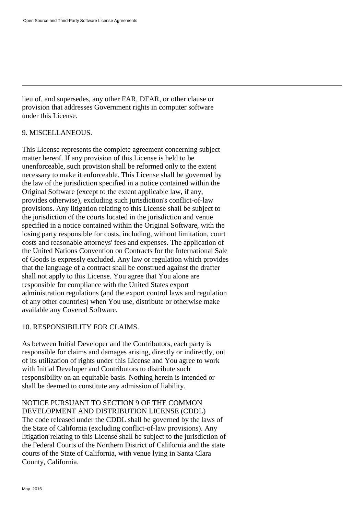lieu of, and supersedes, any other FAR, DFAR, or other clause or provision that addresses Government rights in computer software under this License.

### 9. MISCELLANEOUS.

This License represents the complete agreement concerning subject matter hereof. If any provision of this License is held to be unenforceable, such provision shall be reformed only to the extent necessary to make it enforceable. This License shall be governed by the law of the jurisdiction specified in a notice contained within the Original Software (except to the extent applicable law, if any, provides otherwise), excluding such jurisdiction's conflict-of-law provisions. Any litigation relating to this License shall be subject to the jurisdiction of the courts located in the jurisdiction and venue specified in a notice contained within the Original Software, with the losing party responsible for costs, including, without limitation, court costs and reasonable attorneys' fees and expenses. The application of the United Nations Convention on Contracts for the International Sale of Goods is expressly excluded. Any law or regulation which provides that the language of a contract shall be construed against the drafter shall not apply to this License. You agree that You alone are responsible for compliance with the United States export administration regulations (and the export control laws and regulation of any other countries) when You use, distribute or otherwise make available any Covered Software.

### 10. RESPONSIBILITY FOR CLAIMS.

As between Initial Developer and the Contributors, each party is responsible for claims and damages arising, directly or indirectly, out of its utilization of rights under this License and You agree to work with Initial Developer and Contributors to distribute such responsibility on an equitable basis. Nothing herein is intended or shall be deemed to constitute any admission of liability.

NOTICE PURSUANT TO SECTION 9 OF THE COMMON DEVELOPMENT AND DISTRIBUTION LICENSE (CDDL) The code released under the CDDL shall be governed by the laws of the State of California (excluding conflict-of-law provisions). Any litigation relating to this License shall be subject to the jurisdiction of the Federal Courts of the Northern District of California and the state courts of the State of California, with venue lying in Santa Clara County, California.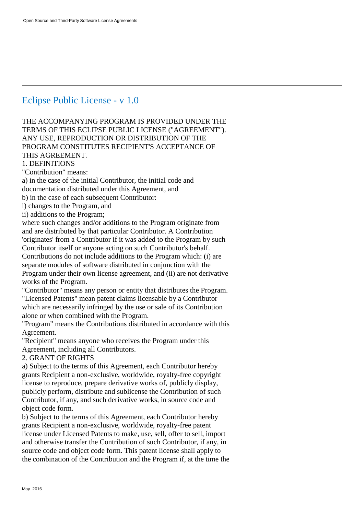# <span id="page-34-0"></span>Eclipse Public License - v 1.0

### THE ACCOMPANYING PROGRAM IS PROVIDED UNDER THE TERMS OF THIS ECLIPSE PUBLIC LICENSE ("AGREEMENT"). ANY USE, REPRODUCTION OR DISTRIBUTION OF THE PROGRAM CONSTITUTES RECIPIENT'S ACCEPTANCE OF THIS AGREEMENT.

#### 1. DEFINITIONS

"Contribution" means:

a) in the case of the initial Contributor, the initial code and documentation distributed under this Agreement, and

b) in the case of each subsequent Contributor:

i) changes to the Program, and

ii) additions to the Program;

where such changes and/or additions to the Program originate from and are distributed by that particular Contributor. A Contribution 'originates' from a Contributor if it was added to the Program by such Contributor itself or anyone acting on such Contributor's behalf. Contributions do not include additions to the Program which: (i) are separate modules of software distributed in conjunction with the Program under their own license agreement, and (ii) are not derivative works of the Program.

"Contributor" means any person or entity that distributes the Program. "Licensed Patents" mean patent claims licensable by a Contributor which are necessarily infringed by the use or sale of its Contribution alone or when combined with the Program.

"Program" means the Contributions distributed in accordance with this Agreement.

"Recipient" means anyone who receives the Program under this Agreement, including all Contributors.

### 2. GRANT OF RIGHTS

a) Subject to the terms of this Agreement, each Contributor hereby grants Recipient a non-exclusive, worldwide, royalty-free copyright license to reproduce, prepare derivative works of, publicly display, publicly perform, distribute and sublicense the Contribution of such Contributor, if any, and such derivative works, in source code and object code form.

b) Subject to the terms of this Agreement, each Contributor hereby grants Recipient a non-exclusive, worldwide, royalty-free patent license under Licensed Patents to make, use, sell, offer to sell, import and otherwise transfer the Contribution of such Contributor, if any, in source code and object code form. This patent license shall apply to the combination of the Contribution and the Program if, at the time the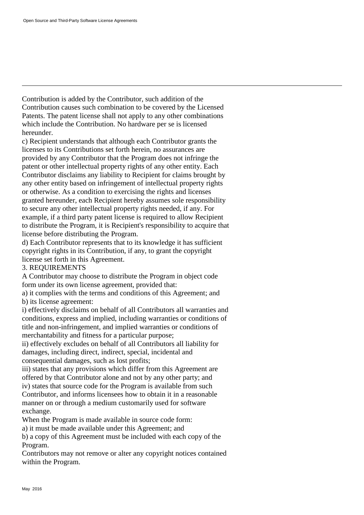Contribution is added by the Contributor, such addition of the Contribution causes such combination to be covered by the Licensed Patents. The patent license shall not apply to any other combinations which include the Contribution. No hardware per se is licensed hereunder.

c) Recipient understands that although each Contributor grants the licenses to its Contributions set forth herein, no assurances are provided by any Contributor that the Program does not infringe the patent or other intellectual property rights of any other entity. Each Contributor disclaims any liability to Recipient for claims brought by any other entity based on infringement of intellectual property rights or otherwise. As a condition to exercising the rights and licenses granted hereunder, each Recipient hereby assumes sole responsibility to secure any other intellectual property rights needed, if any. For example, if a third party patent license is required to allow Recipient to distribute the Program, it is Recipient's responsibility to acquire that license before distributing the Program.

d) Each Contributor represents that to its knowledge it has sufficient copyright rights in its Contribution, if any, to grant the copyright license set forth in this Agreement.

### 3. REQUIREMENTS

A Contributor may choose to distribute the Program in object code form under its own license agreement, provided that:

a) it complies with the terms and conditions of this Agreement; and b) its license agreement:

i) effectively disclaims on behalf of all Contributors all warranties and conditions, express and implied, including warranties or conditions of title and non-infringement, and implied warranties or conditions of merchantability and fitness for a particular purpose;

ii) effectively excludes on behalf of all Contributors all liability for damages, including direct, indirect, special, incidental and consequential damages, such as lost profits;

iii) states that any provisions which differ from this Agreement are offered by that Contributor alone and not by any other party; and iv) states that source code for the Program is available from such

Contributor, and informs licensees how to obtain it in a reasonable manner on or through a medium customarily used for software exchange.

When the Program is made available in source code form:

a) it must be made available under this Agreement; and

b) a copy of this Agreement must be included with each copy of the Program.

Contributors may not remove or alter any copyright notices contained within the Program.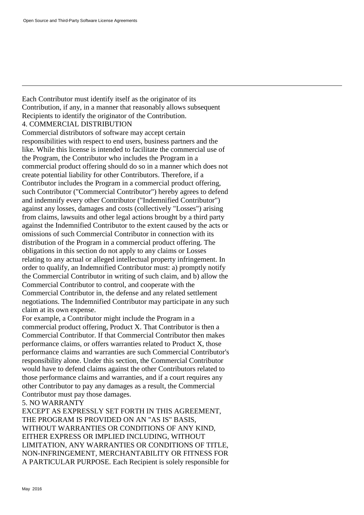Each Contributor must identify itself as the originator of its Contribution, if any, in a manner that reasonably allows subsequent Recipients to identify the originator of the Contribution.

## 4. COMMERCIAL DISTRIBUTION

Commercial distributors of software may accept certain responsibilities with respect to end users, business partners and the like. While this license is intended to facilitate the commercial use of the Program, the Contributor who includes the Program in a commercial product offering should do so in a manner which does not create potential liability for other Contributors. Therefore, if a Contributor includes the Program in a commercial product offering, such Contributor ("Commercial Contributor") hereby agrees to defend and indemnify every other Contributor ("Indemnified Contributor") against any losses, damages and costs (collectively "Losses") arising from claims, lawsuits and other legal actions brought by a third party against the Indemnified Contributor to the extent caused by the acts or omissions of such Commercial Contributor in connection with its distribution of the Program in a commercial product offering. The obligations in this section do not apply to any claims or Losses relating to any actual or alleged intellectual property infringement. In order to qualify, an Indemnified Contributor must: a) promptly notify the Commercial Contributor in writing of such claim, and b) allow the Commercial Contributor to control, and cooperate with the Commercial Contributor in, the defense and any related settlement negotiations. The Indemnified Contributor may participate in any such claim at its own expense.

For example, a Contributor might include the Program in a commercial product offering, Product X. That Contributor is then a Commercial Contributor. If that Commercial Contributor then makes performance claims, or offers warranties related to Product X, those performance claims and warranties are such Commercial Contributor's responsibility alone. Under this section, the Commercial Contributor would have to defend claims against the other Contributors related to those performance claims and warranties, and if a court requires any other Contributor to pay any damages as a result, the Commercial Contributor must pay those damages.

#### 5. NO WARRANTY

EXCEPT AS EXPRESSLY SET FORTH IN THIS AGREEMENT, THE PROGRAM IS PROVIDED ON AN "AS IS" BASIS, WITHOUT WARRANTIES OR CONDITIONS OF ANY KIND, EITHER EXPRESS OR IMPLIED INCLUDING, WITHOUT LIMITATION, ANY WARRANTIES OR CONDITIONS OF TITLE, NON-INFRINGEMENT, MERCHANTABILITY OR FITNESS FOR A PARTICULAR PURPOSE. Each Recipient is solely responsible for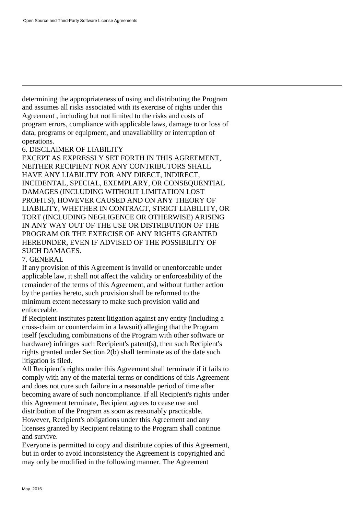determining the appropriateness of using and distributing the Program and assumes all risks associated with its exercise of rights under this Agreement , including but not limited to the risks and costs of program errors, compliance with applicable laws, damage to or loss of data, programs or equipment, and unavailability or interruption of operations.

#### 6. DISCLAIMER OF LIABILITY

EXCEPT AS EXPRESSLY SET FORTH IN THIS AGREEMENT, NEITHER RECIPIENT NOR ANY CONTRIBUTORS SHALL HAVE ANY LIABILITY FOR ANY DIRECT, INDIRECT, INCIDENTAL, SPECIAL, EXEMPLARY, OR CONSEQUENTIAL DAMAGES (INCLUDING WITHOUT LIMITATION LOST PROFITS), HOWEVER CAUSED AND ON ANY THEORY OF LIABILITY, WHETHER IN CONTRACT, STRICT LIABILITY, OR TORT (INCLUDING NEGLIGENCE OR OTHERWISE) ARISING IN ANY WAY OUT OF THE USE OR DISTRIBUTION OF THE PROGRAM OR THE EXERCISE OF ANY RIGHTS GRANTED HEREUNDER, EVEN IF ADVISED OF THE POSSIBILITY OF SUCH DAMAGES.

#### 7. GENERAL

If any provision of this Agreement is invalid or unenforceable under applicable law, it shall not affect the validity or enforceability of the remainder of the terms of this Agreement, and without further action by the parties hereto, such provision shall be reformed to the minimum extent necessary to make such provision valid and enforceable.

If Recipient institutes patent litigation against any entity (including a cross-claim or counterclaim in a lawsuit) alleging that the Program itself (excluding combinations of the Program with other software or hardware) infringes such Recipient's patent(s), then such Recipient's rights granted under Section 2(b) shall terminate as of the date such litigation is filed.

All Recipient's rights under this Agreement shall terminate if it fails to comply with any of the material terms or conditions of this Agreement and does not cure such failure in a reasonable period of time after becoming aware of such noncompliance. If all Recipient's rights under this Agreement terminate, Recipient agrees to cease use and distribution of the Program as soon as reasonably practicable. However, Recipient's obligations under this Agreement and any licenses granted by Recipient relating to the Program shall continue and survive.

Everyone is permitted to copy and distribute copies of this Agreement, but in order to avoid inconsistency the Agreement is copyrighted and may only be modified in the following manner. The Agreement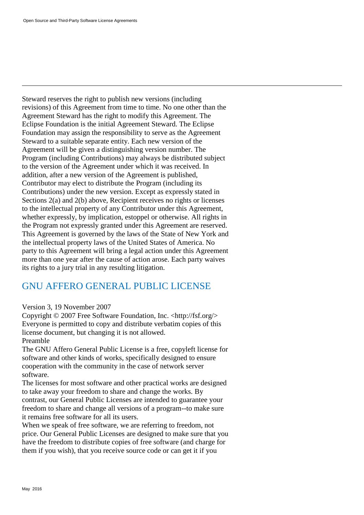Steward reserves the right to publish new versions (including revisions) of this Agreement from time to time. No one other than the Agreement Steward has the right to modify this Agreement. The Eclipse Foundation is the initial Agreement Steward. The Eclipse Foundation may assign the responsibility to serve as the Agreement Steward to a suitable separate entity. Each new version of the Agreement will be given a distinguishing version number. The Program (including Contributions) may always be distributed subject to the version of the Agreement under which it was received. In addition, after a new version of the Agreement is published, Contributor may elect to distribute the Program (including its Contributions) under the new version. Except as expressly stated in Sections 2(a) and 2(b) above, Recipient receives no rights or licenses to the intellectual property of any Contributor under this Agreement, whether expressly, by implication, estoppel or otherwise. All rights in the Program not expressly granted under this Agreement are reserved. This Agreement is governed by the laws of the State of New York and the intellectual property laws of the United States of America. No party to this Agreement will bring a legal action under this Agreement more than one year after the cause of action arose. Each party waives its rights to a jury trial in any resulting litigation.

# GNU AFFERO GENERAL PUBLIC LICENSE

## Version 3, 19 November 2007

Copyright © 2007 Free Software Foundation, Inc. <http://fsf.org/> Everyone is permitted to copy and distribute verbatim copies of this license document, but changing it is not allowed. Preamble

The GNU Affero General Public License is a free, copyleft license for software and other kinds of works, specifically designed to ensure cooperation with the community in the case of network server software.

The licenses for most software and other practical works are designed to take away your freedom to share and change the works. By contrast, our General Public Licenses are intended to guarantee your freedom to share and change all versions of a program--to make sure it remains free software for all its users.

When we speak of free software, we are referring to freedom, not price. Our General Public Licenses are designed to make sure that you have the freedom to distribute copies of free software (and charge for them if you wish), that you receive source code or can get it if you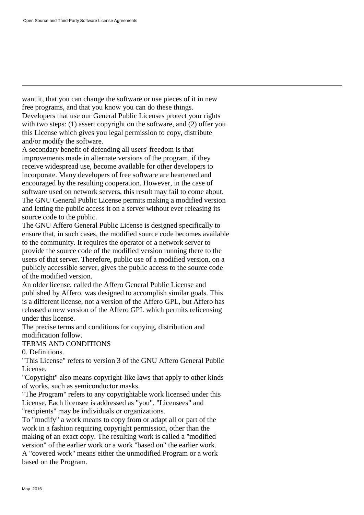want it, that you can change the software or use pieces of it in new free programs, and that you know you can do these things. Developers that use our General Public Licenses protect your rights with two steps: (1) assert copyright on the software, and (2) offer you this License which gives you legal permission to copy, distribute and/or modify the software.

A secondary benefit of defending all users' freedom is that improvements made in alternate versions of the program, if they receive widespread use, become available for other developers to incorporate. Many developers of free software are heartened and encouraged by the resulting cooperation. However, in the case of software used on network servers, this result may fail to come about. The GNU General Public License permits making a modified version and letting the public access it on a server without ever releasing its source code to the public.

The GNU Affero General Public License is designed specifically to ensure that, in such cases, the modified source code becomes available to the community. It requires the operator of a network server to provide the source code of the modified version running there to the users of that server. Therefore, public use of a modified version, on a publicly accessible server, gives the public access to the source code of the modified version.

An older license, called the Affero General Public License and published by Affero, was designed to accomplish similar goals. This is a different license, not a version of the Affero GPL, but Affero has released a new version of the Affero GPL which permits relicensing under this license.

The precise terms and conditions for copying, distribution and modification follow.

TERMS AND CONDITIONS

0. Definitions.

"This License" refers to version 3 of the GNU Affero General Public License.

"Copyright" also means copyright-like laws that apply to other kinds of works, such as semiconductor masks.

"The Program" refers to any copyrightable work licensed under this License. Each licensee is addressed as "you". "Licensees" and "recipients" may be individuals or organizations.

To "modify" a work means to copy from or adapt all or part of the work in a fashion requiring copyright permission, other than the making of an exact copy. The resulting work is called a "modified version" of the earlier work or a work "based on" the earlier work. A "covered work" means either the unmodified Program or a work based on the Program.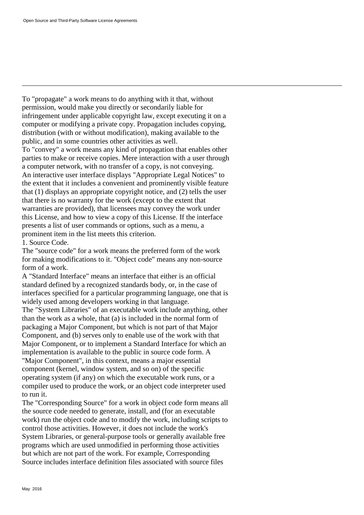To "propagate" a work means to do anything with it that, without permission, would make you directly or secondarily liable for infringement under applicable copyright law, except executing it on a computer or modifying a private copy. Propagation includes copying, distribution (with or without modification), making available to the public, and in some countries other activities as well.

To "convey" a work means any kind of propagation that enables other parties to make or receive copies. Mere interaction with a user through a computer network, with no transfer of a copy, is not conveying. An interactive user interface displays "Appropriate Legal Notices" to the extent that it includes a convenient and prominently visible feature that (1) displays an appropriate copyright notice, and (2) tells the user that there is no warranty for the work (except to the extent that warranties are provided), that licensees may convey the work under this License, and how to view a copy of this License. If the interface presents a list of user commands or options, such as a menu, a prominent item in the list meets this criterion.

1. Source Code.

The "source code" for a work means the preferred form of the work for making modifications to it. "Object code" means any non-source form of a work.

A "Standard Interface" means an interface that either is an official standard defined by a recognized standards body, or, in the case of interfaces specified for a particular programming language, one that is widely used among developers working in that language.

The "System Libraries" of an executable work include anything, other than the work as a whole, that (a) is included in the normal form of packaging a Major Component, but which is not part of that Major Component, and (b) serves only to enable use of the work with that Major Component, or to implement a Standard Interface for which an implementation is available to the public in source code form. A "Major Component", in this context, means a major essential component (kernel, window system, and so on) of the specific operating system (if any) on which the executable work runs, or a compiler used to produce the work, or an object code interpreter used to run it.

The "Corresponding Source" for a work in object code form means all the source code needed to generate, install, and (for an executable work) run the object code and to modify the work, including scripts to control those activities. However, it does not include the work's System Libraries, or general-purpose tools or generally available free programs which are used unmodified in performing those activities but which are not part of the work. For example, Corresponding Source includes interface definition files associated with source files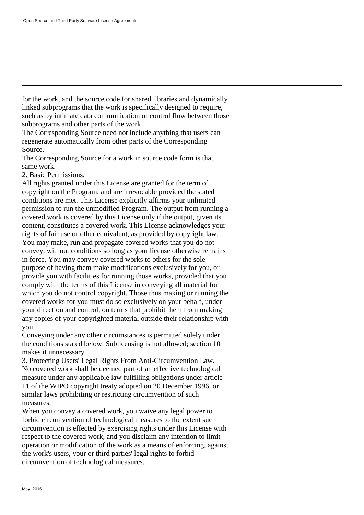for the work, and the source code for shared libraries and dynamically linked subprograms that the work is specifically designed to require, such as by intimate data communication or control flow between those subprograms and other parts of the work.

The Corresponding Source need not include anything that users can regenerate automatically from other parts of the Corresponding Source.

The Corresponding Source for a work in source code form is that same work.

2. Basic Permissions.

All rights granted under this License are granted for the term of copyright on the Program, and are irrevocable provided the stated conditions are met. This License explicitly affirms your unlimited permission to run the unmodified Program. The output from running a covered work is covered by this License only if the output, given its content, constitutes a covered work. This License acknowledges your rights of fair use or other equivalent, as provided by copyright law. You may make, run and propagate covered works that you do not convey, without conditions so long as your license otherwise remains in force. You may convey covered works to others for the sole purpose of having them make modifications exclusively for you, or provide you with facilities for running those works, provided that you comply with the terms of this License in conveying all material for which you do not control copyright. Those thus making or running the covered works for you must do so exclusively on your behalf, under your direction and control, on terms that prohibit them from making any copies of your copyrighted material outside their relationship with you.

Conveying under any other circumstances is permitted solely under the conditions stated below. Sublicensing is not allowed; section 10 makes it unnecessary.

3. Protecting Users' Legal Rights From Anti-Circumvention Law. No covered work shall be deemed part of an effective technological measure under any applicable law fulfilling obligations under article 11 of the WIPO copyright treaty adopted on 20 December 1996, or similar laws prohibiting or restricting circumvention of such measures.

When you convey a covered work, you waive any legal power to forbid circumvention of technological measures to the extent such circumvention is effected by exercising rights under this License with respect to the covered work, and you disclaim any intention to limit operation or modification of the work as a means of enforcing, against the work's users, your or third parties' legal rights to forbid circumvention of technological measures.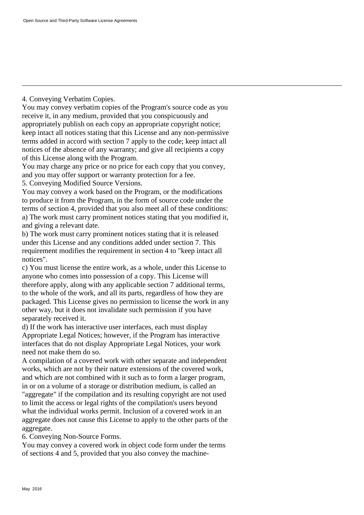4. Conveying Verbatim Copies.

You may convey verbatim copies of the Program's source code as you receive it, in any medium, provided that you conspicuously and appropriately publish on each copy an appropriate copyright notice; keep intact all notices stating that this License and any non-permissive terms added in accord with section 7 apply to the code; keep intact all notices of the absence of any warranty; and give all recipients a copy of this License along with the Program.

You may charge any price or no price for each copy that you convey, and you may offer support or warranty protection for a fee.

5. Conveying Modified Source Versions.

You may convey a work based on the Program, or the modifications to produce it from the Program, in the form of source code under the terms of section 4, provided that you also meet all of these conditions: a) The work must carry prominent notices stating that you modified it, and giving a relevant date.

b) The work must carry prominent notices stating that it is released under this License and any conditions added under section 7. This requirement modifies the requirement in section 4 to "keep intact all notices".

c) You must license the entire work, as a whole, under this License to anyone who comes into possession of a copy. This License will therefore apply, along with any applicable section 7 additional terms, to the whole of the work, and all its parts, regardless of how they are packaged. This License gives no permission to license the work in any other way, but it does not invalidate such permission if you have separately received it.

d) If the work has interactive user interfaces, each must display Appropriate Legal Notices; however, if the Program has interactive interfaces that do not display Appropriate Legal Notices, your work need not make them do so.

A compilation of a covered work with other separate and independent works, which are not by their nature extensions of the covered work, and which are not combined with it such as to form a larger program, in or on a volume of a storage or distribution medium, is called an "aggregate" if the compilation and its resulting copyright are not used to limit the access or legal rights of the compilation's users beyond what the individual works permit. Inclusion of a covered work in an aggregate does not cause this License to apply to the other parts of the aggregate.

6. Conveying Non-Source Forms.

You may convey a covered work in object code form under the terms of sections 4 and 5, provided that you also convey the machine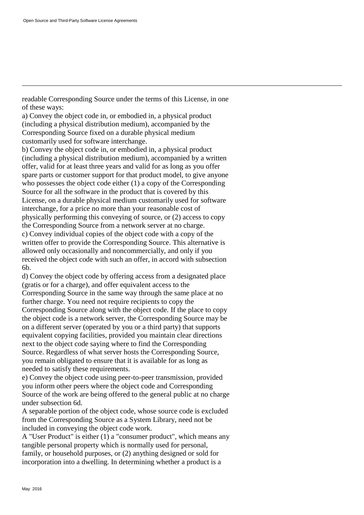readable Corresponding Source under the terms of this License, in one of these ways:

a) Convey the object code in, or embodied in, a physical product (including a physical distribution medium), accompanied by the Corresponding Source fixed on a durable physical medium customarily used for software interchange.

b) Convey the object code in, or embodied in, a physical product (including a physical distribution medium), accompanied by a written offer, valid for at least three years and valid for as long as you offer spare parts or customer support for that product model, to give anyone who possesses the object code either (1) a copy of the Corresponding Source for all the software in the product that is covered by this License, on a durable physical medium customarily used for software interchange, for a price no more than your reasonable cost of physically performing this conveying of source, or (2) access to copy the Corresponding Source from a network server at no charge. c) Convey individual copies of the object code with a copy of the written offer to provide the Corresponding Source. This alternative is allowed only occasionally and noncommercially, and only if you received the object code with such an offer, in accord with subsection 6b.

d) Convey the object code by offering access from a designated place (gratis or for a charge), and offer equivalent access to the Corresponding Source in the same way through the same place at no further charge. You need not require recipients to copy the Corresponding Source along with the object code. If the place to copy the object code is a network server, the Corresponding Source may be on a different server (operated by you or a third party) that supports equivalent copying facilities, provided you maintain clear directions next to the object code saying where to find the Corresponding Source. Regardless of what server hosts the Corresponding Source, you remain obligated to ensure that it is available for as long as needed to satisfy these requirements.

e) Convey the object code using peer-to-peer transmission, provided you inform other peers where the object code and Corresponding Source of the work are being offered to the general public at no charge under subsection 6d.

A separable portion of the object code, whose source code is excluded from the Corresponding Source as a System Library, need not be included in conveying the object code work.

A "User Product" is either (1) a "consumer product", which means any tangible personal property which is normally used for personal, family, or household purposes, or (2) anything designed or sold for incorporation into a dwelling. In determining whether a product is a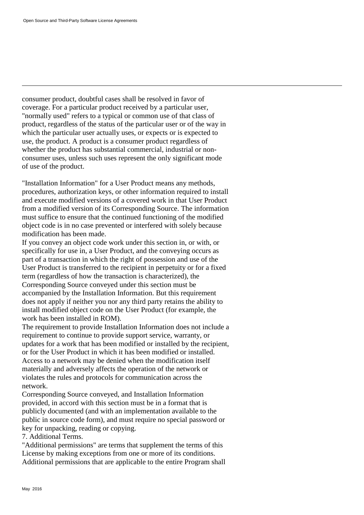consumer product, doubtful cases shall be resolved in favor of coverage. For a particular product received by a particular user, "normally used" refers to a typical or common use of that class of product, regardless of the status of the particular user or of the way in which the particular user actually uses, or expects or is expected to use, the product. A product is a consumer product regardless of whether the product has substantial commercial, industrial or nonconsumer uses, unless such uses represent the only significant mode of use of the product.

"Installation Information" for a User Product means any methods, procedures, authorization keys, or other information required to install and execute modified versions of a covered work in that User Product from a modified version of its Corresponding Source. The information must suffice to ensure that the continued functioning of the modified object code is in no case prevented or interfered with solely because modification has been made.

If you convey an object code work under this section in, or with, or specifically for use in, a User Product, and the conveying occurs as part of a transaction in which the right of possession and use of the User Product is transferred to the recipient in perpetuity or for a fixed term (regardless of how the transaction is characterized), the Corresponding Source conveyed under this section must be accompanied by the Installation Information. But this requirement does not apply if neither you nor any third party retains the ability to install modified object code on the User Product (for example, the work has been installed in ROM).

The requirement to provide Installation Information does not include a requirement to continue to provide support service, warranty, or updates for a work that has been modified or installed by the recipient, or for the User Product in which it has been modified or installed. Access to a network may be denied when the modification itself materially and adversely affects the operation of the network or violates the rules and protocols for communication across the network.

Corresponding Source conveyed, and Installation Information provided, in accord with this section must be in a format that is publicly documented (and with an implementation available to the public in source code form), and must require no special password or key for unpacking, reading or copying.

7. Additional Terms.

"Additional permissions" are terms that supplement the terms of this License by making exceptions from one or more of its conditions. Additional permissions that are applicable to the entire Program shall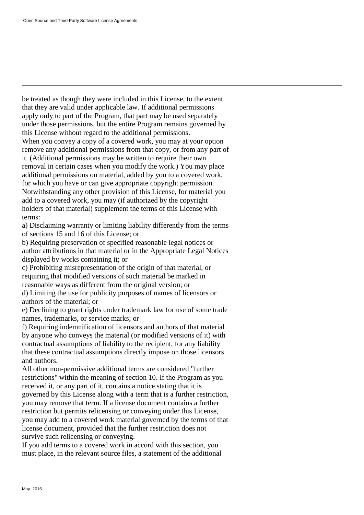be treated as though they were included in this License, to the extent that they are valid under applicable law. If additional permissions apply only to part of the Program, that part may be used separately under those permissions, but the entire Program remains governed by this License without regard to the additional permissions. When you convey a copy of a covered work, you may at your option remove any additional permissions from that copy, or from any part of it. (Additional permissions may be written to require their own removal in certain cases when you modify the work.) You may place additional permissions on material, added by you to a covered work, for which you have or can give appropriate copyright permission. Notwithstanding any other provision of this License, for material you add to a covered work, you may (if authorized by the copyright holders of that material) supplement the terms of this License with terms:

a) Disclaiming warranty or limiting liability differently from the terms of sections 15 and 16 of this License; or

b) Requiring preservation of specified reasonable legal notices or author attributions in that material or in the Appropriate Legal Notices displayed by works containing it; or

c) Prohibiting misrepresentation of the origin of that material, or requiring that modified versions of such material be marked in reasonable ways as different from the original version; or

d) Limiting the use for publicity purposes of names of licensors or authors of the material; or

e) Declining to grant rights under trademark law for use of some trade names, trademarks, or service marks; or

f) Requiring indemnification of licensors and authors of that material by anyone who conveys the material (or modified versions of it) with contractual assumptions of liability to the recipient, for any liability that these contractual assumptions directly impose on those licensors and authors.

All other non-permissive additional terms are considered "further restrictions" within the meaning of section 10. If the Program as you received it, or any part of it, contains a notice stating that it is governed by this License along with a term that is a further restriction, you may remove that term. If a license document contains a further restriction but permits relicensing or conveying under this License, you may add to a covered work material governed by the terms of that license document, provided that the further restriction does not survive such relicensing or conveying.

If you add terms to a covered work in accord with this section, you must place, in the relevant source files, a statement of the additional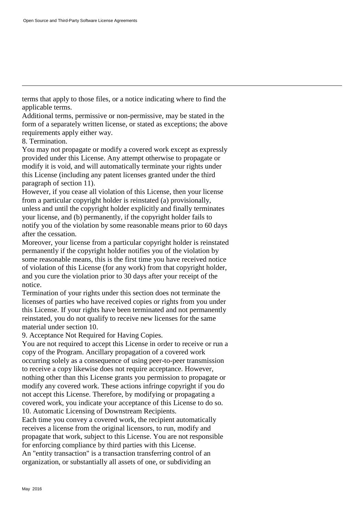terms that apply to those files, or a notice indicating where to find the applicable terms.

Additional terms, permissive or non-permissive, may be stated in the form of a separately written license, or stated as exceptions; the above requirements apply either way.

8. Termination.

You may not propagate or modify a covered work except as expressly provided under this License. Any attempt otherwise to propagate or modify it is void, and will automatically terminate your rights under this License (including any patent licenses granted under the third paragraph of section 11).

However, if you cease all violation of this License, then your license from a particular copyright holder is reinstated (a) provisionally, unless and until the copyright holder explicitly and finally terminates your license, and (b) permanently, if the copyright holder fails to notify you of the violation by some reasonable means prior to 60 days after the cessation.

Moreover, your license from a particular copyright holder is reinstated permanently if the copyright holder notifies you of the violation by some reasonable means, this is the first time you have received notice of violation of this License (for any work) from that copyright holder, and you cure the violation prior to 30 days after your receipt of the notice.

Termination of your rights under this section does not terminate the licenses of parties who have received copies or rights from you under this License. If your rights have been terminated and not permanently reinstated, you do not qualify to receive new licenses for the same material under section 10.

9. Acceptance Not Required for Having Copies.

You are not required to accept this License in order to receive or run a copy of the Program. Ancillary propagation of a covered work occurring solely as a consequence of using peer-to-peer transmission to receive a copy likewise does not require acceptance. However, nothing other than this License grants you permission to propagate or modify any covered work. These actions infringe copyright if you do not accept this License. Therefore, by modifying or propagating a covered work, you indicate your acceptance of this License to do so. 10. Automatic Licensing of Downstream Recipients.

Each time you convey a covered work, the recipient automatically receives a license from the original licensors, to run, modify and propagate that work, subject to this License. You are not responsible for enforcing compliance by third parties with this License.

An "entity transaction" is a transaction transferring control of an organization, or substantially all assets of one, or subdividing an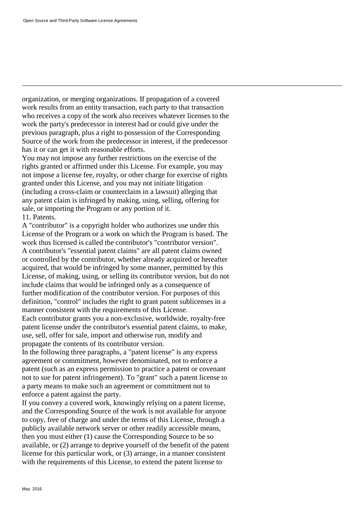organization, or merging organizations. If propagation of a covered work results from an entity transaction, each party to that transaction who receives a copy of the work also receives whatever licenses to the work the party's predecessor in interest had or could give under the previous paragraph, plus a right to possession of the Corresponding Source of the work from the predecessor in interest, if the predecessor has it or can get it with reasonable efforts.

You may not impose any further restrictions on the exercise of the rights granted or affirmed under this License. For example, you may not impose a license fee, royalty, or other charge for exercise of rights granted under this License, and you may not initiate litigation (including a cross-claim or counterclaim in a lawsuit) alleging that any patent claim is infringed by making, using, selling, offering for sale, or importing the Program or any portion of it.

## 11. Patents.

A "contributor" is a copyright holder who authorizes use under this License of the Program or a work on which the Program is based. The work thus licensed is called the contributor's "contributor version". A contributor's "essential patent claims" are all patent claims owned or controlled by the contributor, whether already acquired or hereafter acquired, that would be infringed by some manner, permitted by this License, of making, using, or selling its contributor version, but do not include claims that would be infringed only as a consequence of further modification of the contributor version. For purposes of this definition, "control" includes the right to grant patent sublicenses in a manner consistent with the requirements of this License.

Each contributor grants you a non-exclusive, worldwide, royalty-free patent license under the contributor's essential patent claims, to make, use, sell, offer for sale, import and otherwise run, modify and propagate the contents of its contributor version.

In the following three paragraphs, a "patent license" is any express agreement or commitment, however denominated, not to enforce a patent (such as an express permission to practice a patent or covenant not to sue for patent infringement). To "grant" such a patent license to a party means to make such an agreement or commitment not to enforce a patent against the party.

If you convey a covered work, knowingly relying on a patent license, and the Corresponding Source of the work is not available for anyone to copy, free of charge and under the terms of this License, through a publicly available network server or other readily accessible means, then you must either (1) cause the Corresponding Source to be so available, or (2) arrange to deprive yourself of the benefit of the patent license for this particular work, or (3) arrange, in a manner consistent with the requirements of this License, to extend the patent license to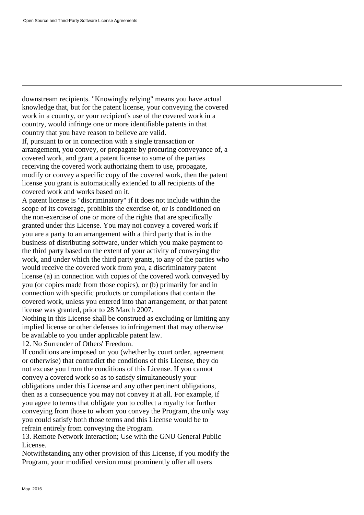downstream recipients. "Knowingly relying" means you have actual knowledge that, but for the patent license, your conveying the covered work in a country, or your recipient's use of the covered work in a country, would infringe one or more identifiable patents in that country that you have reason to believe are valid. If, pursuant to or in connection with a single transaction or

arrangement, you convey, or propagate by procuring conveyance of, a covered work, and grant a patent license to some of the parties receiving the covered work authorizing them to use, propagate, modify or convey a specific copy of the covered work, then the patent license you grant is automatically extended to all recipients of the covered work and works based on it.

A patent license is "discriminatory" if it does not include within the scope of its coverage, prohibits the exercise of, or is conditioned on the non-exercise of one or more of the rights that are specifically granted under this License. You may not convey a covered work if you are a party to an arrangement with a third party that is in the business of distributing software, under which you make payment to the third party based on the extent of your activity of conveying the work, and under which the third party grants, to any of the parties who would receive the covered work from you, a discriminatory patent license (a) in connection with copies of the covered work conveyed by you (or copies made from those copies), or (b) primarily for and in connection with specific products or compilations that contain the covered work, unless you entered into that arrangement, or that patent license was granted, prior to 28 March 2007.

Nothing in this License shall be construed as excluding or limiting any implied license or other defenses to infringement that may otherwise be available to you under applicable patent law.

12. No Surrender of Others' Freedom.

If conditions are imposed on you (whether by court order, agreement or otherwise) that contradict the conditions of this License, they do not excuse you from the conditions of this License. If you cannot convey a covered work so as to satisfy simultaneously your obligations under this License and any other pertinent obligations, then as a consequence you may not convey it at all. For example, if you agree to terms that obligate you to collect a royalty for further conveying from those to whom you convey the Program, the only way you could satisfy both those terms and this License would be to refrain entirely from conveying the Program.

13. Remote Network Interaction; Use with the GNU General Public License.

Notwithstanding any other provision of this License, if you modify the Program, your modified version must prominently offer all users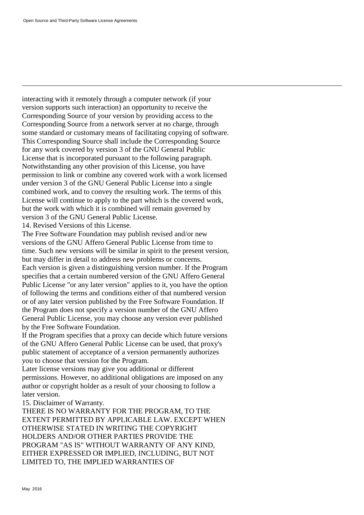interacting with it remotely through a computer network (if your version supports such interaction) an opportunity to receive the Corresponding Source of your version by providing access to the Corresponding Source from a network server at no charge, through some standard or customary means of facilitating copying of software. This Corresponding Source shall include the Corresponding Source for any work covered by version 3 of the GNU General Public License that is incorporated pursuant to the following paragraph. Notwithstanding any other provision of this License, you have permission to link or combine any covered work with a work licensed under version 3 of the GNU General Public License into a single combined work, and to convey the resulting work. The terms of this License will continue to apply to the part which is the covered work, but the work with which it is combined will remain governed by version 3 of the GNU General Public License.

14. Revised Versions of this License.

The Free Software Foundation may publish revised and/or new versions of the GNU Affero General Public License from time to time. Such new versions will be similar in spirit to the present version, but may differ in detail to address new problems or concerns. Each version is given a distinguishing version number. If the Program specifies that a certain numbered version of the GNU Affero General Public License "or any later version" applies to it, you have the option of following the terms and conditions either of that numbered version or of any later version published by the Free Software Foundation. If the Program does not specify a version number of the GNU Affero General Public License, you may choose any version ever published by the Free Software Foundation.

If the Program specifies that a proxy can decide which future versions of the GNU Affero General Public License can be used, that proxy's public statement of acceptance of a version permanently authorizes you to choose that version for the Program.

Later license versions may give you additional or different permissions. However, no additional obligations are imposed on any author or copyright holder as a result of your choosing to follow a later version.

15. Disclaimer of Warranty.

THERE IS NO WARRANTY FOR THE PROGRAM, TO THE EXTENT PERMITTED BY APPLICABLE LAW. EXCEPT WHEN OTHERWISE STATED IN WRITING THE COPYRIGHT HOLDERS AND/OR OTHER PARTIES PROVIDE THE PROGRAM "AS IS" WITHOUT WARRANTY OF ANY KIND, EITHER EXPRESSED OR IMPLIED, INCLUDING, BUT NOT LIMITED TO, THE IMPLIED WARRANTIES OF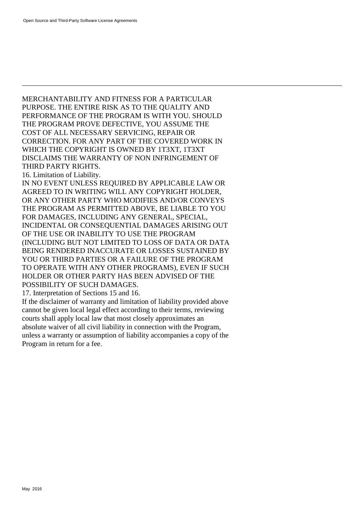MERCHANTABILITY AND FITNESS FOR A PARTICULAR PURPOSE. THE ENTIRE RISK AS TO THE QUALITY AND PERFORMANCE OF THE PROGRAM IS WITH YOU. SHOULD THE PROGRAM PROVE DEFECTIVE, YOU ASSUME THE COST OF ALL NECESSARY SERVICING, REPAIR OR CORRECTION. FOR ANY PART OF THE COVERED WORK IN WHICH THE COPYRIGHT IS OWNED BY 1T3XT, 1T3XT DISCLAIMS THE WARRANTY OF NON INFRINGEMENT OF THIRD PARTY RIGHTS.

16. Limitation of Liability.

IN NO EVENT UNLESS REQUIRED BY APPLICABLE LAW OR AGREED TO IN WRITING WILL ANY COPYRIGHT HOLDER, OR ANY OTHER PARTY WHO MODIFIES AND/OR CONVEYS THE PROGRAM AS PERMITTED ABOVE, BE LIABLE TO YOU FOR DAMAGES, INCLUDING ANY GENERAL, SPECIAL, INCIDENTAL OR CONSEQUENTIAL DAMAGES ARISING OUT OF THE USE OR INABILITY TO USE THE PROGRAM (INCLUDING BUT NOT LIMITED TO LOSS OF DATA OR DATA BEING RENDERED INACCURATE OR LOSSES SUSTAINED BY YOU OR THIRD PARTIES OR A FAILURE OF THE PROGRAM TO OPERATE WITH ANY OTHER PROGRAMS), EVEN IF SUCH HOLDER OR OTHER PARTY HAS BEEN ADVISED OF THE POSSIBILITY OF SUCH DAMAGES.

17. Interpretation of Sections 15 and 16.

If the disclaimer of warranty and limitation of liability provided above cannot be given local legal effect according to their terms, reviewing courts shall apply local law that most closely approximates an absolute waiver of all civil liability in connection with the Program, unless a warranty or assumption of liability accompanies a copy of the Program in return for a fee.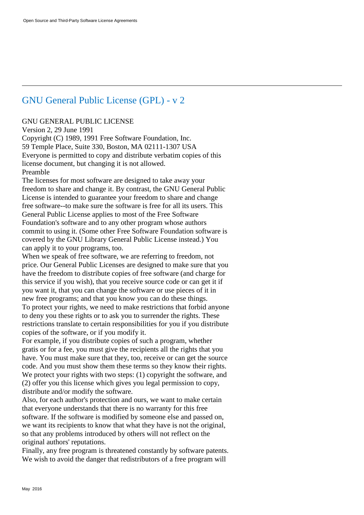# GNU General Public License (GPL) - v 2

GNU GENERAL PUBLIC LICENSE

Version 2, 29 June 1991

Copyright (C) 1989, 1991 Free Software Foundation, Inc. 59 Temple Place, Suite 330, Boston, MA 02111-1307 USA Everyone is permitted to copy and distribute verbatim copies of this license document, but changing it is not allowed. Preamble

The licenses for most software are designed to take away your freedom to share and change it. By contrast, the GNU General Public License is intended to guarantee your freedom to share and change free software--to make sure the software is free for all its users. This General Public License applies to most of the Free Software Foundation's software and to any other program whose authors commit to using it. (Some other Free Software Foundation software is covered by the GNU Library General Public License instead.) You can apply it to your programs, too.

When we speak of free software, we are referring to freedom, not price. Our General Public Licenses are designed to make sure that you have the freedom to distribute copies of free software (and charge for this service if you wish), that you receive source code or can get it if you want it, that you can change the software or use pieces of it in new free programs; and that you know you can do these things. To protect your rights, we need to make restrictions that forbid anyone to deny you these rights or to ask you to surrender the rights. These restrictions translate to certain responsibilities for you if you distribute copies of the software, or if you modify it.

For example, if you distribute copies of such a program, whether gratis or for a fee, you must give the recipients all the rights that you have. You must make sure that they, too, receive or can get the source code. And you must show them these terms so they know their rights. We protect your rights with two steps: (1) copyright the software, and (2) offer you this license which gives you legal permission to copy, distribute and/or modify the software.

Also, for each author's protection and ours, we want to make certain that everyone understands that there is no warranty for this free software. If the software is modified by someone else and passed on, we want its recipients to know that what they have is not the original, so that any problems introduced by others will not reflect on the original authors' reputations.

Finally, any free program is threatened constantly by software patents. We wish to avoid the danger that redistributors of a free program will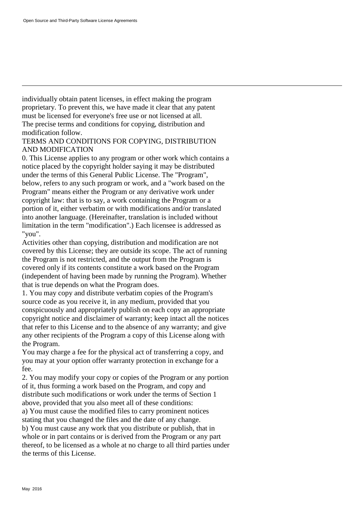individually obtain patent licenses, in effect making the program proprietary. To prevent this, we have made it clear that any patent must be licensed for everyone's free use or not licensed at all. The precise terms and conditions for copying, distribution and modification follow.

## TERMS AND CONDITIONS FOR COPYING, DISTRIBUTION AND MODIFICATION

0. This License applies to any program or other work which contains a notice placed by the copyright holder saying it may be distributed under the terms of this General Public License. The "Program", below, refers to any such program or work, and a "work based on the Program" means either the Program or any derivative work under copyright law: that is to say, a work containing the Program or a portion of it, either verbatim or with modifications and/or translated into another language. (Hereinafter, translation is included without limitation in the term "modification".) Each licensee is addressed as "you".

Activities other than copying, distribution and modification are not covered by this License; they are outside its scope. The act of running the Program is not restricted, and the output from the Program is covered only if its contents constitute a work based on the Program (independent of having been made by running the Program). Whether that is true depends on what the Program does.

1. You may copy and distribute verbatim copies of the Program's source code as you receive it, in any medium, provided that you conspicuously and appropriately publish on each copy an appropriate copyright notice and disclaimer of warranty; keep intact all the notices that refer to this License and to the absence of any warranty; and give any other recipients of the Program a copy of this License along with the Program.

You may charge a fee for the physical act of transferring a copy, and you may at your option offer warranty protection in exchange for a fee.

2. You may modify your copy or copies of the Program or any portion of it, thus forming a work based on the Program, and copy and distribute such modifications or work under the terms of Section 1 above, provided that you also meet all of these conditions:

a) You must cause the modified files to carry prominent notices stating that you changed the files and the date of any change.

b) You must cause any work that you distribute or publish, that in whole or in part contains or is derived from the Program or any part thereof, to be licensed as a whole at no charge to all third parties under the terms of this License.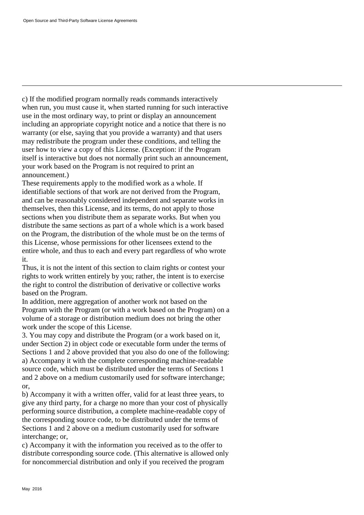c) If the modified program normally reads commands interactively when run, you must cause it, when started running for such interactive use in the most ordinary way, to print or display an announcement including an appropriate copyright notice and a notice that there is no warranty (or else, saying that you provide a warranty) and that users may redistribute the program under these conditions, and telling the user how to view a copy of this License. (Exception: if the Program itself is interactive but does not normally print such an announcement, your work based on the Program is not required to print an announcement.)

These requirements apply to the modified work as a whole. If identifiable sections of that work are not derived from the Program, and can be reasonably considered independent and separate works in themselves, then this License, and its terms, do not apply to those sections when you distribute them as separate works. But when you distribute the same sections as part of a whole which is a work based on the Program, the distribution of the whole must be on the terms of this License, whose permissions for other licensees extend to the entire whole, and thus to each and every part regardless of who wrote it.

Thus, it is not the intent of this section to claim rights or contest your rights to work written entirely by you; rather, the intent is to exercise the right to control the distribution of derivative or collective works based on the Program.

In addition, mere aggregation of another work not based on the Program with the Program (or with a work based on the Program) on a volume of a storage or distribution medium does not bring the other work under the scope of this License.

3. You may copy and distribute the Program (or a work based on it, under Section 2) in object code or executable form under the terms of Sections 1 and 2 above provided that you also do one of the following: a) Accompany it with the complete corresponding machine-readable source code, which must be distributed under the terms of Sections 1 and 2 above on a medium customarily used for software interchange; or,

b) Accompany it with a written offer, valid for at least three years, to give any third party, for a charge no more than your cost of physically performing source distribution, a complete machine-readable copy of the corresponding source code, to be distributed under the terms of Sections 1 and 2 above on a medium customarily used for software interchange; or,

c) Accompany it with the information you received as to the offer to distribute corresponding source code. (This alternative is allowed only for noncommercial distribution and only if you received the program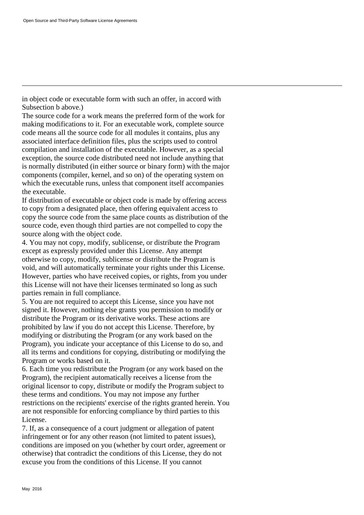in object code or executable form with such an offer, in accord with Subsection b above.)

The source code for a work means the preferred form of the work for making modifications to it. For an executable work, complete source code means all the source code for all modules it contains, plus any associated interface definition files, plus the scripts used to control compilation and installation of the executable. However, as a special exception, the source code distributed need not include anything that is normally distributed (in either source or binary form) with the major components (compiler, kernel, and so on) of the operating system on which the executable runs, unless that component itself accompanies the executable.

If distribution of executable or object code is made by offering access to copy from a designated place, then offering equivalent access to copy the source code from the same place counts as distribution of the source code, even though third parties are not compelled to copy the source along with the object code.

4. You may not copy, modify, sublicense, or distribute the Program except as expressly provided under this License. Any attempt otherwise to copy, modify, sublicense or distribute the Program is void, and will automatically terminate your rights under this License. However, parties who have received copies, or rights, from you under this License will not have their licenses terminated so long as such parties remain in full compliance.

5. You are not required to accept this License, since you have not signed it. However, nothing else grants you permission to modify or distribute the Program or its derivative works. These actions are prohibited by law if you do not accept this License. Therefore, by modifying or distributing the Program (or any work based on the Program), you indicate your acceptance of this License to do so, and all its terms and conditions for copying, distributing or modifying the Program or works based on it.

6. Each time you redistribute the Program (or any work based on the Program), the recipient automatically receives a license from the original licensor to copy, distribute or modify the Program subject to these terms and conditions. You may not impose any further restrictions on the recipients' exercise of the rights granted herein. You are not responsible for enforcing compliance by third parties to this License.

7. If, as a consequence of a court judgment or allegation of patent infringement or for any other reason (not limited to patent issues), conditions are imposed on you (whether by court order, agreement or otherwise) that contradict the conditions of this License, they do not excuse you from the conditions of this License. If you cannot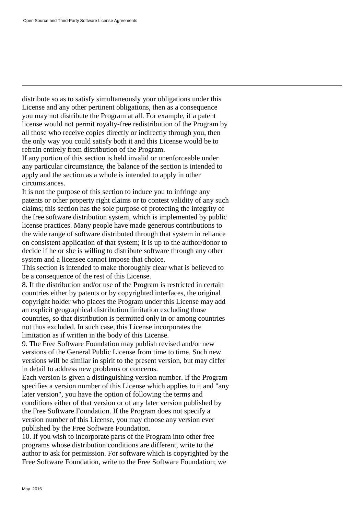distribute so as to satisfy simultaneously your obligations under this License and any other pertinent obligations, then as a consequence you may not distribute the Program at all. For example, if a patent license would not permit royalty-free redistribution of the Program by all those who receive copies directly or indirectly through you, then the only way you could satisfy both it and this License would be to refrain entirely from distribution of the Program.

If any portion of this section is held invalid or unenforceable under any particular circumstance, the balance of the section is intended to apply and the section as a whole is intended to apply in other circumstances.

It is not the purpose of this section to induce you to infringe any patents or other property right claims or to contest validity of any such claims; this section has the sole purpose of protecting the integrity of the free software distribution system, which is implemented by public license practices. Many people have made generous contributions to the wide range of software distributed through that system in reliance on consistent application of that system; it is up to the author/donor to decide if he or she is willing to distribute software through any other system and a licensee cannot impose that choice.

This section is intended to make thoroughly clear what is believed to be a consequence of the rest of this License.

8. If the distribution and/or use of the Program is restricted in certain countries either by patents or by copyrighted interfaces, the original copyright holder who places the Program under this License may add an explicit geographical distribution limitation excluding those countries, so that distribution is permitted only in or among countries not thus excluded. In such case, this License incorporates the limitation as if written in the body of this License.

9. The Free Software Foundation may publish revised and/or new versions of the General Public License from time to time. Such new versions will be similar in spirit to the present version, but may differ in detail to address new problems or concerns.

Each version is given a distinguishing version number. If the Program specifies a version number of this License which applies to it and "any later version", you have the option of following the terms and conditions either of that version or of any later version published by the Free Software Foundation. If the Program does not specify a version number of this License, you may choose any version ever published by the Free Software Foundation.

10. If you wish to incorporate parts of the Program into other free programs whose distribution conditions are different, write to the author to ask for permission. For software which is copyrighted by the Free Software Foundation, write to the Free Software Foundation; we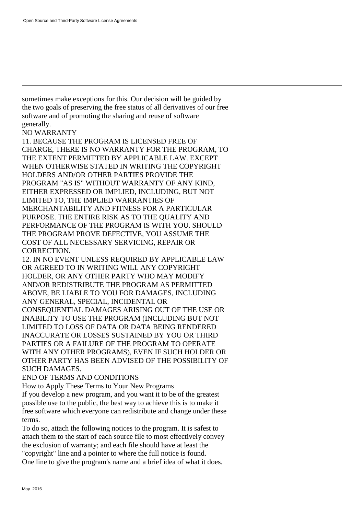sometimes make exceptions for this. Our decision will be guided by the two goals of preserving the free status of all derivatives of our free software and of promoting the sharing and reuse of software generally.

#### NO WARRANTY

11. BECAUSE THE PROGRAM IS LICENSED FREE OF CHARGE, THERE IS NO WARRANTY FOR THE PROGRAM, TO THE EXTENT PERMITTED BY APPLICABLE LAW. EXCEPT WHEN OTHERWISE STATED IN WRITING THE COPYRIGHT HOLDERS AND/OR OTHER PARTIES PROVIDE THE PROGRAM "AS IS" WITHOUT WARRANTY OF ANY KIND, EITHER EXPRESSED OR IMPLIED, INCLUDING, BUT NOT LIMITED TO, THE IMPLIED WARRANTIES OF MERCHANTABILITY AND FITNESS FOR A PARTICULAR PURPOSE. THE ENTIRE RISK AS TO THE QUALITY AND PERFORMANCE OF THE PROGRAM IS WITH YOU. SHOULD THE PROGRAM PROVE DEFECTIVE, YOU ASSUME THE COST OF ALL NECESSARY SERVICING, REPAIR OR CORRECTION.

12. IN NO EVENT UNLESS REQUIRED BY APPLICABLE LAW OR AGREED TO IN WRITING WILL ANY COPYRIGHT HOLDER, OR ANY OTHER PARTY WHO MAY MODIFY AND/OR REDISTRIBUTE THE PROGRAM AS PERMITTED ABOVE, BE LIABLE TO YOU FOR DAMAGES, INCLUDING ANY GENERAL, SPECIAL, INCIDENTAL OR CONSEQUENTIAL DAMAGES ARISING OUT OF THE USE OR INABILITY TO USE THE PROGRAM (INCLUDING BUT NOT LIMITED TO LOSS OF DATA OR DATA BEING RENDERED

INACCURATE OR LOSSES SUSTAINED BY YOU OR THIRD PARTIES OR A FAILURE OF THE PROGRAM TO OPERATE WITH ANY OTHER PROGRAMS), EVEN IF SUCH HOLDER OR OTHER PARTY HAS BEEN ADVISED OF THE POSSIBILITY OF SUCH DAMAGES.

### END OF TERMS AND CONDITIONS

How to Apply These Terms to Your New Programs If you develop a new program, and you want it to be of the greatest possible use to the public, the best way to achieve this is to make it free software which everyone can redistribute and change under these terms.

To do so, attach the following notices to the program. It is safest to attach them to the start of each source file to most effectively convey the exclusion of warranty; and each file should have at least the "copyright" line and a pointer to where the full notice is found. One line to give the program's name and a brief idea of what it does.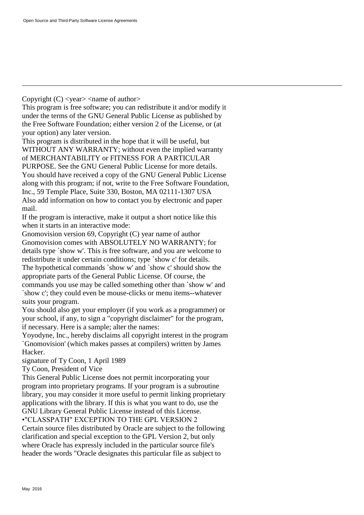Copyright  $(C)$  <year > <name of author>

This program is free software; you can redistribute it and/or modify it under the terms of the GNU General Public License as published by the Free Software Foundation; either version 2 of the License, or (at your option) any later version.

This program is distributed in the hope that it will be useful, but WITHOUT ANY WARRANTY; without even the implied warranty of MERCHANTABILITY or FITNESS FOR A PARTICULAR PURPOSE. See the GNU General Public License for more details. You should have received a copy of the GNU General Public License along with this program; if not, write to the Free Software Foundation, Inc., 59 Temple Place, Suite 330, Boston, MA 02111-1307 USA Also add information on how to contact you by electronic and paper mail.

If the program is interactive, make it output a short notice like this when it starts in an interactive mode:

Gnomovision version 69, Copyright (C) year name of author Gnomovision comes with ABSOLUTELY NO WARRANTY; for details type `show w'. This is free software, and you are welcome to redistribute it under certain conditions; type `show c' for details. The hypothetical commands `show w' and `show c' should show the appropriate parts of the General Public License. Of course, the commands you use may be called something other than `show w' and `show c'; they could even be mouse-clicks or menu items--whatever suits your program.

You should also get your employer (if you work as a programmer) or your school, if any, to sign a "copyright disclaimer" for the program, if necessary. Here is a sample; alter the names:

Yoyodyne, Inc., hereby disclaims all copyright interest in the program `Gnomovision' (which makes passes at compilers) written by James Hacker.

signature of Ty Coon, 1 April 1989

Ty Coon, President of Vice

This General Public License does not permit incorporating your program into proprietary programs. If your program is a subroutine library, you may consider it more useful to permit linking proprietary applications with the library. If this is what you want to do, use the GNU Library General Public License instead of this License.

•"CLASSPATH" EXCEPTION TO THE GPL VERSION 2

Certain source files distributed by Oracle are subject to the following clarification and special exception to the GPL Version 2, but only where Oracle has expressly included in the particular source file's header the words "Oracle designates this particular file as subject to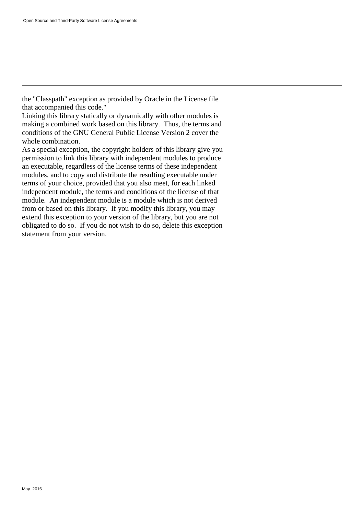the "Classpath" exception as provided by Oracle in the License file that accompanied this code."

Linking this library statically or dynamically with other modules is making a combined work based on this library. Thus, the terms and conditions of the GNU General Public License Version 2 cover the whole combination.

As a special exception, the copyright holders of this library give you permission to link this library with independent modules to produce an executable, regardless of the license terms of these independent modules, and to copy and distribute the resulting executable under terms of your choice, provided that you also meet, for each linked independent module, the terms and conditions of the license of that module. An independent module is a module which is not derived from or based on this library. If you modify this library, you may extend this exception to your version of the library, but you are not obligated to do so. If you do not wish to do so, delete this exception statement from your version.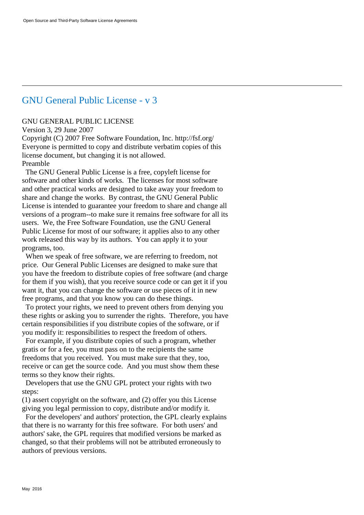## GNU General Public License - v 3

### GNU GENERAL PUBLIC LICENSE

Version 3, 29 June 2007

Copyright (C) 2007 Free Software Foundation, Inc. http://fsf.org/ Everyone is permitted to copy and distribute verbatim copies of this license document, but changing it is not allowed. Preamble

 The GNU General Public License is a free, copyleft license for software and other kinds of works. The licenses for most software and other practical works are designed to take away your freedom to share and change the works. By contrast, the GNU General Public License is intended to guarantee your freedom to share and change all versions of a program--to make sure it remains free software for all its users. We, the Free Software Foundation, use the GNU General Public License for most of our software; it applies also to any other work released this way by its authors. You can apply it to your programs, too.

 When we speak of free software, we are referring to freedom, not price. Our General Public Licenses are designed to make sure that you have the freedom to distribute copies of free software (and charge for them if you wish), that you receive source code or can get it if you want it, that you can change the software or use pieces of it in new free programs, and that you know you can do these things.

 To protect your rights, we need to prevent others from denying you these rights or asking you to surrender the rights. Therefore, you have certain responsibilities if you distribute copies of the software, or if you modify it: responsibilities to respect the freedom of others.

 For example, if you distribute copies of such a program, whether gratis or for a fee, you must pass on to the recipients the same freedoms that you received. You must make sure that they, too, receive or can get the source code. And you must show them these terms so they know their rights.

 Developers that use the GNU GPL protect your rights with two steps:

(1) assert copyright on the software, and (2) offer you this License giving you legal permission to copy, distribute and/or modify it.

 For the developers' and authors' protection, the GPL clearly explains that there is no warranty for this free software. For both users' and authors' sake, the GPL requires that modified versions be marked as changed, so that their problems will not be attributed erroneously to authors of previous versions.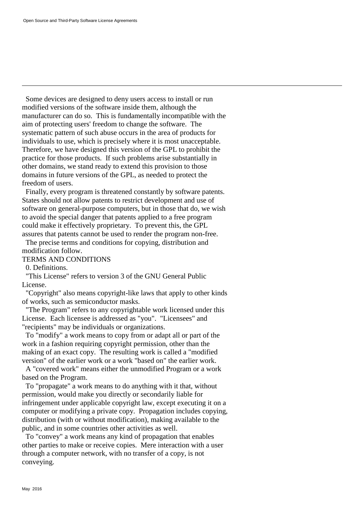Some devices are designed to deny users access to install or run modified versions of the software inside them, although the manufacturer can do so. This is fundamentally incompatible with the aim of protecting users' freedom to change the software. The systematic pattern of such abuse occurs in the area of products for individuals to use, which is precisely where it is most unacceptable. Therefore, we have designed this version of the GPL to prohibit the practice for those products. If such problems arise substantially in other domains, we stand ready to extend this provision to those domains in future versions of the GPL, as needed to protect the freedom of users.

 Finally, every program is threatened constantly by software patents. States should not allow patents to restrict development and use of software on general-purpose computers, but in those that do, we wish to avoid the special danger that patents applied to a free program could make it effectively proprietary. To prevent this, the GPL assures that patents cannot be used to render the program non-free.

 The precise terms and conditions for copying, distribution and modification follow.

TERMS AND CONDITIONS

0. Definitions.

 "This License" refers to version 3 of the GNU General Public License.

 "Copyright" also means copyright-like laws that apply to other kinds of works, such as semiconductor masks.

 "The Program" refers to any copyrightable work licensed under this License. Each licensee is addressed as "you". "Licensees" and "recipients" may be individuals or organizations.

 To "modify" a work means to copy from or adapt all or part of the work in a fashion requiring copyright permission, other than the making of an exact copy. The resulting work is called a "modified version" of the earlier work or a work "based on" the earlier work.

 A "covered work" means either the unmodified Program or a work based on the Program.

 To "propagate" a work means to do anything with it that, without permission, would make you directly or secondarily liable for infringement under applicable copyright law, except executing it on a computer or modifying a private copy. Propagation includes copying, distribution (with or without modification), making available to the public, and in some countries other activities as well.

 To "convey" a work means any kind of propagation that enables other parties to make or receive copies. Mere interaction with a user through a computer network, with no transfer of a copy, is not conveying.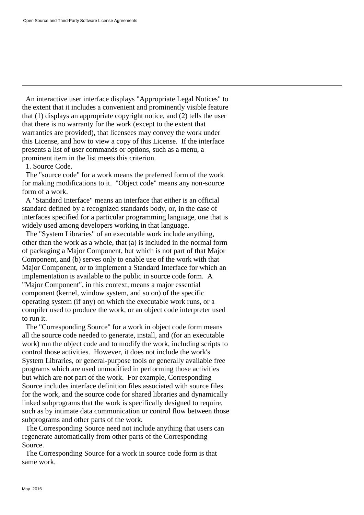An interactive user interface displays "Appropriate Legal Notices" to the extent that it includes a convenient and prominently visible feature that (1) displays an appropriate copyright notice, and (2) tells the user that there is no warranty for the work (except to the extent that warranties are provided), that licensees may convey the work under this License, and how to view a copy of this License. If the interface presents a list of user commands or options, such as a menu, a prominent item in the list meets this criterion.

1. Source Code.

 The "source code" for a work means the preferred form of the work for making modifications to it. "Object code" means any non-source form of a work.

 A "Standard Interface" means an interface that either is an official standard defined by a recognized standards body, or, in the case of interfaces specified for a particular programming language, one that is widely used among developers working in that language.

 The "System Libraries" of an executable work include anything, other than the work as a whole, that (a) is included in the normal form of packaging a Major Component, but which is not part of that Major Component, and (b) serves only to enable use of the work with that Major Component, or to implement a Standard Interface for which an implementation is available to the public in source code form. A "Major Component", in this context, means a major essential component (kernel, window system, and so on) of the specific operating system (if any) on which the executable work runs, or a compiler used to produce the work, or an object code interpreter used to run it.

 The "Corresponding Source" for a work in object code form means all the source code needed to generate, install, and (for an executable work) run the object code and to modify the work, including scripts to control those activities. However, it does not include the work's System Libraries, or general-purpose tools or generally available free programs which are used unmodified in performing those activities but which are not part of the work. For example, Corresponding Source includes interface definition files associated with source files for the work, and the source code for shared libraries and dynamically linked subprograms that the work is specifically designed to require, such as by intimate data communication or control flow between those subprograms and other parts of the work.

 The Corresponding Source need not include anything that users can regenerate automatically from other parts of the Corresponding Source.

 The Corresponding Source for a work in source code form is that same work.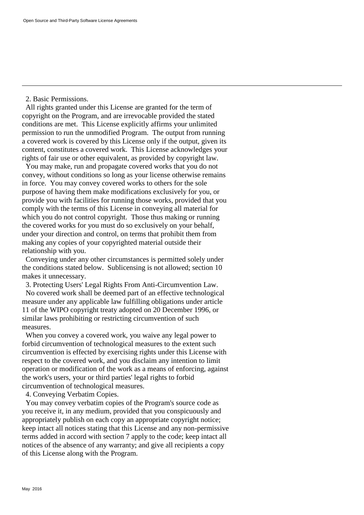#### 2. Basic Permissions.

 All rights granted under this License are granted for the term of copyright on the Program, and are irrevocable provided the stated conditions are met. This License explicitly affirms your unlimited permission to run the unmodified Program. The output from running a covered work is covered by this License only if the output, given its content, constitutes a covered work. This License acknowledges your rights of fair use or other equivalent, as provided by copyright law.

 You may make, run and propagate covered works that you do not convey, without conditions so long as your license otherwise remains in force. You may convey covered works to others for the sole purpose of having them make modifications exclusively for you, or provide you with facilities for running those works, provided that you comply with the terms of this License in conveying all material for which you do not control copyright. Those thus making or running the covered works for you must do so exclusively on your behalf, under your direction and control, on terms that prohibit them from making any copies of your copyrighted material outside their relationship with you.

 Conveying under any other circumstances is permitted solely under the conditions stated below. Sublicensing is not allowed; section 10 makes it unnecessary.

 3. Protecting Users' Legal Rights From Anti-Circumvention Law. No covered work shall be deemed part of an effective technological measure under any applicable law fulfilling obligations under article 11 of the WIPO copyright treaty adopted on 20 December 1996, or similar laws prohibiting or restricting circumvention of such measures.

 When you convey a covered work, you waive any legal power to forbid circumvention of technological measures to the extent such circumvention is effected by exercising rights under this License with respect to the covered work, and you disclaim any intention to limit operation or modification of the work as a means of enforcing, against the work's users, your or third parties' legal rights to forbid circumvention of technological measures.

4. Conveying Verbatim Copies.

 You may convey verbatim copies of the Program's source code as you receive it, in any medium, provided that you conspicuously and appropriately publish on each copy an appropriate copyright notice; keep intact all notices stating that this License and any non-permissive terms added in accord with section 7 apply to the code; keep intact all notices of the absence of any warranty; and give all recipients a copy of this License along with the Program.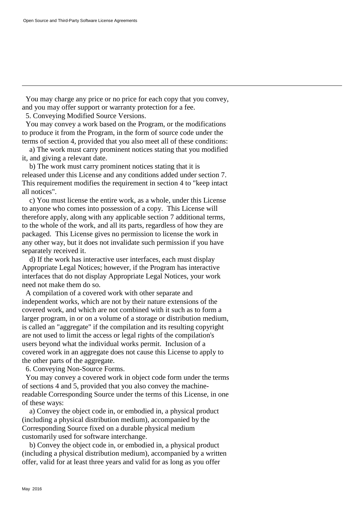You may charge any price or no price for each copy that you convey, and you may offer support or warranty protection for a fee.

5. Conveying Modified Source Versions.

 You may convey a work based on the Program, or the modifications to produce it from the Program, in the form of source code under the terms of section 4, provided that you also meet all of these conditions:

 a) The work must carry prominent notices stating that you modified it, and giving a relevant date.

 b) The work must carry prominent notices stating that it is released under this License and any conditions added under section 7. This requirement modifies the requirement in section 4 to "keep intact all notices".

 c) You must license the entire work, as a whole, under this License to anyone who comes into possession of a copy. This License will therefore apply, along with any applicable section 7 additional terms, to the whole of the work, and all its parts, regardless of how they are packaged. This License gives no permission to license the work in any other way, but it does not invalidate such permission if you have separately received it.

 d) If the work has interactive user interfaces, each must display Appropriate Legal Notices; however, if the Program has interactive interfaces that do not display Appropriate Legal Notices, your work need not make them do so.

 A compilation of a covered work with other separate and independent works, which are not by their nature extensions of the covered work, and which are not combined with it such as to form a larger program, in or on a volume of a storage or distribution medium, is called an "aggregate" if the compilation and its resulting copyright are not used to limit the access or legal rights of the compilation's users beyond what the individual works permit. Inclusion of a covered work in an aggregate does not cause this License to apply to the other parts of the aggregate.

6. Conveying Non-Source Forms.

 You may convey a covered work in object code form under the terms of sections 4 and 5, provided that you also convey the machinereadable Corresponding Source under the terms of this License, in one of these ways:

 a) Convey the object code in, or embodied in, a physical product (including a physical distribution medium), accompanied by the Corresponding Source fixed on a durable physical medium customarily used for software interchange.

 b) Convey the object code in, or embodied in, a physical product (including a physical distribution medium), accompanied by a written offer, valid for at least three years and valid for as long as you offer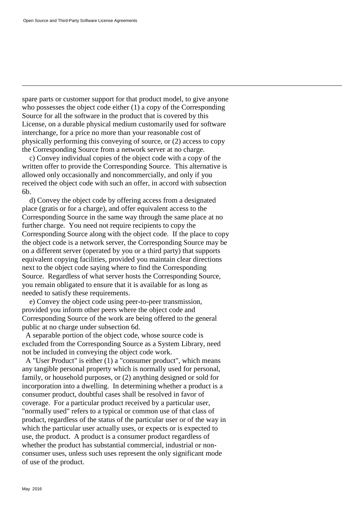spare parts or customer support for that product model, to give anyone who possesses the object code either (1) a copy of the Corresponding Source for all the software in the product that is covered by this License, on a durable physical medium customarily used for software interchange, for a price no more than your reasonable cost of physically performing this conveying of source, or (2) access to copy the Corresponding Source from a network server at no charge.

 c) Convey individual copies of the object code with a copy of the written offer to provide the Corresponding Source. This alternative is allowed only occasionally and noncommercially, and only if you received the object code with such an offer, in accord with subsection 6b.

 d) Convey the object code by offering access from a designated place (gratis or for a charge), and offer equivalent access to the Corresponding Source in the same way through the same place at no further charge. You need not require recipients to copy the Corresponding Source along with the object code. If the place to copy the object code is a network server, the Corresponding Source may be on a different server (operated by you or a third party) that supports equivalent copying facilities, provided you maintain clear directions next to the object code saying where to find the Corresponding Source. Regardless of what server hosts the Corresponding Source, you remain obligated to ensure that it is available for as long as needed to satisfy these requirements.

 e) Convey the object code using peer-to-peer transmission, provided you inform other peers where the object code and Corresponding Source of the work are being offered to the general public at no charge under subsection 6d.

 A separable portion of the object code, whose source code is excluded from the Corresponding Source as a System Library, need not be included in conveying the object code work.

 A "User Product" is either (1) a "consumer product", which means any tangible personal property which is normally used for personal, family, or household purposes, or (2) anything designed or sold for incorporation into a dwelling. In determining whether a product is a consumer product, doubtful cases shall be resolved in favor of coverage. For a particular product received by a particular user, "normally used" refers to a typical or common use of that class of product, regardless of the status of the particular user or of the way in which the particular user actually uses, or expects or is expected to use, the product. A product is a consumer product regardless of whether the product has substantial commercial, industrial or nonconsumer uses, unless such uses represent the only significant mode of use of the product.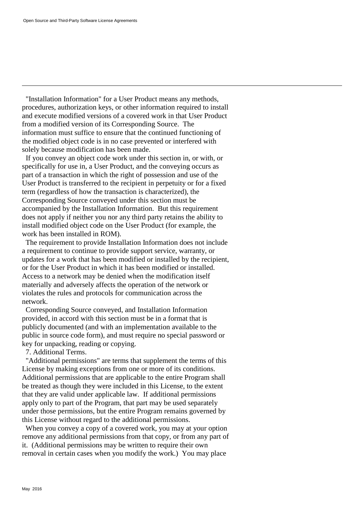"Installation Information" for a User Product means any methods, procedures, authorization keys, or other information required to install and execute modified versions of a covered work in that User Product from a modified version of its Corresponding Source. The information must suffice to ensure that the continued functioning of the modified object code is in no case prevented or interfered with solely because modification has been made.

 If you convey an object code work under this section in, or with, or specifically for use in, a User Product, and the conveying occurs as part of a transaction in which the right of possession and use of the User Product is transferred to the recipient in perpetuity or for a fixed term (regardless of how the transaction is characterized), the Corresponding Source conveyed under this section must be accompanied by the Installation Information. But this requirement does not apply if neither you nor any third party retains the ability to install modified object code on the User Product (for example, the work has been installed in ROM).

 The requirement to provide Installation Information does not include a requirement to continue to provide support service, warranty, or updates for a work that has been modified or installed by the recipient, or for the User Product in which it has been modified or installed. Access to a network may be denied when the modification itself materially and adversely affects the operation of the network or violates the rules and protocols for communication across the network.

 Corresponding Source conveyed, and Installation Information provided, in accord with this section must be in a format that is publicly documented (and with an implementation available to the public in source code form), and must require no special password or key for unpacking, reading or copying.

7. Additional Terms.

 "Additional permissions" are terms that supplement the terms of this License by making exceptions from one or more of its conditions. Additional permissions that are applicable to the entire Program shall be treated as though they were included in this License, to the extent that they are valid under applicable law. If additional permissions apply only to part of the Program, that part may be used separately under those permissions, but the entire Program remains governed by this License without regard to the additional permissions.

When you convey a copy of a covered work, you may at your option remove any additional permissions from that copy, or from any part of it. (Additional permissions may be written to require their own removal in certain cases when you modify the work.) You may place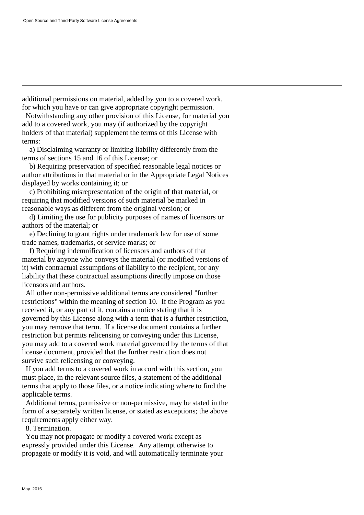additional permissions on material, added by you to a covered work, for which you have or can give appropriate copyright permission.

 Notwithstanding any other provision of this License, for material you add to a covered work, you may (if authorized by the copyright holders of that material) supplement the terms of this License with terms:

 a) Disclaiming warranty or limiting liability differently from the terms of sections 15 and 16 of this License; or

 b) Requiring preservation of specified reasonable legal notices or author attributions in that material or in the Appropriate Legal Notices displayed by works containing it; or

 c) Prohibiting misrepresentation of the origin of that material, or requiring that modified versions of such material be marked in reasonable ways as different from the original version; or

 d) Limiting the use for publicity purposes of names of licensors or authors of the material; or

 e) Declining to grant rights under trademark law for use of some trade names, trademarks, or service marks; or

 f) Requiring indemnification of licensors and authors of that material by anyone who conveys the material (or modified versions of it) with contractual assumptions of liability to the recipient, for any liability that these contractual assumptions directly impose on those licensors and authors.

 All other non-permissive additional terms are considered "further restrictions" within the meaning of section 10. If the Program as you received it, or any part of it, contains a notice stating that it is governed by this License along with a term that is a further restriction, you may remove that term. If a license document contains a further restriction but permits relicensing or conveying under this License, you may add to a covered work material governed by the terms of that license document, provided that the further restriction does not survive such relicensing or conveying.

 If you add terms to a covered work in accord with this section, you must place, in the relevant source files, a statement of the additional terms that apply to those files, or a notice indicating where to find the applicable terms.

 Additional terms, permissive or non-permissive, may be stated in the form of a separately written license, or stated as exceptions; the above requirements apply either way.

8. Termination.

 You may not propagate or modify a covered work except as expressly provided under this License. Any attempt otherwise to propagate or modify it is void, and will automatically terminate your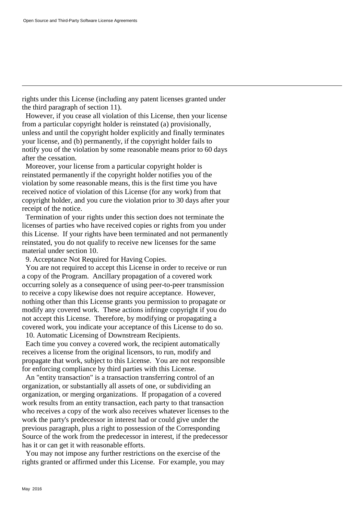rights under this License (including any patent licenses granted under the third paragraph of section 11).

 However, if you cease all violation of this License, then your license from a particular copyright holder is reinstated (a) provisionally, unless and until the copyright holder explicitly and finally terminates your license, and (b) permanently, if the copyright holder fails to notify you of the violation by some reasonable means prior to 60 days after the cessation.

 Moreover, your license from a particular copyright holder is reinstated permanently if the copyright holder notifies you of the violation by some reasonable means, this is the first time you have received notice of violation of this License (for any work) from that copyright holder, and you cure the violation prior to 30 days after your receipt of the notice.

 Termination of your rights under this section does not terminate the licenses of parties who have received copies or rights from you under this License. If your rights have been terminated and not permanently reinstated, you do not qualify to receive new licenses for the same material under section 10.

9. Acceptance Not Required for Having Copies.

 You are not required to accept this License in order to receive or run a copy of the Program. Ancillary propagation of a covered work occurring solely as a consequence of using peer-to-peer transmission to receive a copy likewise does not require acceptance. However, nothing other than this License grants you permission to propagate or modify any covered work. These actions infringe copyright if you do not accept this License. Therefore, by modifying or propagating a covered work, you indicate your acceptance of this License to do so.

10. Automatic Licensing of Downstream Recipients.

 Each time you convey a covered work, the recipient automatically receives a license from the original licensors, to run, modify and propagate that work, subject to this License. You are not responsible for enforcing compliance by third parties with this License.

 An "entity transaction" is a transaction transferring control of an organization, or substantially all assets of one, or subdividing an organization, or merging organizations. If propagation of a covered work results from an entity transaction, each party to that transaction who receives a copy of the work also receives whatever licenses to the work the party's predecessor in interest had or could give under the previous paragraph, plus a right to possession of the Corresponding Source of the work from the predecessor in interest, if the predecessor has it or can get it with reasonable efforts.

 You may not impose any further restrictions on the exercise of the rights granted or affirmed under this License. For example, you may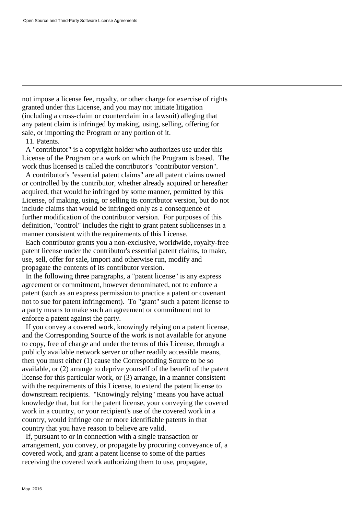not impose a license fee, royalty, or other charge for exercise of rights granted under this License, and you may not initiate litigation (including a cross-claim or counterclaim in a lawsuit) alleging that any patent claim is infringed by making, using, selling, offering for sale, or importing the Program or any portion of it.

11. Patents.

 A "contributor" is a copyright holder who authorizes use under this License of the Program or a work on which the Program is based. The work thus licensed is called the contributor's "contributor version".

 A contributor's "essential patent claims" are all patent claims owned or controlled by the contributor, whether already acquired or hereafter acquired, that would be infringed by some manner, permitted by this License, of making, using, or selling its contributor version, but do not include claims that would be infringed only as a consequence of further modification of the contributor version. For purposes of this definition, "control" includes the right to grant patent sublicenses in a manner consistent with the requirements of this License.

 Each contributor grants you a non-exclusive, worldwide, royalty-free patent license under the contributor's essential patent claims, to make, use, sell, offer for sale, import and otherwise run, modify and propagate the contents of its contributor version.

 In the following three paragraphs, a "patent license" is any express agreement or commitment, however denominated, not to enforce a patent (such as an express permission to practice a patent or covenant not to sue for patent infringement). To "grant" such a patent license to a party means to make such an agreement or commitment not to enforce a patent against the party.

 If you convey a covered work, knowingly relying on a patent license, and the Corresponding Source of the work is not available for anyone to copy, free of charge and under the terms of this License, through a publicly available network server or other readily accessible means, then you must either (1) cause the Corresponding Source to be so available, or (2) arrange to deprive yourself of the benefit of the patent license for this particular work, or (3) arrange, in a manner consistent with the requirements of this License, to extend the patent license to downstream recipients. "Knowingly relying" means you have actual knowledge that, but for the patent license, your conveying the covered work in a country, or your recipient's use of the covered work in a country, would infringe one or more identifiable patents in that country that you have reason to believe are valid.

 If, pursuant to or in connection with a single transaction or arrangement, you convey, or propagate by procuring conveyance of, a covered work, and grant a patent license to some of the parties receiving the covered work authorizing them to use, propagate,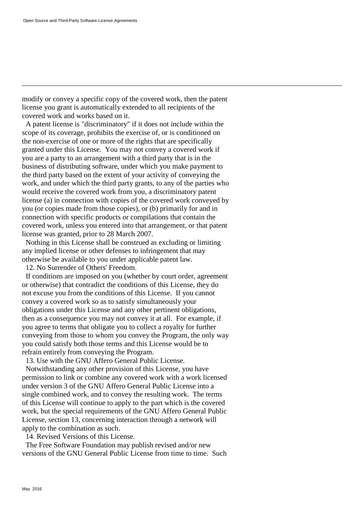modify or convey a specific copy of the covered work, then the patent license you grant is automatically extended to all recipients of the covered work and works based on it.

 A patent license is "discriminatory" if it does not include within the scope of its coverage, prohibits the exercise of, or is conditioned on the non-exercise of one or more of the rights that are specifically granted under this License. You may not convey a covered work if you are a party to an arrangement with a third party that is in the business of distributing software, under which you make payment to the third party based on the extent of your activity of conveying the work, and under which the third party grants, to any of the parties who would receive the covered work from you, a discriminatory patent license (a) in connection with copies of the covered work conveyed by you (or copies made from those copies), or (b) primarily for and in connection with specific products or compilations that contain the covered work, unless you entered into that arrangement, or that patent license was granted, prior to 28 March 2007.

 Nothing in this License shall be construed as excluding or limiting any implied license or other defenses to infringement that may otherwise be available to you under applicable patent law.

12. No Surrender of Others' Freedom.

 If conditions are imposed on you (whether by court order, agreement or otherwise) that contradict the conditions of this License, they do not excuse you from the conditions of this License. If you cannot convey a covered work so as to satisfy simultaneously your obligations under this License and any other pertinent obligations, then as a consequence you may not convey it at all. For example, if you agree to terms that obligate you to collect a royalty for further conveying from those to whom you convey the Program, the only way you could satisfy both those terms and this License would be to refrain entirely from conveying the Program.

13. Use with the GNU Affero General Public License.

 Notwithstanding any other provision of this License, you have permission to link or combine any covered work with a work licensed under version 3 of the GNU Affero General Public License into a single combined work, and to convey the resulting work. The terms of this License will continue to apply to the part which is the covered work, but the special requirements of the GNU Affero General Public License, section 13, concerning interaction through a network will apply to the combination as such.

14. Revised Versions of this License.

 The Free Software Foundation may publish revised and/or new versions of the GNU General Public License from time to time. Such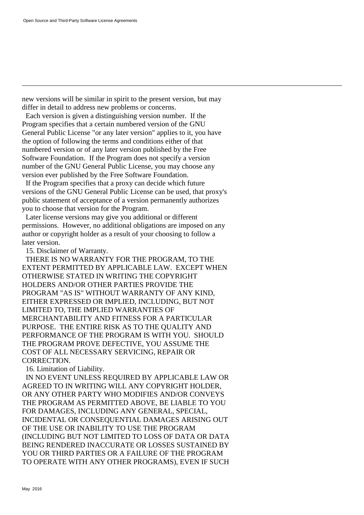new versions will be similar in spirit to the present version, but may differ in detail to address new problems or concerns.

 Each version is given a distinguishing version number. If the Program specifies that a certain numbered version of the GNU General Public License "or any later version" applies to it, you have the option of following the terms and conditions either of that numbered version or of any later version published by the Free Software Foundation. If the Program does not specify a version number of the GNU General Public License, you may choose any version ever published by the Free Software Foundation.

 If the Program specifies that a proxy can decide which future versions of the GNU General Public License can be used, that proxy's public statement of acceptance of a version permanently authorizes you to choose that version for the Program.

 Later license versions may give you additional or different permissions. However, no additional obligations are imposed on any author or copyright holder as a result of your choosing to follow a later version.

15. Disclaimer of Warranty.

 THERE IS NO WARRANTY FOR THE PROGRAM, TO THE EXTENT PERMITTED BY APPLICABLE LAW. EXCEPT WHEN OTHERWISE STATED IN WRITING THE COPYRIGHT HOLDERS AND/OR OTHER PARTIES PROVIDE THE PROGRAM "AS IS" WITHOUT WARRANTY OF ANY KIND, EITHER EXPRESSED OR IMPLIED, INCLUDING, BUT NOT LIMITED TO, THE IMPLIED WARRANTIES OF MERCHANTABILITY AND FITNESS FOR A PARTICULAR PURPOSE. THE ENTIRE RISK AS TO THE QUALITY AND PERFORMANCE OF THE PROGRAM IS WITH YOU. SHOULD THE PROGRAM PROVE DEFECTIVE, YOU ASSUME THE COST OF ALL NECESSARY SERVICING, REPAIR OR CORRECTION.

16. Limitation of Liability.

 IN NO EVENT UNLESS REQUIRED BY APPLICABLE LAW OR AGREED TO IN WRITING WILL ANY COPYRIGHT HOLDER, OR ANY OTHER PARTY WHO MODIFIES AND/OR CONVEYS THE PROGRAM AS PERMITTED ABOVE, BE LIABLE TO YOU FOR DAMAGES, INCLUDING ANY GENERAL, SPECIAL, INCIDENTAL OR CONSEQUENTIAL DAMAGES ARISING OUT OF THE USE OR INABILITY TO USE THE PROGRAM (INCLUDING BUT NOT LIMITED TO LOSS OF DATA OR DATA BEING RENDERED INACCURATE OR LOSSES SUSTAINED BY YOU OR THIRD PARTIES OR A FAILURE OF THE PROGRAM TO OPERATE WITH ANY OTHER PROGRAMS), EVEN IF SUCH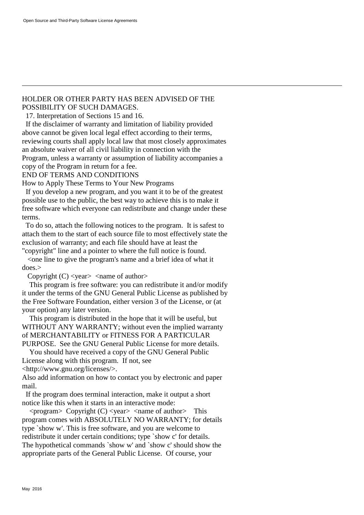## HOLDER OR OTHER PARTY HAS BEEN ADVISED OF THE POSSIBILITY OF SUCH DAMAGES.

17. Interpretation of Sections 15 and 16.

 If the disclaimer of warranty and limitation of liability provided above cannot be given local legal effect according to their terms, reviewing courts shall apply local law that most closely approximates an absolute waiver of all civil liability in connection with the Program, unless a warranty or assumption of liability accompanies a copy of the Program in return for a fee.

## END OF TERMS AND CONDITIONS

How to Apply These Terms to Your New Programs

 If you develop a new program, and you want it to be of the greatest possible use to the public, the best way to achieve this is to make it free software which everyone can redistribute and change under these terms.

 To do so, attach the following notices to the program. It is safest to attach them to the start of each source file to most effectively state the exclusion of warranty; and each file should have at least the

"copyright" line and a pointer to where the full notice is found.

 <one line to give the program's name and a brief idea of what it does.>

Copyright  $(C)$  <year > <name of author

 This program is free software: you can redistribute it and/or modify it under the terms of the GNU General Public License as published by the Free Software Foundation, either version 3 of the License, or (at your option) any later version.

 This program is distributed in the hope that it will be useful, but WITHOUT ANY WARRANTY; without even the implied warranty of MERCHANTABILITY or FITNESS FOR A PARTICULAR PURPOSE. See the GNU General Public License for more details.

 You should have received a copy of the GNU General Public License along with this program. If not, see

<http://www.gnu.org/licenses/>.

Also add information on how to contact you by electronic and paper mail.

 If the program does terminal interaction, make it output a short notice like this when it starts in an interactive mode:

 $\langle$ program> Copyright (C)  $\langle$ year>  $\langle$ name of author> This program comes with ABSOLUTELY NO WARRANTY; for details type `show w'. This is free software, and you are welcome to redistribute it under certain conditions; type `show c' for details. The hypothetical commands `show w' and `show c' should show the appropriate parts of the General Public License. Of course, your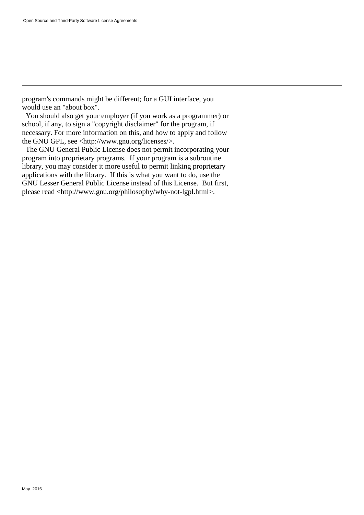program's commands might be different; for a GUI interface, you would use an "about box".

 You should also get your employer (if you work as a programmer) or school, if any, to sign a "copyright disclaimer" for the program, if necessary. For more information on this, and how to apply and follow the GNU GPL, see <http://www.gnu.org/licenses/>.

 The GNU General Public License does not permit incorporating your program into proprietary programs. If your program is a subroutine library, you may consider it more useful to permit linking proprietary applications with the library. If this is what you want to do, use the GNU Lesser General Public License instead of this License. But first, please read <http://www.gnu.org/philosophy/why-not-lgpl.html>.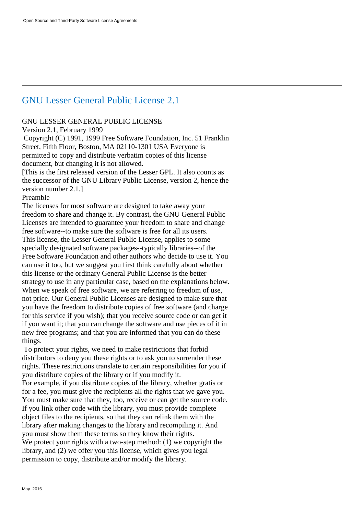## GNU Lesser General Public License 2.1

GNU LESSER GENERAL PUBLIC LICENSE

Version 2.1, February 1999

Copyright (C) 1991, 1999 Free Software Foundation, Inc. 51 Franklin Street, Fifth Floor, Boston, MA 02110-1301 USA Everyone is permitted to copy and distribute verbatim copies of this license document, but changing it is not allowed.

[This is the first released version of the Lesser GPL. It also counts as the successor of the GNU Library Public License, version 2, hence the version number 2.1.]

### Preamble

The licenses for most software are designed to take away your freedom to share and change it. By contrast, the GNU General Public Licenses are intended to guarantee your freedom to share and change free software--to make sure the software is free for all its users. This license, the Lesser General Public License, applies to some specially designated software packages--typically libraries--of the Free Software Foundation and other authors who decide to use it. You can use it too, but we suggest you first think carefully about whether this license or the ordinary General Public License is the better strategy to use in any particular case, based on the explanations below. When we speak of free software, we are referring to freedom of use, not price. Our General Public Licenses are designed to make sure that you have the freedom to distribute copies of free software (and charge for this service if you wish); that you receive source code or can get it if you want it; that you can change the software and use pieces of it in new free programs; and that you are informed that you can do these things.

To protect your rights, we need to make restrictions that forbid distributors to deny you these rights or to ask you to surrender these rights. These restrictions translate to certain responsibilities for you if you distribute copies of the library or if you modify it.

For example, if you distribute copies of the library, whether gratis or for a fee, you must give the recipients all the rights that we gave you. You must make sure that they, too, receive or can get the source code. If you link other code with the library, you must provide complete object files to the recipients, so that they can relink them with the library after making changes to the library and recompiling it. And you must show them these terms so they know their rights. We protect your rights with a two-step method: (1) we copyright the library, and (2) we offer you this license, which gives you legal permission to copy, distribute and/or modify the library.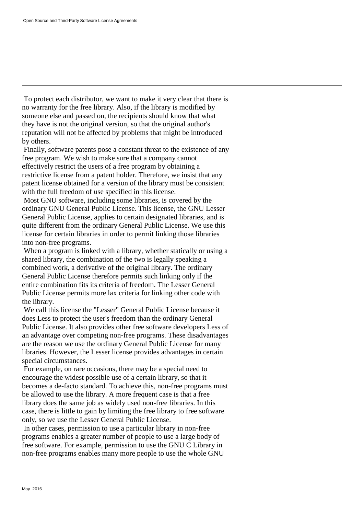To protect each distributor, we want to make it very clear that there is no warranty for the free library. Also, if the library is modified by someone else and passed on, the recipients should know that what they have is not the original version, so that the original author's reputation will not be affected by problems that might be introduced by others.

Finally, software patents pose a constant threat to the existence of any free program. We wish to make sure that a company cannot effectively restrict the users of a free program by obtaining a restrictive license from a patent holder. Therefore, we insist that any patent license obtained for a version of the library must be consistent with the full freedom of use specified in this license.

Most GNU software, including some libraries, is covered by the ordinary GNU General Public License. This license, the GNU Lesser General Public License, applies to certain designated libraries, and is quite different from the ordinary General Public License. We use this license for certain libraries in order to permit linking those libraries into non-free programs.

When a program is linked with a library, whether statically or using a shared library, the combination of the two is legally speaking a combined work, a derivative of the original library. The ordinary General Public License therefore permits such linking only if the entire combination fits its criteria of freedom. The Lesser General Public License permits more lax criteria for linking other code with the library.

We call this license the "Lesser" General Public License because it does Less to protect the user's freedom than the ordinary General Public License. It also provides other free software developers Less of an advantage over competing non-free programs. These disadvantages are the reason we use the ordinary General Public License for many libraries. However, the Lesser license provides advantages in certain special circumstances.

For example, on rare occasions, there may be a special need to encourage the widest possible use of a certain library, so that it becomes a de-facto standard. To achieve this, non-free programs must be allowed to use the library. A more frequent case is that a free library does the same job as widely used non-free libraries. In this case, there is little to gain by limiting the free library to free software only, so we use the Lesser General Public License.

In other cases, permission to use a particular library in non-free programs enables a greater number of people to use a large body of free software. For example, permission to use the GNU C Library in non-free programs enables many more people to use the whole GNU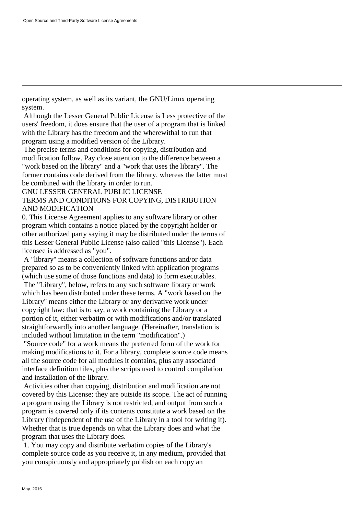operating system, as well as its variant, the GNU/Linux operating system.

Although the Lesser General Public License is Less protective of the users' freedom, it does ensure that the user of a program that is linked with the Library has the freedom and the wherewithal to run that program using a modified version of the Library.

The precise terms and conditions for copying, distribution and modification follow. Pay close attention to the difference between a "work based on the library" and a "work that uses the library". The former contains code derived from the library, whereas the latter must be combined with the library in order to run.

GNU LESSER GENERAL PUBLIC LICENSE

### TERMS AND CONDITIONS FOR COPYING, DISTRIBUTION AND MODIFICATION

0. This License Agreement applies to any software library or other program which contains a notice placed by the copyright holder or other authorized party saying it may be distributed under the terms of this Lesser General Public License (also called "this License"). Each licensee is addressed as "you".

A "library" means a collection of software functions and/or data prepared so as to be conveniently linked with application programs (which use some of those functions and data) to form executables. The "Library", below, refers to any such software library or work which has been distributed under these terms. A "work based on the Library" means either the Library or any derivative work under copyright law: that is to say, a work containing the Library or a portion of it, either verbatim or with modifications and/or translated straightforwardly into another language. (Hereinafter, translation is included without limitation in the term "modification".)

"Source code" for a work means the preferred form of the work for making modifications to it. For a library, complete source code means all the source code for all modules it contains, plus any associated interface definition files, plus the scripts used to control compilation and installation of the library.

Activities other than copying, distribution and modification are not covered by this License; they are outside its scope. The act of running a program using the Library is not restricted, and output from such a program is covered only if its contents constitute a work based on the Library (independent of the use of the Library in a tool for writing it). Whether that is true depends on what the Library does and what the program that uses the Library does.

1. You may copy and distribute verbatim copies of the Library's complete source code as you receive it, in any medium, provided that you conspicuously and appropriately publish on each copy an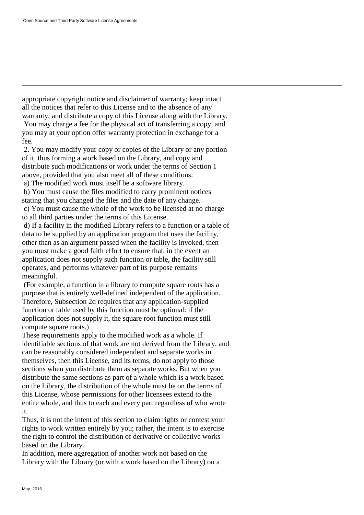appropriate copyright notice and disclaimer of warranty; keep intact all the notices that refer to this License and to the absence of any warranty; and distribute a copy of this License along with the Library.

You may charge a fee for the physical act of transferring a copy, and you may at your option offer warranty protection in exchange for a fee.

2. You may modify your copy or copies of the Library or any portion of it, thus forming a work based on the Library, and copy and distribute such modifications or work under the terms of Section 1 above, provided that you also meet all of these conditions:

a) The modified work must itself be a software library.

b) You must cause the files modified to carry prominent notices stating that you changed the files and the date of any change.

c) You must cause the whole of the work to be licensed at no charge to all third parties under the terms of this License.

d) If a facility in the modified Library refers to a function or a table of data to be supplied by an application program that uses the facility, other than as an argument passed when the facility is invoked, then you must make a good faith effort to ensure that, in the event an application does not supply such function or table, the facility still operates, and performs whatever part of its purpose remains meaningful.

(For example, a function in a library to compute square roots has a purpose that is entirely well-defined independent of the application. Therefore, Subsection 2d requires that any application-supplied function or table used by this function must be optional: if the application does not supply it, the square root function must still compute square roots.)

These requirements apply to the modified work as a whole. If identifiable sections of that work are not derived from the Library, and can be reasonably considered independent and separate works in themselves, then this License, and its terms, do not apply to those sections when you distribute them as separate works. But when you distribute the same sections as part of a whole which is a work based on the Library, the distribution of the whole must be on the terms of this License, whose permissions for other licensees extend to the entire whole, and thus to each and every part regardless of who wrote it.

Thus, it is not the intent of this section to claim rights or contest your rights to work written entirely by you; rather, the intent is to exercise the right to control the distribution of derivative or collective works based on the Library.

In addition, mere aggregation of another work not based on the Library with the Library (or with a work based on the Library) on a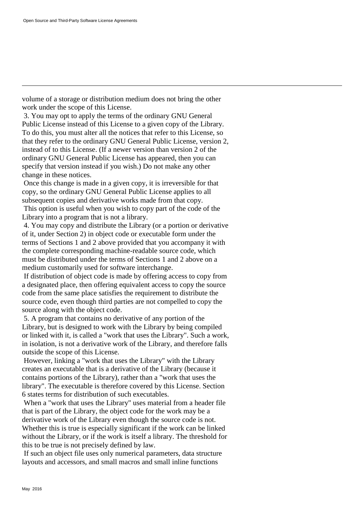volume of a storage or distribution medium does not bring the other work under the scope of this License.

3. You may opt to apply the terms of the ordinary GNU General Public License instead of this License to a given copy of the Library. To do this, you must alter all the notices that refer to this License, so that they refer to the ordinary GNU General Public License, version 2, instead of to this License. (If a newer version than version 2 of the ordinary GNU General Public License has appeared, then you can specify that version instead if you wish.) Do not make any other change in these notices.

Once this change is made in a given copy, it is irreversible for that copy, so the ordinary GNU General Public License applies to all subsequent copies and derivative works made from that copy. This option is useful when you wish to copy part of the code of the

Library into a program that is not a library.

4. You may copy and distribute the Library (or a portion or derivative of it, under Section 2) in object code or executable form under the terms of Sections 1 and 2 above provided that you accompany it with the complete corresponding machine-readable source code, which must be distributed under the terms of Sections 1 and 2 above on a medium customarily used for software interchange.

If distribution of object code is made by offering access to copy from a designated place, then offering equivalent access to copy the source code from the same place satisfies the requirement to distribute the source code, even though third parties are not compelled to copy the source along with the object code.

5. A program that contains no derivative of any portion of the Library, but is designed to work with the Library by being compiled or linked with it, is called a "work that uses the Library". Such a work, in isolation, is not a derivative work of the Library, and therefore falls outside the scope of this License.

However, linking a "work that uses the Library" with the Library creates an executable that is a derivative of the Library (because it contains portions of the Library), rather than a "work that uses the library". The executable is therefore covered by this License. Section 6 states terms for distribution of such executables.

When a "work that uses the Library" uses material from a header file that is part of the Library, the object code for the work may be a derivative work of the Library even though the source code is not. Whether this is true is especially significant if the work can be linked without the Library, or if the work is itself a library. The threshold for this to be true is not precisely defined by law.

If such an object file uses only numerical parameters, data structure layouts and accessors, and small macros and small inline functions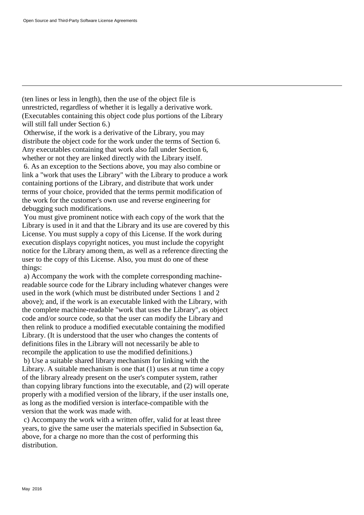(ten lines or less in length), then the use of the object file is unrestricted, regardless of whether it is legally a derivative work. (Executables containing this object code plus portions of the Library will still fall under Section 6.)

Otherwise, if the work is a derivative of the Library, you may distribute the object code for the work under the terms of Section 6. Any executables containing that work also fall under Section 6, whether or not they are linked directly with the Library itself. 6. As an exception to the Sections above, you may also combine or link a "work that uses the Library" with the Library to produce a work containing portions of the Library, and distribute that work under terms of your choice, provided that the terms permit modification of the work for the customer's own use and reverse engineering for debugging such modifications.

You must give prominent notice with each copy of the work that the Library is used in it and that the Library and its use are covered by this License. You must supply a copy of this License. If the work during execution displays copyright notices, you must include the copyright notice for the Library among them, as well as a reference directing the user to the copy of this License. Also, you must do one of these things:

a) Accompany the work with the complete corresponding machinereadable source code for the Library including whatever changes were used in the work (which must be distributed under Sections 1 and 2 above); and, if the work is an executable linked with the Library, with the complete machine-readable "work that uses the Library", as object code and/or source code, so that the user can modify the Library and then relink to produce a modified executable containing the modified Library. (It is understood that the user who changes the contents of definitions files in the Library will not necessarily be able to recompile the application to use the modified definitions.)

b) Use a suitable shared library mechanism for linking with the Library. A suitable mechanism is one that (1) uses at run time a copy of the library already present on the user's computer system, rather than copying library functions into the executable, and (2) will operate properly with a modified version of the library, if the user installs one, as long as the modified version is interface-compatible with the version that the work was made with.

c) Accompany the work with a written offer, valid for at least three years, to give the same user the materials specified in Subsection 6a, above, for a charge no more than the cost of performing this distribution.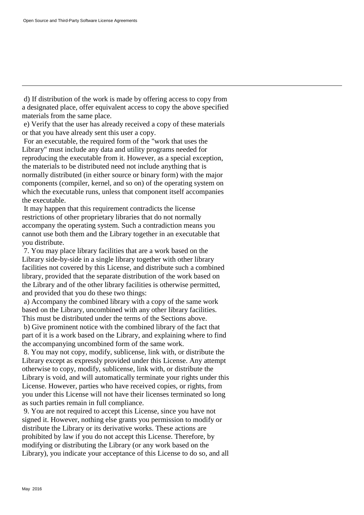d) If distribution of the work is made by offering access to copy from a designated place, offer equivalent access to copy the above specified materials from the same place.

e) Verify that the user has already received a copy of these materials or that you have already sent this user a copy.

For an executable, the required form of the "work that uses the Library" must include any data and utility programs needed for reproducing the executable from it. However, as a special exception, the materials to be distributed need not include anything that is normally distributed (in either source or binary form) with the major components (compiler, kernel, and so on) of the operating system on which the executable runs, unless that component itself accompanies the executable.

It may happen that this requirement contradicts the license restrictions of other proprietary libraries that do not normally accompany the operating system. Such a contradiction means you cannot use both them and the Library together in an executable that you distribute.

7. You may place library facilities that are a work based on the Library side-by-side in a single library together with other library facilities not covered by this License, and distribute such a combined library, provided that the separate distribution of the work based on the Library and of the other library facilities is otherwise permitted, and provided that you do these two things:

a) Accompany the combined library with a copy of the same work based on the Library, uncombined with any other library facilities. This must be distributed under the terms of the Sections above.

b) Give prominent notice with the combined library of the fact that part of it is a work based on the Library, and explaining where to find the accompanying uncombined form of the same work.

8. You may not copy, modify, sublicense, link with, or distribute the Library except as expressly provided under this License. Any attempt otherwise to copy, modify, sublicense, link with, or distribute the Library is void, and will automatically terminate your rights under this License. However, parties who have received copies, or rights, from you under this License will not have their licenses terminated so long as such parties remain in full compliance.

9. You are not required to accept this License, since you have not signed it. However, nothing else grants you permission to modify or distribute the Library or its derivative works. These actions are prohibited by law if you do not accept this License. Therefore, by modifying or distributing the Library (or any work based on the Library), you indicate your acceptance of this License to do so, and all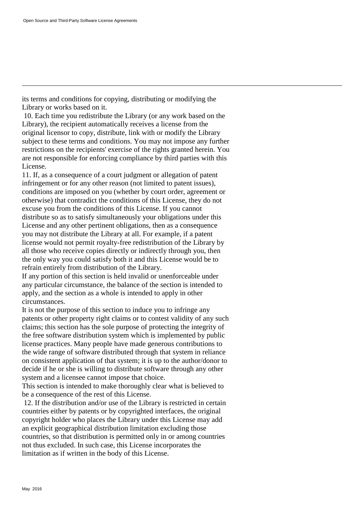its terms and conditions for copying, distributing or modifying the Library or works based on it.

10. Each time you redistribute the Library (or any work based on the Library), the recipient automatically receives a license from the original licensor to copy, distribute, link with or modify the Library subject to these terms and conditions. You may not impose any further restrictions on the recipients' exercise of the rights granted herein. You are not responsible for enforcing compliance by third parties with this License.

11. If, as a consequence of a court judgment or allegation of patent infringement or for any other reason (not limited to patent issues), conditions are imposed on you (whether by court order, agreement or otherwise) that contradict the conditions of this License, they do not excuse you from the conditions of this License. If you cannot distribute so as to satisfy simultaneously your obligations under this License and any other pertinent obligations, then as a consequence you may not distribute the Library at all. For example, if a patent license would not permit royalty-free redistribution of the Library by all those who receive copies directly or indirectly through you, then the only way you could satisfy both it and this License would be to refrain entirely from distribution of the Library.

If any portion of this section is held invalid or unenforceable under any particular circumstance, the balance of the section is intended to apply, and the section as a whole is intended to apply in other circumstances.

It is not the purpose of this section to induce you to infringe any patents or other property right claims or to contest validity of any such claims; this section has the sole purpose of protecting the integrity of the free software distribution system which is implemented by public license practices. Many people have made generous contributions to the wide range of software distributed through that system in reliance on consistent application of that system; it is up to the author/donor to decide if he or she is willing to distribute software through any other system and a licensee cannot impose that choice.

This section is intended to make thoroughly clear what is believed to be a consequence of the rest of this License.

12. If the distribution and/or use of the Library is restricted in certain countries either by patents or by copyrighted interfaces, the original copyright holder who places the Library under this License may add an explicit geographical distribution limitation excluding those countries, so that distribution is permitted only in or among countries not thus excluded. In such case, this License incorporates the limitation as if written in the body of this License.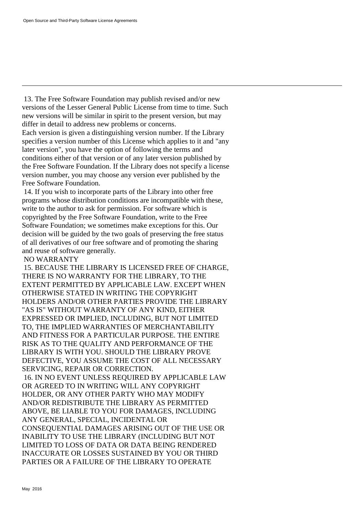13. The Free Software Foundation may publish revised and/or new versions of the Lesser General Public License from time to time. Such new versions will be similar in spirit to the present version, but may differ in detail to address new problems or concerns.

Each version is given a distinguishing version number. If the Library specifies a version number of this License which applies to it and "any later version", you have the option of following the terms and conditions either of that version or of any later version published by the Free Software Foundation. If the Library does not specify a license version number, you may choose any version ever published by the Free Software Foundation.

14. If you wish to incorporate parts of the Library into other free programs whose distribution conditions are incompatible with these, write to the author to ask for permission. For software which is copyrighted by the Free Software Foundation, write to the Free Software Foundation; we sometimes make exceptions for this. Our decision will be guided by the two goals of preserving the free status of all derivatives of our free software and of promoting the sharing and reuse of software generally.

### NO WARRANTY

15. BECAUSE THE LIBRARY IS LICENSED FREE OF CHARGE, THERE IS NO WARRANTY FOR THE LIBRARY, TO THE EXTENT PERMITTED BY APPLICABLE LAW. EXCEPT WHEN OTHERWISE STATED IN WRITING THE COPYRIGHT HOLDERS AND/OR OTHER PARTIES PROVIDE THE LIBRARY "AS IS" WITHOUT WARRANTY OF ANY KIND, EITHER EXPRESSED OR IMPLIED, INCLUDING, BUT NOT LIMITED TO, THE IMPLIED WARRANTIES OF MERCHANTABILITY AND FITNESS FOR A PARTICULAR PURPOSE. THE ENTIRE RISK AS TO THE QUALITY AND PERFORMANCE OF THE LIBRARY IS WITH YOU. SHOULD THE LIBRARY PROVE DEFECTIVE, YOU ASSUME THE COST OF ALL NECESSARY SERVICING, REPAIR OR CORRECTION.

16. IN NO EVENT UNLESS REQUIRED BY APPLICABLE LAW OR AGREED TO IN WRITING WILL ANY COPYRIGHT HOLDER, OR ANY OTHER PARTY WHO MAY MODIFY AND/OR REDISTRIBUTE THE LIBRARY AS PERMITTED ABOVE, BE LIABLE TO YOU FOR DAMAGES, INCLUDING ANY GENERAL, SPECIAL, INCIDENTAL OR CONSEQUENTIAL DAMAGES ARISING OUT OF THE USE OR INABILITY TO USE THE LIBRARY (INCLUDING BUT NOT LIMITED TO LOSS OF DATA OR DATA BEING RENDERED INACCURATE OR LOSSES SUSTAINED BY YOU OR THIRD PARTIES OR A FAILURE OF THE LIBRARY TO OPERATE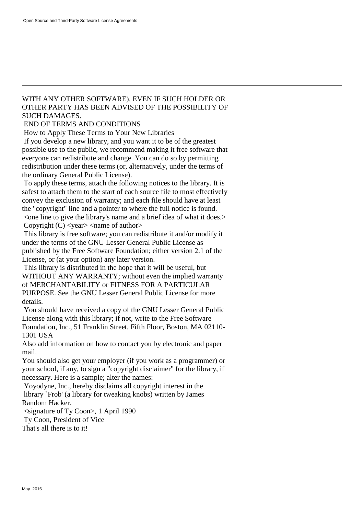## WITH ANY OTHER SOFTWARE), EVEN IF SUCH HOLDER OR OTHER PARTY HAS BEEN ADVISED OF THE POSSIBILITY OF SUCH DAMAGES.

### END OF TERMS AND CONDITIONS

How to Apply These Terms to Your New Libraries

If you develop a new library, and you want it to be of the greatest possible use to the public, we recommend making it free software that everyone can redistribute and change. You can do so by permitting redistribution under these terms (or, alternatively, under the terms of the ordinary General Public License).

To apply these terms, attach the following notices to the library. It is safest to attach them to the start of each source file to most effectively convey the exclusion of warranty; and each file should have at least the "copyright" line and a pointer to where the full notice is found. <one line to give the library's name and a brief idea of what it does.> Copyright  $(C)$  <year > <name of author >

This library is free software; you can redistribute it and/or modify it under the terms of the GNU Lesser General Public License as published by the Free Software Foundation; either version 2.1 of the License, or (at your option) any later version.

This library is distributed in the hope that it will be useful, but WITHOUT ANY WARRANTY; without even the implied warranty of MERCHANTABILITY or FITNESS FOR A PARTICULAR PURPOSE. See the GNU Lesser General Public License for more details.

You should have received a copy of the GNU Lesser General Public License along with this library; if not, write to the Free Software Foundation, Inc., 51 Franklin Street, Fifth Floor, Boston, MA 02110- 1301 USA

Also add information on how to contact you by electronic and paper mail.

You should also get your employer (if you work as a programmer) or your school, if any, to sign a "copyright disclaimer" for the library, if necessary. Here is a sample; alter the names:

Yoyodyne, Inc., hereby disclaims all copyright interest in the library `Frob' (a library for tweaking knobs) written by James Random Hacker.

<signature of Ty Coon>, 1 April 1990 Ty Coon, President of Vice

That's all there is to it!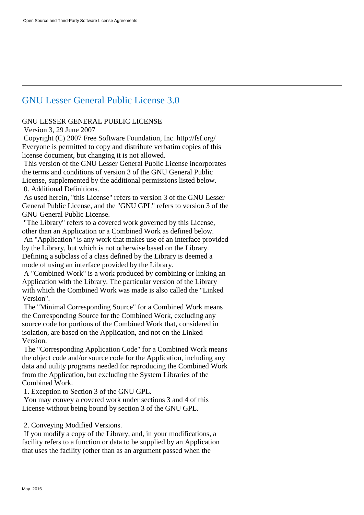## GNU Lesser General Public License 3.0

GNU LESSER GENERAL PUBLIC LICENSE

Version 3, 29 June 2007

Copyright (C) 2007 Free Software Foundation, Inc. http://fsf.org/ Everyone is permitted to copy and distribute verbatim copies of this license document, but changing it is not allowed.

This version of the GNU Lesser General Public License incorporates the terms and conditions of version 3 of the GNU General Public License, supplemented by the additional permissions listed below. 0. Additional Definitions.

As used herein, "this License" refers to version 3 of the GNU Lesser General Public License, and the "GNU GPL" refers to version 3 of the GNU General Public License.

"The Library" refers to a covered work governed by this License, other than an Application or a Combined Work as defined below.

An "Application" is any work that makes use of an interface provided by the Library, but which is not otherwise based on the Library. Defining a subclass of a class defined by the Library is deemed a mode of using an interface provided by the Library.

A "Combined Work" is a work produced by combining or linking an Application with the Library. The particular version of the Library with which the Combined Work was made is also called the "Linked Version".

The "Minimal Corresponding Source" for a Combined Work means the Corresponding Source for the Combined Work, excluding any source code for portions of the Combined Work that, considered in isolation, are based on the Application, and not on the Linked Version.

The "Corresponding Application Code" for a Combined Work means the object code and/or source code for the Application, including any data and utility programs needed for reproducing the Combined Work from the Application, but excluding the System Libraries of the Combined Work.

1. Exception to Section 3 of the GNU GPL.

You may convey a covered work under sections 3 and 4 of this License without being bound by section 3 of the GNU GPL.

2. Conveying Modified Versions.

If you modify a copy of the Library, and, in your modifications, a facility refers to a function or data to be supplied by an Application that uses the facility (other than as an argument passed when the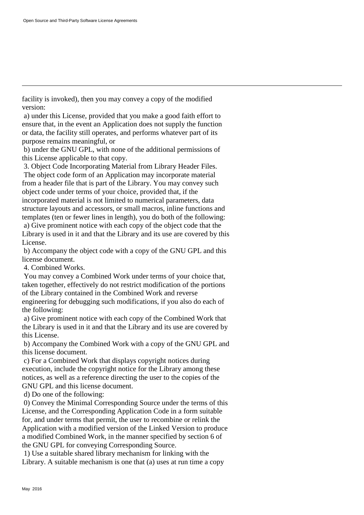facility is invoked), then you may convey a copy of the modified version:

a) under this License, provided that you make a good faith effort to ensure that, in the event an Application does not supply the function or data, the facility still operates, and performs whatever part of its purpose remains meaningful, or

b) under the GNU GPL, with none of the additional permissions of this License applicable to that copy.

3. Object Code Incorporating Material from Library Header Files. The object code form of an Application may incorporate material from a header file that is part of the Library. You may convey such object code under terms of your choice, provided that, if the incorporated material is not limited to numerical parameters, data

structure layouts and accessors, or small macros, inline functions and templates (ten or fewer lines in length), you do both of the following: a) Give prominent notice with each copy of the object code that the

Library is used in it and that the Library and its use are covered by this License.

b) Accompany the object code with a copy of the GNU GPL and this license document.

4. Combined Works.

You may convey a Combined Work under terms of your choice that, taken together, effectively do not restrict modification of the portions of the Library contained in the Combined Work and reverse

engineering for debugging such modifications, if you also do each of the following:

a) Give prominent notice with each copy of the Combined Work that the Library is used in it and that the Library and its use are covered by this License.

b) Accompany the Combined Work with a copy of the GNU GPL and this license document.

c) For a Combined Work that displays copyright notices during execution, include the copyright notice for the Library among these notices, as well as a reference directing the user to the copies of the GNU GPL and this license document.

d) Do one of the following:

0) Convey the Minimal Corresponding Source under the terms of this License, and the Corresponding Application Code in a form suitable for, and under terms that permit, the user to recombine or relink the Application with a modified version of the Linked Version to produce a modified Combined Work, in the manner specified by section 6 of the GNU GPL for conveying Corresponding Source.

1) Use a suitable shared library mechanism for linking with the Library. A suitable mechanism is one that (a) uses at run time a copy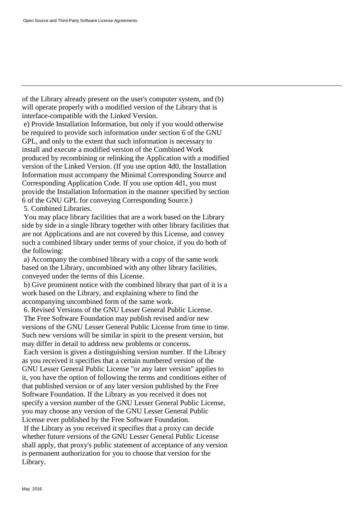of the Library already present on the user's computer system, and (b) will operate properly with a modified version of the Library that is interface-compatible with the Linked Version.

e) Provide Installation Information, but only if you would otherwise be required to provide such information under section 6 of the GNU GPL, and only to the extent that such information is necessary to install and execute a modified version of the Combined Work produced by recombining or relinking the Application with a modified version of the Linked Version. (If you use option 4d0, the Installation Information must accompany the Minimal Corresponding Source and Corresponding Application Code. If you use option 4d1, you must provide the Installation Information in the manner specified by section 6 of the GNU GPL for conveying Corresponding Source.)

5. Combined Libraries.

You may place library facilities that are a work based on the Library side by side in a single library together with other library facilities that are not Applications and are not covered by this License, and convey such a combined library under terms of your choice, if you do both of the following:

a) Accompany the combined library with a copy of the same work based on the Library, uncombined with any other library facilities, conveyed under the terms of this License.

b) Give prominent notice with the combined library that part of it is a work based on the Library, and explaining where to find the accompanying uncombined form of the same work.

6. Revised Versions of the GNU Lesser General Public License. The Free Software Foundation may publish revised and/or new versions of the GNU Lesser General Public License from time to time. Such new versions will be similar in spirit to the present version, but may differ in detail to address new problems or concerns.

Each version is given a distinguishing version number. If the Library as you received it specifies that a certain numbered version of the GNU Lesser General Public License "or any later version" applies to it, you have the option of following the terms and conditions either of that published version or of any later version published by the Free Software Foundation. If the Library as you received it does not specify a version number of the GNU Lesser General Public License, you may choose any version of the GNU Lesser General Public License ever published by the Free Software Foundation.

If the Library as you received it specifies that a proxy can decide whether future versions of the GNU Lesser General Public License shall apply, that proxy's public statement of acceptance of any version is permanent authorization for you to choose that version for the Library.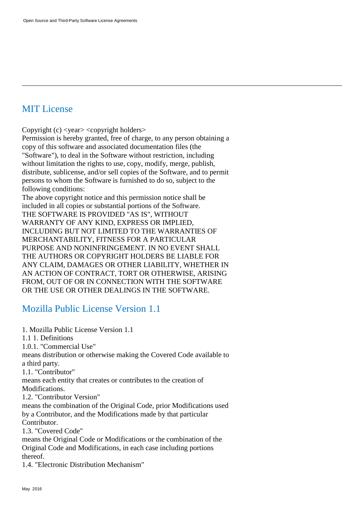# MIT License

Copyright (c)  $\langle$ year $\rangle$   $\langle$ copyright holders $\rangle$ 

Permission is hereby granted, free of charge, to any person obtaining a copy of this software and associated documentation files (the "Software"), to deal in the Software without restriction, including without limitation the rights to use, copy, modify, merge, publish, distribute, sublicense, and/or sell copies of the Software, and to permit persons to whom the Software is furnished to do so, subject to the following conditions:

The above copyright notice and this permission notice shall be included in all copies or substantial portions of the Software. THE SOFTWARE IS PROVIDED "AS IS", WITHOUT WARRANTY OF ANY KIND, EXPRESS OR IMPLIED, INCLUDING BUT NOT LIMITED TO THE WARRANTIES OF MERCHANTABILITY, FITNESS FOR A PARTICULAR PURPOSE AND NONINFRINGEMENT. IN NO EVENT SHALL THE AUTHORS OR COPYRIGHT HOLDERS BE LIABLE FOR ANY CLAIM, DAMAGES OR OTHER LIABILITY, WHETHER IN AN ACTION OF CONTRACT, TORT OR OTHERWISE, ARISING FROM, OUT OF OR IN CONNECTION WITH THE SOFTWARE OR THE USE OR OTHER DEALINGS IN THE SOFTWARE.

# Mozilla Public License Version 1.1

1. Mozilla Public License Version 1.1 1.1 1. Definitions 1.0.1. "Commercial Use" means distribution or otherwise making the Covered Code available to a third party. 1.1. "Contributor" means each entity that creates or contributes to the creation of Modifications. 1.2. "Contributor Version" means the combination of the Original Code, prior Modifications used by a Contributor, and the Modifications made by that particular Contributor. 1.3. "Covered Code" means the Original Code or Modifications or the combination of the Original Code and Modifications, in each case including portions thereof. 1.4. "Electronic Distribution Mechanism"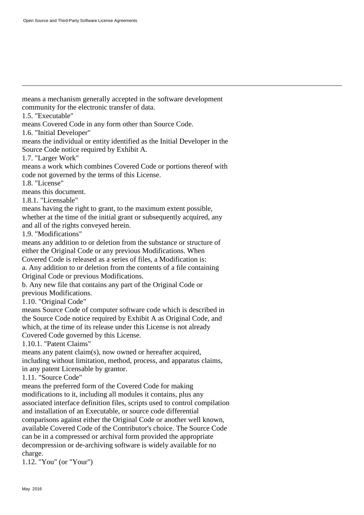means a mechanism generally accepted in the software development community for the electronic transfer of data. 1.5. "Executable" means Covered Code in any form other than Source Code. 1.6. "Initial Developer" means the individual or entity identified as the Initial Developer in the Source Code notice required by Exhibit A. 1.7. "Larger Work" means a work which combines Covered Code or portions thereof with code not governed by the terms of this License. 1.8. "License" means this document. 1.8.1. "Licensable" means having the right to grant, to the maximum extent possible, whether at the time of the initial grant or subsequently acquired, any and all of the rights conveyed herein. 1.9. "Modifications" means any addition to or deletion from the substance or structure of either the Original Code or any previous Modifications. When Covered Code is released as a series of files, a Modification is: a. Any addition to or deletion from the contents of a file containing Original Code or previous Modifications. b. Any new file that contains any part of the Original Code or previous Modifications. 1.10. "Original Code" means Source Code of computer software code which is described in the Source Code notice required by Exhibit A as Original Code, and which, at the time of its release under this License is not already Covered Code governed by this License. 1.10.1. "Patent Claims" means any patent claim(s), now owned or hereafter acquired, including without limitation, method, process, and apparatus claims, in any patent Licensable by grantor. 1.11. "Source Code" means the preferred form of the Covered Code for making modifications to it, including all modules it contains, plus any associated interface definition files, scripts used to control compilation and installation of an Executable, or source code differential comparisons against either the Original Code or another well known, available Covered Code of the Contributor's choice. The Source Code can be in a compressed or archival form provided the appropriate decompression or de-archiving software is widely available for no charge.

1.12. "You" (or "Your")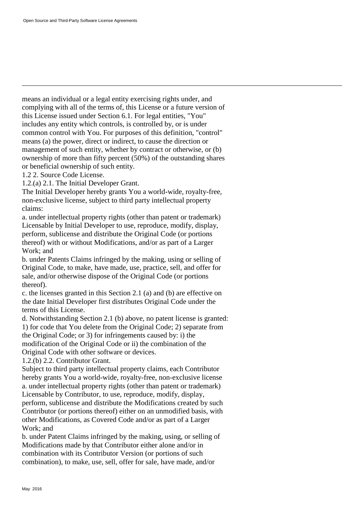means an individual or a legal entity exercising rights under, and complying with all of the terms of, this License or a future version of this License issued under Section 6.1. For legal entities, "You" includes any entity which controls, is controlled by, or is under common control with You. For purposes of this definition, "control" means (a) the power, direct or indirect, to cause the direction or management of such entity, whether by contract or otherwise, or (b) ownership of more than fifty percent (50%) of the outstanding shares or beneficial ownership of such entity.

1.2 2. Source Code License.

1.2.(a) 2.1. The Initial Developer Grant.

The Initial Developer hereby grants You a world-wide, royalty-free, non-exclusive license, subject to third party intellectual property claims:

a. under intellectual property rights (other than patent or trademark) Licensable by Initial Developer to use, reproduce, modify, display, perform, sublicense and distribute the Original Code (or portions thereof) with or without Modifications, and/or as part of a Larger Work; and

b. under Patents Claims infringed by the making, using or selling of Original Code, to make, have made, use, practice, sell, and offer for sale, and/or otherwise dispose of the Original Code (or portions thereof).

c. the licenses granted in this Section 2.1 (a) and (b) are effective on the date Initial Developer first distributes Original Code under the terms of this License.

d. Notwithstanding Section 2.1 (b) above, no patent license is granted: 1) for code that You delete from the Original Code; 2) separate from the Original Code; or 3) for infringements caused by: i) the modification of the Original Code or ii) the combination of the Original Code with other software or devices.

1.2.(b) 2.2. Contributor Grant.

Subject to third party intellectual property claims, each Contributor hereby grants You a world-wide, royalty-free, non-exclusive license a. under intellectual property rights (other than patent or trademark) Licensable by Contributor, to use, reproduce, modify, display, perform, sublicense and distribute the Modifications created by such Contributor (or portions thereof) either on an unmodified basis, with other Modifications, as Covered Code and/or as part of a Larger Work; and

b. under Patent Claims infringed by the making, using, or selling of Modifications made by that Contributor either alone and/or in combination with its Contributor Version (or portions of such combination), to make, use, sell, offer for sale, have made, and/or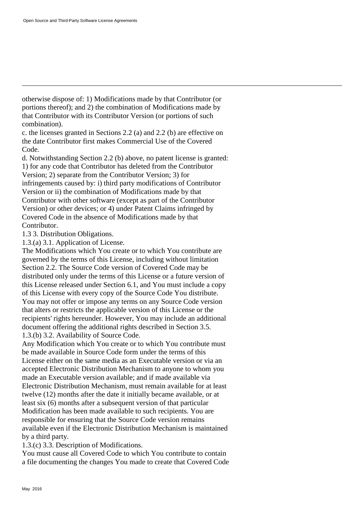otherwise dispose of: 1) Modifications made by that Contributor (or portions thereof); and 2) the combination of Modifications made by that Contributor with its Contributor Version (or portions of such combination).

c. the licenses granted in Sections 2.2 (a) and 2.2 (b) are effective on the date Contributor first makes Commercial Use of the Covered Code.

d. Notwithstanding Section 2.2 (b) above, no patent license is granted: 1) for any code that Contributor has deleted from the Contributor Version; 2) separate from the Contributor Version; 3) for infringements caused by: i) third party modifications of Contributor Version or ii) the combination of Modifications made by that Contributor with other software (except as part of the Contributor Version) or other devices; or 4) under Patent Claims infringed by Covered Code in the absence of Modifications made by that Contributor.

1.3 3. Distribution Obligations.

1.3.(a) 3.1. Application of License.

The Modifications which You create or to which You contribute are governed by the terms of this License, including without limitation Section 2.2. The Source Code version of Covered Code may be distributed only under the terms of this License or a future version of this License released under Section 6.1, and You must include a copy of this License with every copy of the Source Code You distribute. You may not offer or impose any terms on any Source Code version that alters or restricts the applicable version of this License or the recipients' rights hereunder. However, You may include an additional document offering the additional rights described in Section 3.5. 1.3.(b) 3.2. Availability of Source Code.

Any Modification which You create or to which You contribute must be made available in Source Code form under the terms of this License either on the same media as an Executable version or via an accepted Electronic Distribution Mechanism to anyone to whom you made an Executable version available; and if made available via Electronic Distribution Mechanism, must remain available for at least twelve (12) months after the date it initially became available, or at least six (6) months after a subsequent version of that particular Modification has been made available to such recipients. You are responsible for ensuring that the Source Code version remains available even if the Electronic Distribution Mechanism is maintained by a third party.

1.3.(c) 3.3. Description of Modifications.

You must cause all Covered Code to which You contribute to contain a file documenting the changes You made to create that Covered Code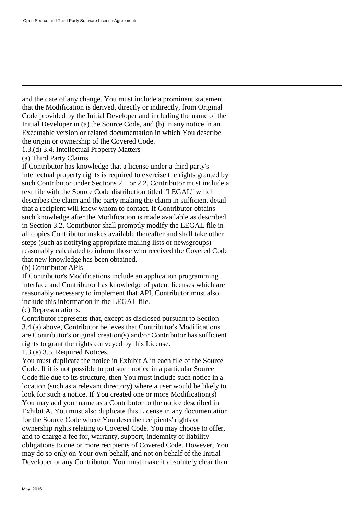and the date of any change. You must include a prominent statement that the Modification is derived, directly or indirectly, from Original Code provided by the Initial Developer and including the name of the Initial Developer in (a) the Source Code, and (b) in any notice in an Executable version or related documentation in which You describe the origin or ownership of the Covered Code.

1.3.(d) 3.4. Intellectual Property Matters

(a) Third Party Claims

If Contributor has knowledge that a license under a third party's intellectual property rights is required to exercise the rights granted by such Contributor under Sections 2.1 or 2.2, Contributor must include a text file with the Source Code distribution titled "LEGAL" which describes the claim and the party making the claim in sufficient detail that a recipient will know whom to contact. If Contributor obtains such knowledge after the Modification is made available as described in Section 3.2, Contributor shall promptly modify the LEGAL file in all copies Contributor makes available thereafter and shall take other steps (such as notifying appropriate mailing lists or newsgroups) reasonably calculated to inform those who received the Covered Code that new knowledge has been obtained.

(b) Contributor APIs

If Contributor's Modifications include an application programming interface and Contributor has knowledge of patent licenses which are reasonably necessary to implement that API, Contributor must also include this information in the LEGAL file.

(c) Representations.

Contributor represents that, except as disclosed pursuant to Section 3.4 (a) above, Contributor believes that Contributor's Modifications are Contributor's original creation(s) and/or Contributor has sufficient rights to grant the rights conveyed by this License.

1.3.(e) 3.5. Required Notices.

You must duplicate the notice in Exhibit A in each file of the Source Code. If it is not possible to put such notice in a particular Source Code file due to its structure, then You must include such notice in a location (such as a relevant directory) where a user would be likely to look for such a notice. If You created one or more Modification(s) You may add your name as a Contributor to the notice described in Exhibit A. You must also duplicate this License in any documentation for the Source Code where You describe recipients' rights or ownership rights relating to Covered Code. You may choose to offer, and to charge a fee for, warranty, support, indemnity or liability obligations to one or more recipients of Covered Code. However, You may do so only on Your own behalf, and not on behalf of the Initial Developer or any Contributor. You must make it absolutely clear than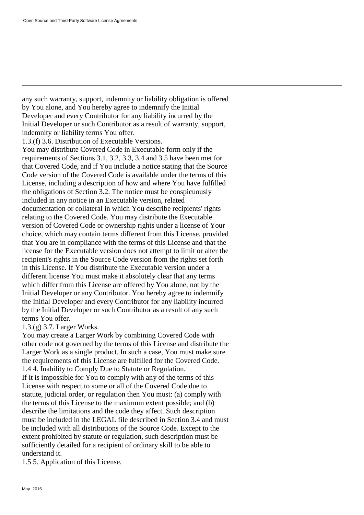any such warranty, support, indemnity or liability obligation is offered by You alone, and You hereby agree to indemnify the Initial Developer and every Contributor for any liability incurred by the Initial Developer or such Contributor as a result of warranty, support, indemnity or liability terms You offer.

1.3.(f) 3.6. Distribution of Executable Versions.

You may distribute Covered Code in Executable form only if the requirements of Sections 3.1, 3.2, 3.3, 3.4 and 3.5 have been met for that Covered Code, and if You include a notice stating that the Source Code version of the Covered Code is available under the terms of this License, including a description of how and where You have fulfilled the obligations of Section 3.2. The notice must be conspicuously included in any notice in an Executable version, related documentation or collateral in which You describe recipients' rights relating to the Covered Code. You may distribute the Executable version of Covered Code or ownership rights under a license of Your choice, which may contain terms different from this License, provided that You are in compliance with the terms of this License and that the license for the Executable version does not attempt to limit or alter the recipient's rights in the Source Code version from the rights set forth in this License. If You distribute the Executable version under a different license You must make it absolutely clear that any terms which differ from this License are offered by You alone, not by the Initial Developer or any Contributor. You hereby agree to indemnify the Initial Developer and every Contributor for any liability incurred by the Initial Developer or such Contributor as a result of any such terms You offer.

### 1.3.(g) 3.7. Larger Works.

You may create a Larger Work by combining Covered Code with other code not governed by the terms of this License and distribute the Larger Work as a single product. In such a case, You must make sure the requirements of this License are fulfilled for the Covered Code. 1.4 4. Inability to Comply Due to Statute or Regulation. If it is impossible for You to comply with any of the terms of this License with respect to some or all of the Covered Code due to statute, judicial order, or regulation then You must: (a) comply with the terms of this License to the maximum extent possible; and (b) describe the limitations and the code they affect. Such description must be included in the LEGAL file described in Section 3.4 and must be included with all distributions of the Source Code. Except to the extent prohibited by statute or regulation, such description must be sufficiently detailed for a recipient of ordinary skill to be able to understand it.

1.5 5. Application of this License.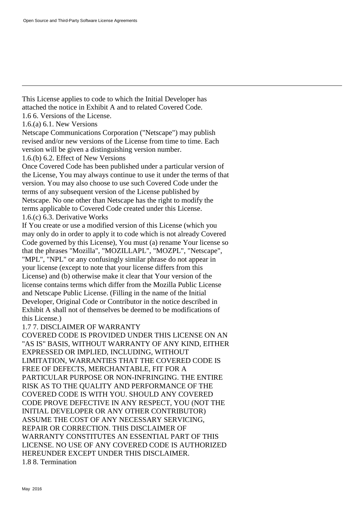This License applies to code to which the Initial Developer has attached the notice in Exhibit A and to related Covered Code. 1.6 6. Versions of the License. 1.6.(a) 6.1. New Versions Netscape Communications Corporation ("Netscape") may publish revised and/or new versions of the License from time to time. Each version will be given a distinguishing version number.

1.6.(b) 6.2. Effect of New Versions

Once Covered Code has been published under a particular version of the License, You may always continue to use it under the terms of that version. You may also choose to use such Covered Code under the terms of any subsequent version of the License published by Netscape. No one other than Netscape has the right to modify the terms applicable to Covered Code created under this License.

1.6.(c) 6.3. Derivative Works

If You create or use a modified version of this License (which you may only do in order to apply it to code which is not already Covered Code governed by this License), You must (a) rename Your license so that the phrases "Mozilla", "MOZILLAPL", "MOZPL", "Netscape", "MPL", "NPL" or any confusingly similar phrase do not appear in your license (except to note that your license differs from this License) and (b) otherwise make it clear that Your version of the license contains terms which differ from the Mozilla Public License and Netscape Public License. (Filling in the name of the Initial Developer, Original Code or Contributor in the notice described in Exhibit A shall not of themselves be deemed to be modifications of this License.)

1.7 7. DISCLAIMER OF WARRANTY

COVERED CODE IS PROVIDED UNDER THIS LICENSE ON AN "AS IS" BASIS, WITHOUT WARRANTY OF ANY KIND, EITHER EXPRESSED OR IMPLIED, INCLUDING, WITHOUT LIMITATION, WARRANTIES THAT THE COVERED CODE IS FREE OF DEFECTS, MERCHANTABLE, FIT FOR A PARTICULAR PURPOSE OR NON-INFRINGING. THE ENTIRE RISK AS TO THE QUALITY AND PERFORMANCE OF THE COVERED CODE IS WITH YOU. SHOULD ANY COVERED CODE PROVE DEFECTIVE IN ANY RESPECT, YOU (NOT THE INITIAL DEVELOPER OR ANY OTHER CONTRIBUTOR) ASSUME THE COST OF ANY NECESSARY SERVICING, REPAIR OR CORRECTION. THIS DISCLAIMER OF WARRANTY CONSTITUTES AN ESSENTIAL PART OF THIS LICENSE. NO USE OF ANY COVERED CODE IS AUTHORIZED HEREUNDER EXCEPT UNDER THIS DISCLAIMER. 1.8 8. Termination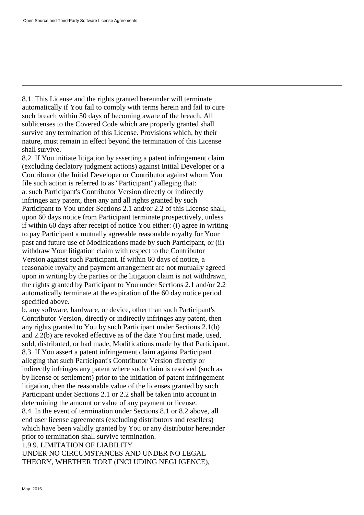8.1. This License and the rights granted hereunder will terminate automatically if You fail to comply with terms herein and fail to cure such breach within 30 days of becoming aware of the breach. All sublicenses to the Covered Code which are properly granted shall survive any termination of this License. Provisions which, by their nature, must remain in effect beyond the termination of this License shall survive.

8.2. If You initiate litigation by asserting a patent infringement claim (excluding declatory judgment actions) against Initial Developer or a Contributor (the Initial Developer or Contributor against whom You file such action is referred to as "Participant") alleging that: a. such Participant's Contributor Version directly or indirectly infringes any patent, then any and all rights granted by such Participant to You under Sections 2.1 and/or 2.2 of this License shall, upon 60 days notice from Participant terminate prospectively, unless if within 60 days after receipt of notice You either: (i) agree in writing to pay Participant a mutually agreeable reasonable royalty for Your past and future use of Modifications made by such Participant, or (ii) withdraw Your litigation claim with respect to the Contributor Version against such Participant. If within 60 days of notice, a reasonable royalty and payment arrangement are not mutually agreed upon in writing by the parties or the litigation claim is not withdrawn, the rights granted by Participant to You under Sections 2.1 and/or 2.2 automatically terminate at the expiration of the 60 day notice period specified above.

b. any software, hardware, or device, other than such Participant's Contributor Version, directly or indirectly infringes any patent, then any rights granted to You by such Participant under Sections 2.1(b) and 2.2(b) are revoked effective as of the date You first made, used, sold, distributed, or had made, Modifications made by that Participant. 8.3. If You assert a patent infringement claim against Participant alleging that such Participant's Contributor Version directly or indirectly infringes any patent where such claim is resolved (such as by license or settlement) prior to the initiation of patent infringement litigation, then the reasonable value of the licenses granted by such Participant under Sections 2.1 or 2.2 shall be taken into account in determining the amount or value of any payment or license. 8.4. In the event of termination under Sections 8.1 or 8.2 above, all end user license agreements (excluding distributors and resellers) which have been validly granted by You or any distributor hereunder

prior to termination shall survive termination. 1.9 9. LIMITATION OF LIABILITY

UNDER NO CIRCUMSTANCES AND UNDER NO LEGAL THEORY, WHETHER TORT (INCLUDING NEGLIGENCE),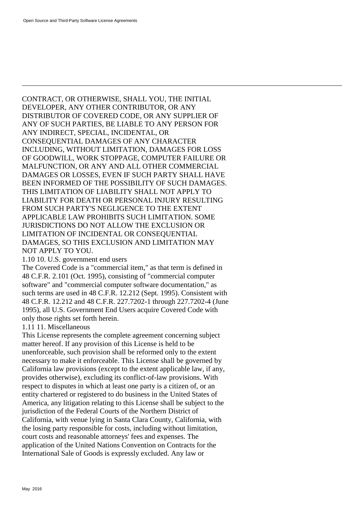CONTRACT, OR OTHERWISE, SHALL YOU, THE INITIAL DEVELOPER, ANY OTHER CONTRIBUTOR, OR ANY DISTRIBUTOR OF COVERED CODE, OR ANY SUPPLIER OF ANY OF SUCH PARTIES, BE LIABLE TO ANY PERSON FOR ANY INDIRECT, SPECIAL, INCIDENTAL, OR CONSEQUENTIAL DAMAGES OF ANY CHARACTER INCLUDING, WITHOUT LIMITATION, DAMAGES FOR LOSS OF GOODWILL, WORK STOPPAGE, COMPUTER FAILURE OR MALFUNCTION, OR ANY AND ALL OTHER COMMERCIAL DAMAGES OR LOSSES, EVEN IF SUCH PARTY SHALL HAVE BEEN INFORMED OF THE POSSIBILITY OF SUCH DAMAGES. THIS LIMITATION OF LIABILITY SHALL NOT APPLY TO LIABILITY FOR DEATH OR PERSONAL INJURY RESULTING FROM SUCH PARTY'S NEGLIGENCE TO THE EXTENT APPLICABLE LAW PROHIBITS SUCH LIMITATION. SOME JURISDICTIONS DO NOT ALLOW THE EXCLUSION OR LIMITATION OF INCIDENTAL OR CONSEQUENTIAL DAMAGES, SO THIS EXCLUSION AND LIMITATION MAY NOT APPLY TO YOU.

1.10 10. U.S. government end users

The Covered Code is a "commercial item," as that term is defined in 48 C.F.R. 2.101 (Oct. 1995), consisting of "commercial computer software" and "commercial computer software documentation," as such terms are used in 48 C.F.R. 12.212 (Sept. 1995). Consistent with 48 C.F.R. 12.212 and 48 C.F.R. 227.7202-1 through 227.7202-4 (June 1995), all U.S. Government End Users acquire Covered Code with only those rights set forth herein.

### 1.11 11. Miscellaneous

This License represents the complete agreement concerning subject matter hereof. If any provision of this License is held to be unenforceable, such provision shall be reformed only to the extent necessary to make it enforceable. This License shall be governed by California law provisions (except to the extent applicable law, if any, provides otherwise), excluding its conflict-of-law provisions. With respect to disputes in which at least one party is a citizen of, or an entity chartered or registered to do business in the United States of America, any litigation relating to this License shall be subject to the jurisdiction of the Federal Courts of the Northern District of California, with venue lying in Santa Clara County, California, with the losing party responsible for costs, including without limitation, court costs and reasonable attorneys' fees and expenses. The application of the United Nations Convention on Contracts for the International Sale of Goods is expressly excluded. Any law or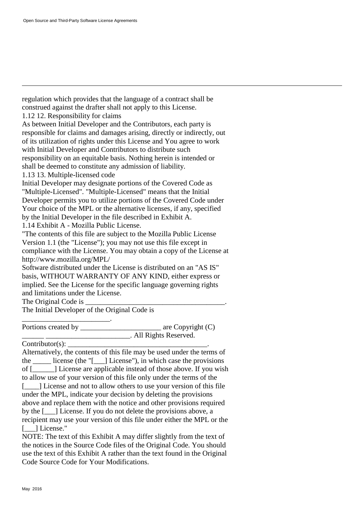regulation which provides that the language of a contract shall be construed against the drafter shall not apply to this License.

1.12 12. Responsibility for claims

As between Initial Developer and the Contributors, each party is responsible for claims and damages arising, directly or indirectly, out of its utilization of rights under this License and You agree to work with Initial Developer and Contributors to distribute such responsibility on an equitable basis. Nothing herein is intended or shall be deemed to constitute any admission of liability.

1.13 13. Multiple-licensed code

Initial Developer may designate portions of the Covered Code as "Multiple-Licensed". "Multiple-Licensed" means that the Initial Developer permits you to utilize portions of the Covered Code under Your choice of the MPL or the alternative licenses, if any, specified by the Initial Developer in the file described in Exhibit A. 1.14 Exhibit A - Mozilla Public License.

"The contents of this file are subject to the Mozilla Public License Version 1.1 (the "License"); you may not use this file except in compliance with the License. You may obtain a copy of the License at http://www.mozilla.org/MPL/

Software distributed under the License is distributed on an "AS IS" basis, WITHOUT WARRANTY OF ANY KIND, either express or implied. See the License for the specific language governing rights and limitations under the License.

The Original Code is

\_\_\_\_\_\_\_\_\_\_\_\_\_\_\_\_\_\_\_\_\_\_\_\_.

The Initial Developer of the Original Code is

Portions created by \_\_\_\_\_\_\_\_\_\_\_\_\_\_\_\_\_\_\_\_\_\_ are Copyright (C) \_\_\_\_\_\_ \_\_\_\_\_\_\_\_\_\_\_\_\_\_\_\_\_\_\_\_\_\_\_. All Rights Reserved.

 $Contribution(s):$ 

Alternatively, the contents of this file may be used under the terms of the \_\_\_\_\_ license (the "[\_\_\_] License"), in which case the provisions of [\_\_\_\_\_\_] License are applicable instead of those above. If you wish to allow use of your version of this file only under the terms of the [100] License and not to allow others to use your version of this file under the MPL, indicate your decision by deleting the provisions above and replace them with the notice and other provisions required by the [\_\_\_] License. If you do not delete the provisions above, a recipient may use your version of this file under either the MPL or the [*\_\_*] License."

NOTE: The text of this Exhibit A may differ slightly from the text of the notices in the Source Code files of the Original Code. You should use the text of this Exhibit A rather than the text found in the Original Code Source Code for Your Modifications.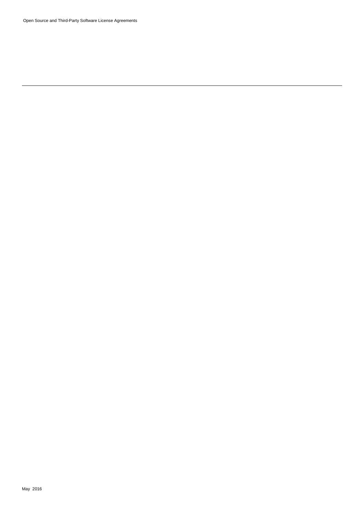Open Source and Third-Party Software License Agreements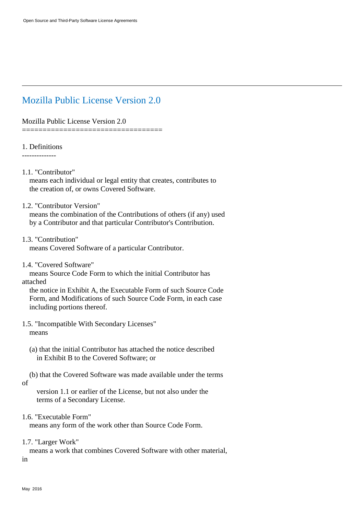## Mozilla Public License Version 2.0

## Mozilla Public License Version 2.0

==================================

### 1. Definitions

--------------

1.1. "Contributor"

 means each individual or legal entity that creates, contributes to the creation of, or owns Covered Software.

### 1.2. "Contributor Version"

 means the combination of the Contributions of others (if any) used by a Contributor and that particular Contributor's Contribution.

1.3. "Contribution"

means Covered Software of a particular Contributor.

1.4. "Covered Software"

 means Source Code Form to which the initial Contributor has attached

 the notice in Exhibit A, the Executable Form of such Source Code Form, and Modifications of such Source Code Form, in each case including portions thereof.

- 1.5. "Incompatible With Secondary Licenses" means
	- (a) that the initial Contributor has attached the notice described in Exhibit B to the Covered Software; or
- (b) that the Covered Software was made available under the terms of

 version 1.1 or earlier of the License, but not also under the terms of a Secondary License.

### 1.6. "Executable Form"

means any form of the work other than Source Code Form.

### 1.7. "Larger Work"

 means a work that combines Covered Software with other material, in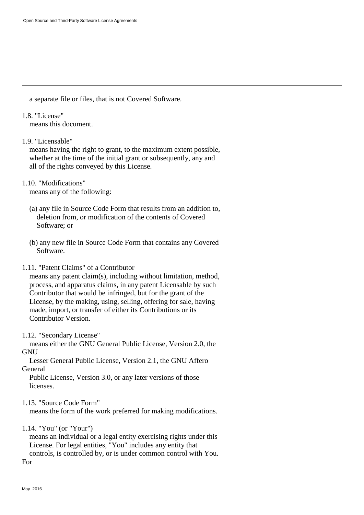a separate file or files, that is not Covered Software.

# 1.8. "License"

means this document.

### 1.9. "Licensable"

 means having the right to grant, to the maximum extent possible, whether at the time of the initial grant or subsequently, any and all of the rights conveyed by this License.

### 1.10. "Modifications" means any of the following:

- (a) any file in Source Code Form that results from an addition to, deletion from, or modification of the contents of Covered Software; or
- (b) any new file in Source Code Form that contains any Covered Software.

## 1.11. "Patent Claims" of a Contributor

 means any patent claim(s), including without limitation, method, process, and apparatus claims, in any patent Licensable by such Contributor that would be infringed, but for the grant of the License, by the making, using, selling, offering for sale, having made, import, or transfer of either its Contributions or its Contributor Version.

### 1.12. "Secondary License"

 means either the GNU General Public License, Version 2.0, the **GNU** 

 Lesser General Public License, Version 2.1, the GNU Affero General

 Public License, Version 3.0, or any later versions of those licenses.

### 1.13. "Source Code Form"

means the form of the work preferred for making modifications.

### 1.14. "You" (or "Your")

 means an individual or a legal entity exercising rights under this License. For legal entities, "You" includes any entity that controls, is controlled by, or is under common control with You.

For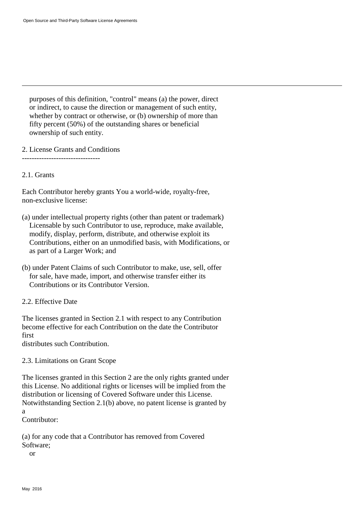purposes of this definition, "control" means (a) the power, direct or indirect, to cause the direction or management of such entity, whether by contract or otherwise, or (b) ownership of more than fifty percent (50%) of the outstanding shares or beneficial ownership of such entity.

2. License Grants and Conditions

--------------------------------

2.1. Grants

Each Contributor hereby grants You a world-wide, royalty-free, non-exclusive license:

- (a) under intellectual property rights (other than patent or trademark) Licensable by such Contributor to use, reproduce, make available, modify, display, perform, distribute, and otherwise exploit its Contributions, either on an unmodified basis, with Modifications, or as part of a Larger Work; and
- (b) under Patent Claims of such Contributor to make, use, sell, offer for sale, have made, import, and otherwise transfer either its Contributions or its Contributor Version.

### 2.2. Effective Date

The licenses granted in Section 2.1 with respect to any Contribution become effective for each Contribution on the date the Contributor first

distributes such Contribution.

2.3. Limitations on Grant Scope

The licenses granted in this Section 2 are the only rights granted under this License. No additional rights or licenses will be implied from the distribution or licensing of Covered Software under this License. Notwithstanding Section 2.1(b) above, no patent license is granted by a

Contributor:

(a) for any code that a Contributor has removed from Covered Software;

or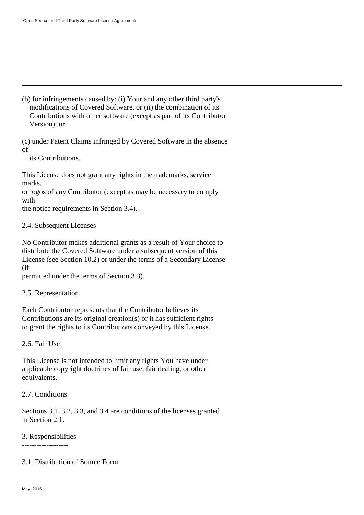(b) for infringements caused by: (i) Your and any other third party's modifications of Covered Software, or (ii) the combination of its Contributions with other software (except as part of its Contributor Version); or

(c) under Patent Claims infringed by Covered Software in the absence of

its Contributions.

This License does not grant any rights in the trademarks, service marks,

or logos of any Contributor (except as may be necessary to comply with

the notice requirements in Section 3.4).

2.4. Subsequent Licenses

No Contributor makes additional grants as a result of Your choice to distribute the Covered Software under a subsequent version of this License (see Section 10.2) or under the terms of a Secondary License (if

permitted under the terms of Section 3.3).

2.5. Representation

Each Contributor represents that the Contributor believes its Contributions are its original creation(s) or it has sufficient rights to grant the rights to its Contributions conveyed by this License.

2.6. Fair Use

This License is not intended to limit any rights You have under applicable copyright doctrines of fair use, fair dealing, or other equivalents.

### 2.7. Conditions

Sections 3.1, 3.2, 3.3, and 3.4 are conditions of the licenses granted in Section 2.1.

### 3. Responsibilities

-------------------

## 3.1. Distribution of Source Form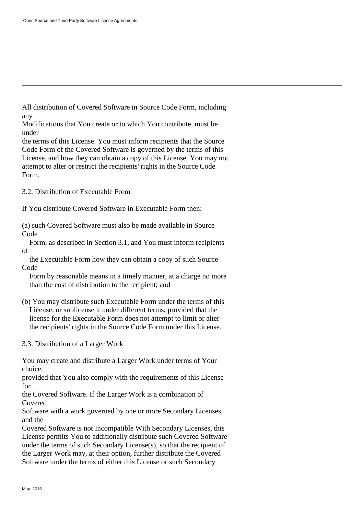All distribution of Covered Software in Source Code Form, including any

Modifications that You create or to which You contribute, must be under

the terms of this License. You must inform recipients that the Source Code Form of the Covered Software is governed by the terms of this License, and how they can obtain a copy of this License. You may not attempt to alter or restrict the recipients' rights in the Source Code Form.

3.2. Distribution of Executable Form

If You distribute Covered Software in Executable Form then:

(a) such Covered Software must also be made available in Source Code

 Form, as described in Section 3.1, and You must inform recipients of

 the Executable Form how they can obtain a copy of such Source Code

 Form by reasonable means in a timely manner, at a charge no more than the cost of distribution to the recipient; and

(b) You may distribute such Executable Form under the terms of this License, or sublicense it under different terms, provided that the license for the Executable Form does not attempt to limit or alter the recipients' rights in the Source Code Form under this License.

3.3. Distribution of a Larger Work

You may create and distribute a Larger Work under terms of Your choice,

provided that You also comply with the requirements of this License for

the Covered Software. If the Larger Work is a combination of Covered

Software with a work governed by one or more Secondary Licenses, and the

Covered Software is not Incompatible With Secondary Licenses, this License permits You to additionally distribute such Covered Software under the terms of such Secondary License(s), so that the recipient of the Larger Work may, at their option, further distribute the Covered Software under the terms of either this License or such Secondary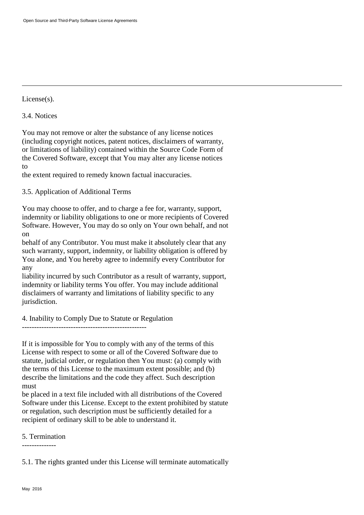### License(s).

3.4. Notices

You may not remove or alter the substance of any license notices (including copyright notices, patent notices, disclaimers of warranty, or limitations of liability) contained within the Source Code Form of the Covered Software, except that You may alter any license notices to

the extent required to remedy known factual inaccuracies.

3.5. Application of Additional Terms

You may choose to offer, and to charge a fee for, warranty, support, indemnity or liability obligations to one or more recipients of Covered Software. However, You may do so only on Your own behalf, and not  $\alpha$ n

behalf of any Contributor. You must make it absolutely clear that any such warranty, support, indemnity, or liability obligation is offered by You alone, and You hereby agree to indemnify every Contributor for any

liability incurred by such Contributor as a result of warranty, support, indemnity or liability terms You offer. You may include additional disclaimers of warranty and limitations of liability specific to any jurisdiction.

4. Inability to Comply Due to Statute or Regulation

---------------------------------------------------

If it is impossible for You to comply with any of the terms of this License with respect to some or all of the Covered Software due to statute, judicial order, or regulation then You must: (a) comply with the terms of this License to the maximum extent possible; and (b) describe the limitations and the code they affect. Such description must

be placed in a text file included with all distributions of the Covered Software under this License. Except to the extent prohibited by statute or regulation, such description must be sufficiently detailed for a recipient of ordinary skill to be able to understand it.

5. Termination

--------------

5.1. The rights granted under this License will terminate automatically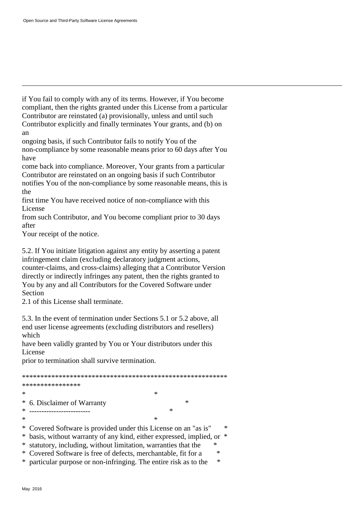if You fail to comply with any of its terms. However, if You become compliant, then the rights granted under this License from a particular Contributor are reinstated (a) provisionally, unless and until such Contributor explicitly and finally terminates Your grants, and (b) on an

ongoing basis, if such Contributor fails to notify You of the non-compliance by some reasonable means prior to 60 days after You

have

come back into compliance. Moreover, Your grants from a particular Contributor are reinstated on an ongoing basis if such Contributor notifies You of the non-compliance by some reasonable means, this is the

first time You have received notice of non-compliance with this License

from such Contributor, and You become compliant prior to 30 days after

Your receipt of the notice.

5.2. If You initiate litigation against any entity by asserting a patent infringement claim (excluding declaratory judgment actions, counter-claims, and cross-claims) alleging that a Contributor Version directly or indirectly infringes any patent, then the rights granted to You by any and all Contributors for the Covered Software under **Section** 

2.1 of this License shall terminate.

5.3. In the event of termination under Sections 5.1 or 5.2 above, all end user license agreements (excluding distributors and resellers) which

have been validly granted by You or Your distributors under this License

prior to termination shall survive termination.

| ****************                                                            |        |
|-----------------------------------------------------------------------------|--------|
| *                                                                           | $\ast$ |
| 6. Disclaimer of Warranty                                                   | *      |
| ж<br>--------------------                                                   | ж      |
| ж                                                                           | ×      |
| $\ast$<br>* Covered Software is provided under this License on an "as is"   |        |
| * basis, without warranty of any kind, either expressed, implied, or *      |        |
| * statutory, including, without limitation, warranties that the<br>∗        |        |
| $\ast$<br>* Covered Software is free of defects, merchantable, fit for a    |        |
| $\ast$<br>* particular purpose or non-infringing. The entire risk as to the |        |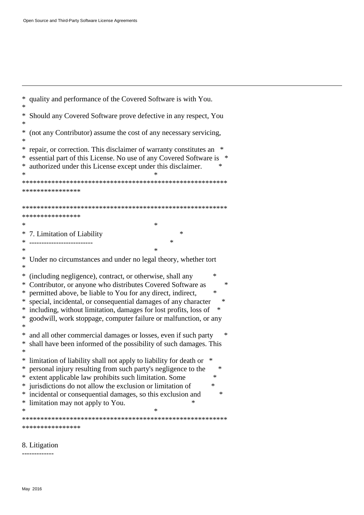```
* quality and performance of the Covered Software is with You. 
\ddot{\phantom{0}}* Should any Covered Software prove defective in any respect, You 
*
* (not any Contributor) assume the cost of any necessary servicing, 
\mathbf{u}* repair, or correction. This disclaimer of warranty constitutes an *
* essential part of this License. No use of any Covered Software is *
* authorized under this License except under this disclaimer. *
*********************************************************
****************
********************************************************
****************
** 7. Limitation of Liability *
* -------------------------- *
* ** Under no circumstances and under no legal theory, whether tort 
*
* (including negligence), contract, or otherwise, shall any *
* Contributor, or anyone who distributes Covered Software as *
* permitted above, be liable to You for any direct, indirect, *
* special, incidental, or consequential damages of any character *
* including, without limitation, damages for lost profits, loss of *
* goodwill, work stoppage, computer failure or malfunction, or any 
*
* and all other commercial damages or losses, even if such party *
* shall have been informed of the possibility of such damages. This 
*
* limitation of liability shall not apply to liability for death or *
* personal injury resulting from such party's negligence to the *
* extent applicable law prohibits such limitation. Some *
* jurisdictions do not allow the exclusion or limitation of ** incidental or consequential damages, so this exclusion and *
* limitation may not apply to You. *
*********************************************************
****************
```
#### 8. Litigation

-------------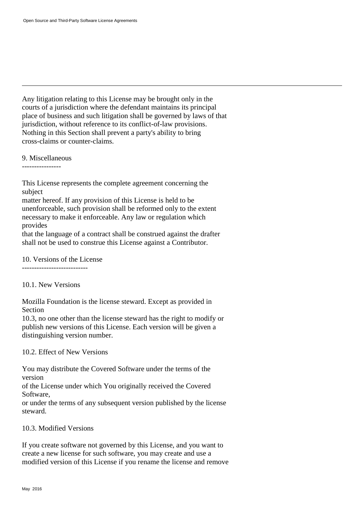Any litigation relating to this License may be brought only in the courts of a jurisdiction where the defendant maintains its principal place of business and such litigation shall be governed by laws of that jurisdiction, without reference to its conflict-of-law provisions. Nothing in this Section shall prevent a party's ability to bring cross-claims or counter-claims.

9. Miscellaneous

----------------

This License represents the complete agreement concerning the subject

matter hereof. If any provision of this License is held to be unenforceable, such provision shall be reformed only to the extent necessary to make it enforceable. Any law or regulation which provides

that the language of a contract shall be construed against the drafter shall not be used to construe this License against a Contributor.

10. Versions of the License

---------------------------

10.1. New Versions

Mozilla Foundation is the license steward. Except as provided in Section

10.3, no one other than the license steward has the right to modify or publish new versions of this License. Each version will be given a distinguishing version number.

10.2. Effect of New Versions

You may distribute the Covered Software under the terms of the version

of the License under which You originally received the Covered Software,

or under the terms of any subsequent version published by the license steward.

10.3. Modified Versions

If you create software not governed by this License, and you want to create a new license for such software, you may create and use a modified version of this License if you rename the license and remove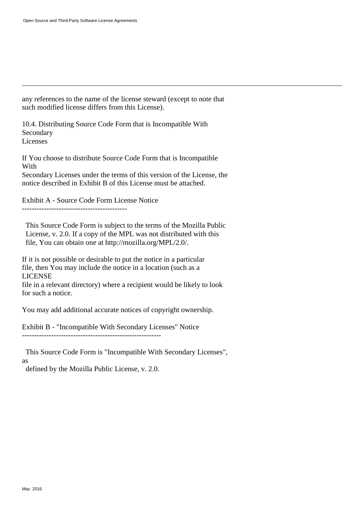any references to the name of the license steward (except to note that such modified license differs from this License).

10.4. Distributing Source Code Form that is Incompatible With Secondary Licenses

If You choose to distribute Source Code Form that is Incompatible With

Secondary Licenses under the terms of this version of the License, the notice described in Exhibit B of this License must be attached.

Exhibit A - Source Code Form License Notice

-------------------------------------------

 This Source Code Form is subject to the terms of the Mozilla Public License, v. 2.0. If a copy of the MPL was not distributed with this file, You can obtain one at http://mozilla.org/MPL/2.0/.

If it is not possible or desirable to put the notice in a particular file, then You may include the notice in a location (such as a LICENSE

file in a relevant directory) where a recipient would be likely to look for such a notice.

You may add additional accurate notices of copyright ownership.

Exhibit B - "Incompatible With Secondary Licenses" Notice ---------------------------------------------------------

 This Source Code Form is "Incompatible With Secondary Licenses", as

defined by the Mozilla Public License, v. 2.0.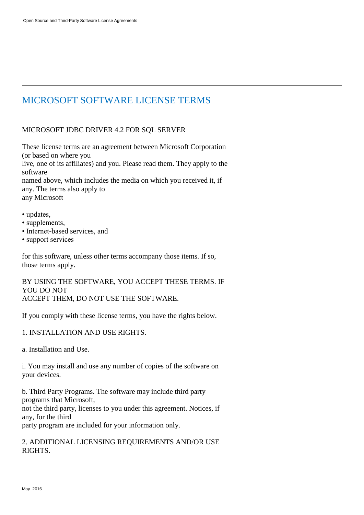# MICROSOFT SOFTWARE LICENSE TERMS

## MICROSOFT JDBC DRIVER 4.2 FOR SQL SERVER

These license terms are an agreement between Microsoft Corporation (or based on where you live, one of its affiliates) and you. Please read them. They apply to the software named above, which includes the media on which you received it, if any. The terms also apply to any Microsoft

- updates,
- supplements,
- Internet-based services, and
- support services

for this software, unless other terms accompany those items. If so, those terms apply.

BY USING THE SOFTWARE, YOU ACCEPT THESE TERMS. IF YOU DO NOT ACCEPT THEM, DO NOT USE THE SOFTWARE.

If you comply with these license terms, you have the rights below.

- 1. INSTALLATION AND USE RIGHTS.
- a. Installation and Use.

i. You may install and use any number of copies of the software on your devices.

b. Third Party Programs. The software may include third party programs that Microsoft,

not the third party, licenses to you under this agreement. Notices, if any, for the third

party program are included for your information only.

2. ADDITIONAL LICENSING REQUIREMENTS AND/OR USE RIGHTS.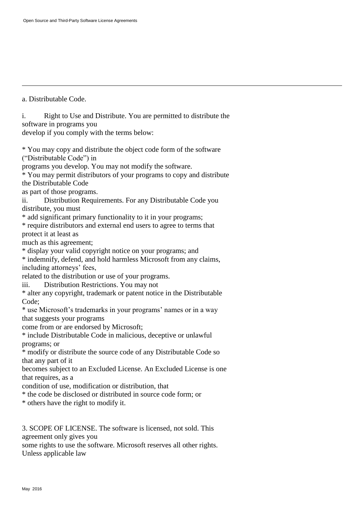a. Distributable Code.

i. Right to Use and Distribute. You are permitted to distribute the software in programs you

develop if you comply with the terms below:

\* You may copy and distribute the object code form of the software ("Distributable Code") in

programs you develop. You may not modify the software.

\* You may permit distributors of your programs to copy and distribute the Distributable Code

as part of those programs.

ii. Distribution Requirements. For any Distributable Code you distribute, you must

\* add significant primary functionality to it in your programs;

\* require distributors and external end users to agree to terms that protect it at least as

much as this agreement;

\* display your valid copyright notice on your programs; and

\* indemnify, defend, and hold harmless Microsoft from any claims, including attorneys' fees,

related to the distribution or use of your programs.

iii. Distribution Restrictions. You may not

\* alter any copyright, trademark or patent notice in the Distributable Code;

\* use Microsoft's trademarks in your programs' names or in a way that suggests your programs

come from or are endorsed by Microsoft;

\* include Distributable Code in malicious, deceptive or unlawful programs; or

\* modify or distribute the source code of any Distributable Code so that any part of it

becomes subject to an Excluded License. An Excluded License is one that requires, as a

condition of use, modification or distribution, that

\* the code be disclosed or distributed in source code form; or

\* others have the right to modify it.

3. SCOPE OF LICENSE. The software is licensed, not sold. This

agreement only gives you

some rights to use the software. Microsoft reserves all other rights. Unless applicable law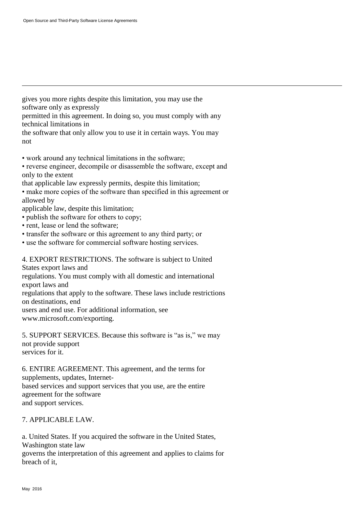gives you more rights despite this limitation, you may use the software only as expressly

permitted in this agreement. In doing so, you must comply with any technical limitations in

the software that only allow you to use it in certain ways. You may not

- work around any technical limitations in the software;
- reverse engineer, decompile or disassemble the software, except and only to the extent
- that applicable law expressly permits, despite this limitation;
- make more copies of the software than specified in this agreement or allowed by

applicable law, despite this limitation;

- publish the software for others to copy;
- rent, lease or lend the software;
- transfer the software or this agreement to any third party; or
- use the software for commercial software hosting services.

4. EXPORT RESTRICTIONS. The software is subject to United States export laws and regulations. You must comply with all domestic and international export laws and regulations that apply to the software. These laws include restrictions on destinations, end users and end use. For additional information, see www.microsoft.com/exporting.

5. SUPPORT SERVICES. Because this software is "as is," we may not provide support services for it.

6. ENTIRE AGREEMENT. This agreement, and the terms for supplements, updates, Internetbased services and support services that you use, are the entire agreement for the software and support services.

7. APPLICABLE LAW.

a. United States. If you acquired the software in the United States, Washington state law governs the interpretation of this agreement and applies to claims for breach of it,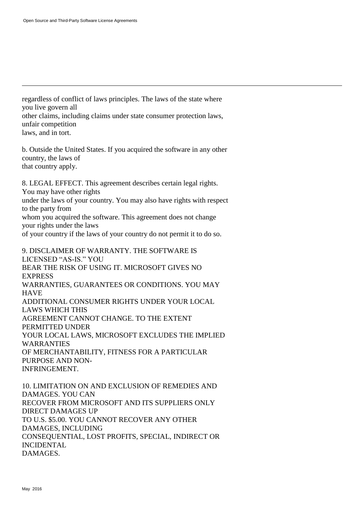regardless of conflict of laws principles. The laws of the state where you live govern all

other claims, including claims under state consumer protection laws, unfair competition

laws, and in tort.

b. Outside the United States. If you acquired the software in any other country, the laws of that country apply.

8. LEGAL EFFECT. This agreement describes certain legal rights. You may have other rights under the laws of your country. You may also have rights with respect to the party from

whom you acquired the software. This agreement does not change your rights under the laws

of your country if the laws of your country do not permit it to do so.

9. DISCLAIMER OF WARRANTY. THE SOFTWARE IS LICENSED "AS-IS." YOU BEAR THE RISK OF USING IT. MICROSOFT GIVES NO EXPRESS WARRANTIES, GUARANTEES OR CONDITIONS. YOU MAY **HAVE** ADDITIONAL CONSUMER RIGHTS UNDER YOUR LOCAL LAWS WHICH THIS AGREEMENT CANNOT CHANGE. TO THE EXTENT PERMITTED UNDER YOUR LOCAL LAWS, MICROSOFT EXCLUDES THE IMPLIED WARRANTIES OF MERCHANTABILITY, FITNESS FOR A PARTICULAR PURPOSE AND NON-INFRINGEMENT.

10. LIMITATION ON AND EXCLUSION OF REMEDIES AND DAMAGES. YOU CAN RECOVER FROM MICROSOFT AND ITS SUPPLIERS ONLY DIRECT DAMAGES UP TO U.S. \$5.00. YOU CANNOT RECOVER ANY OTHER DAMAGES, INCLUDING CONSEQUENTIAL, LOST PROFITS, SPECIAL, INDIRECT OR INCIDENTAL DAMAGES.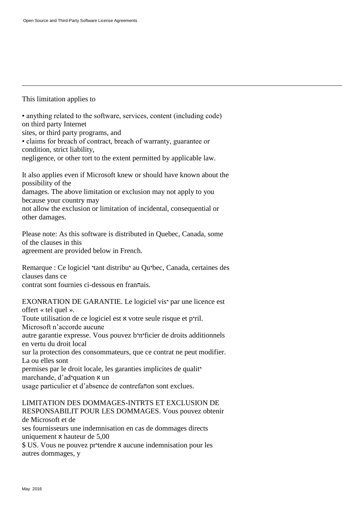## This limitation applies to

• anything related to the software, services, content (including code) on third party Internet

sites, or third party programs, and

• claims for breach of contract, breach of warranty, guarantee or condition, strict liability,

negligence, or other tort to the extent permitted by applicable law.

It also applies even if Microsoft knew or should have known about the possibility of the damages. The above limitation or exclusion may not apply to you because your country may

not allow the exclusion or limitation of incidental, consequential or other damages.

Please note: As this software is distributed in Quebec, Canada, some of the clauses in this agreement are provided below in French.

Remarque : Ce logiciel יtant distribuי au Quיbec, Canada, certaines des clauses dans ce contrat sont fournies ci-dessous en franחais.

EXONֹRATION DE GARANTIE. Le logiciel visי par une licence est offert « tel quel ». Toute utilisation de ce logiciel est א votre seule risque et pיril. Microsoft n'accorde aucune autre garantie expresse. Vous pouvez bיnיficier de droits additionnels en vertu du droit local sur la protection des consommateurs, que ce contrat ne peut modifier. La ou elles sont permises par le droit locale, les garanties implicites de qualitי marchande, d'adיquation א un usage particulier et d'absence de contrefaחon sont exclues.

LIMITATION DES DOMMAGES-INTֹRֹTS ET EXCLUSION DE RESPONSABILIT POUR LES DOMMAGES. Vous pouvez obtenir de Microsoft et de ses fournisseurs une indemnisation en cas de dommages directs uniquement א hauteur de 5,00 \$ US. Vous ne pouvez prיtendre א aucune indemnisation pour les

autres dommages, y